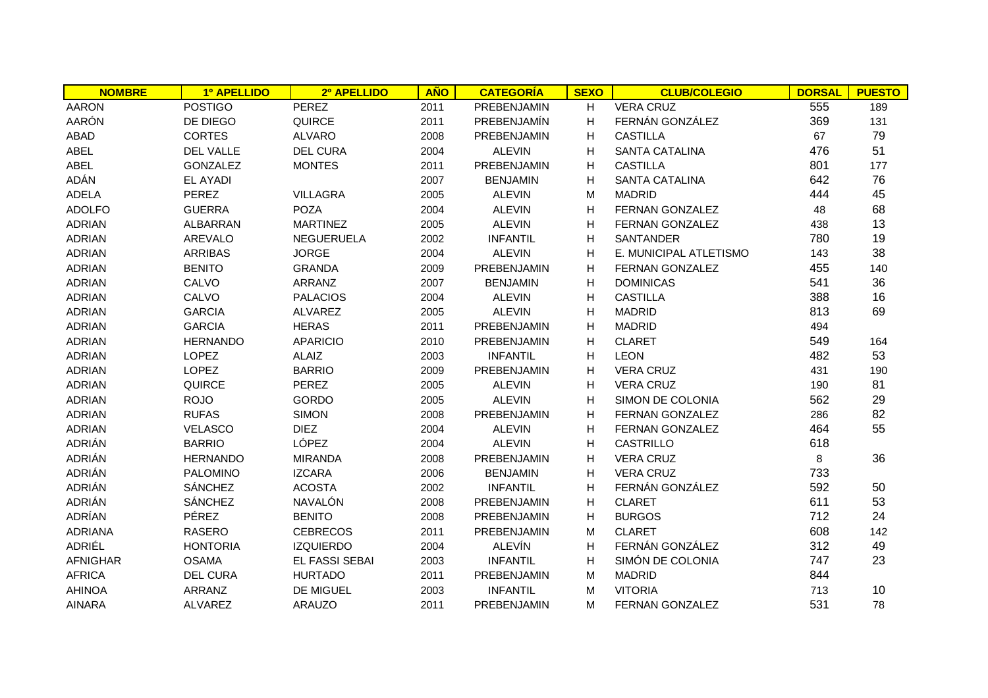| <b>NOMBRE</b>   | 1º APELLIDO      | 2º APELLIDO       | <b>AÑO</b> | <b>CATEGORÍA</b>   | <b>SEXO</b> | <b>CLUB/COLEGIO</b>    | <b>DORSAL</b> | <b>PUESTO</b> |
|-----------------|------------------|-------------------|------------|--------------------|-------------|------------------------|---------------|---------------|
| <b>AARON</b>    | <b>POSTIGO</b>   | PEREZ             | 2011       | PREBENJAMIN        | H           | <b>VERA CRUZ</b>       | 555           | 189           |
| <b>AARÓN</b>    | DE DIEGO         | QUIRCE            | 2011       | PREBENJAMÍN        | H           | FERNÁN GONZÁLEZ        | 369           | 131           |
| <b>ABAD</b>     | <b>CORTES</b>    | <b>ALVARO</b>     | 2008       | <b>PREBENJAMIN</b> | H           | <b>CASTILLA</b>        | 67            | 79            |
| <b>ABEL</b>     | <b>DEL VALLE</b> | <b>DEL CURA</b>   | 2004       | <b>ALEVIN</b>      | н           | <b>SANTA CATALINA</b>  | 476           | 51            |
| <b>ABEL</b>     | <b>GONZALEZ</b>  | <b>MONTES</b>     | 2011       | PREBENJAMIN        | H           | <b>CASTILLA</b>        | 801           | 177           |
| ADÁN            | <b>EL AYADI</b>  |                   | 2007       | <b>BENJAMIN</b>    | H           | <b>SANTA CATALINA</b>  | 642           | 76            |
| <b>ADELA</b>    | <b>PEREZ</b>     | <b>VILLAGRA</b>   | 2005       | <b>ALEVIN</b>      | М           | <b>MADRID</b>          | 444           | 45            |
| <b>ADOLFO</b>   | <b>GUERRA</b>    | <b>POZA</b>       | 2004       | <b>ALEVIN</b>      | H           | <b>FERNAN GONZALEZ</b> | 48            | 68            |
| <b>ADRIAN</b>   | <b>ALBARRAN</b>  | <b>MARTINEZ</b>   | 2005       | <b>ALEVIN</b>      | н           | FERNAN GONZALEZ        | 438           | 13            |
| <b>ADRIAN</b>   | <b>AREVALO</b>   | <b>NEGUERUELA</b> | 2002       | <b>INFANTIL</b>    | н           | SANTANDER              | 780           | 19            |
| <b>ADRIAN</b>   | <b>ARRIBAS</b>   | <b>JORGE</b>      | 2004       | <b>ALEVIN</b>      | н           | E. MUNICIPAL ATLETISMO | 143           | 38            |
| <b>ADRIAN</b>   | <b>BENITO</b>    | <b>GRANDA</b>     | 2009       | PREBENJAMIN        | н           | FERNAN GONZALEZ        | 455           | 140           |
| <b>ADRIAN</b>   | CALVO            | ARRANZ            | 2007       | <b>BENJAMIN</b>    | H           | <b>DOMINICAS</b>       | 541           | 36            |
| <b>ADRIAN</b>   | CALVO            | <b>PALACIOS</b>   | 2004       | <b>ALEVIN</b>      | H           | <b>CASTILLA</b>        | 388           | 16            |
| <b>ADRIAN</b>   | <b>GARCIA</b>    | <b>ALVAREZ</b>    | 2005       | <b>ALEVIN</b>      | H           | <b>MADRID</b>          | 813           | 69            |
| <b>ADRIAN</b>   | <b>GARCIA</b>    | <b>HERAS</b>      | 2011       | PREBENJAMIN        | H           | <b>MADRID</b>          | 494           |               |
| <b>ADRIAN</b>   | <b>HERNANDO</b>  | <b>APARICIO</b>   | 2010       | PREBENJAMIN        | H           | <b>CLARET</b>          | 549           | 164           |
| <b>ADRIAN</b>   | <b>LOPEZ</b>     | ALAIZ             | 2003       | <b>INFANTIL</b>    | H           | <b>LEON</b>            | 482           | 53            |
| <b>ADRIAN</b>   | <b>LOPEZ</b>     | <b>BARRIO</b>     | 2009       | PREBENJAMIN        | H           | <b>VERA CRUZ</b>       | 431           | 190           |
| <b>ADRIAN</b>   | <b>QUIRCE</b>    | <b>PEREZ</b>      | 2005       | <b>ALEVIN</b>      | H           | <b>VERA CRUZ</b>       | 190           | 81            |
| <b>ADRIAN</b>   | <b>ROJO</b>      | <b>GORDO</b>      | 2005       | <b>ALEVIN</b>      | H           | SIMON DE COLONIA       | 562           | 29            |
| <b>ADRIAN</b>   | <b>RUFAS</b>     | <b>SIMON</b>      | 2008       | PREBENJAMIN        | H           | FERNAN GONZALEZ        | 286           | 82            |
| <b>ADRIAN</b>   | <b>VELASCO</b>   | <b>DIEZ</b>       | 2004       | <b>ALEVIN</b>      | н           | FERNAN GONZALEZ        | 464           | 55            |
| ADRIÁN          | <b>BARRIO</b>    | LÓPEZ             | 2004       | <b>ALEVIN</b>      | H           | CASTRILLO              | 618           |               |
| ADRIÁN          | <b>HERNANDO</b>  | <b>MIRANDA</b>    | 2008       | PREBENJAMIN        | H           | <b>VERA CRUZ</b>       | 8             | 36            |
| ADRIÁN          | <b>PALOMINO</b>  | <b>IZCARA</b>     | 2006       | <b>BENJAMIN</b>    | H           | <b>VERA CRUZ</b>       | 733           |               |
| ADRIÁN          | <b>SÁNCHEZ</b>   | <b>ACOSTA</b>     | 2002       | <b>INFANTIL</b>    | Н           | FERNÁN GONZÁLEZ        | 592           | 50            |
| ADRIÁN          | <b>SÁNCHEZ</b>   | NAVALÓN           | 2008       | PREBENJAMIN        | H           | <b>CLARET</b>          | 611           | 53            |
| ADRÍAN          | <b>PÉREZ</b>     | <b>BENITO</b>     | 2008       | PREBENJAMIN        | H           | <b>BURGOS</b>          | 712           | 24            |
| <b>ADRIANA</b>  | <b>RASERO</b>    | <b>CEBRECOS</b>   | 2011       | PREBENJAMIN        | M           | <b>CLARET</b>          | 608           | 142           |
| ADRIÉL          | <b>HONTORIA</b>  | <b>IZQUIERDO</b>  | 2004       | ALEVÍN             | H           | FERNÁN GONZÁLEZ        | 312           | 49            |
| <b>AFNIGHAR</b> | <b>OSAMA</b>     | EL FASSI SEBAI    | 2003       | <b>INFANTIL</b>    | H           | SIMÓN DE COLONIA       | 747           | 23            |
| <b>AFRICA</b>   | <b>DEL CURA</b>  | <b>HURTADO</b>    | 2011       | PREBENJAMIN        | M           | <b>MADRID</b>          | 844           |               |
| <b>AHINOA</b>   | ARRANZ           | DE MIGUEL         | 2003       | <b>INFANTIL</b>    | М           | <b>VITORIA</b>         | 713           | 10            |
| <b>AINARA</b>   | <b>ALVAREZ</b>   | <b>ARAUZO</b>     | 2011       | <b>PREBENJAMIN</b> | м           | FERNAN GONZALEZ        | 531           | 78            |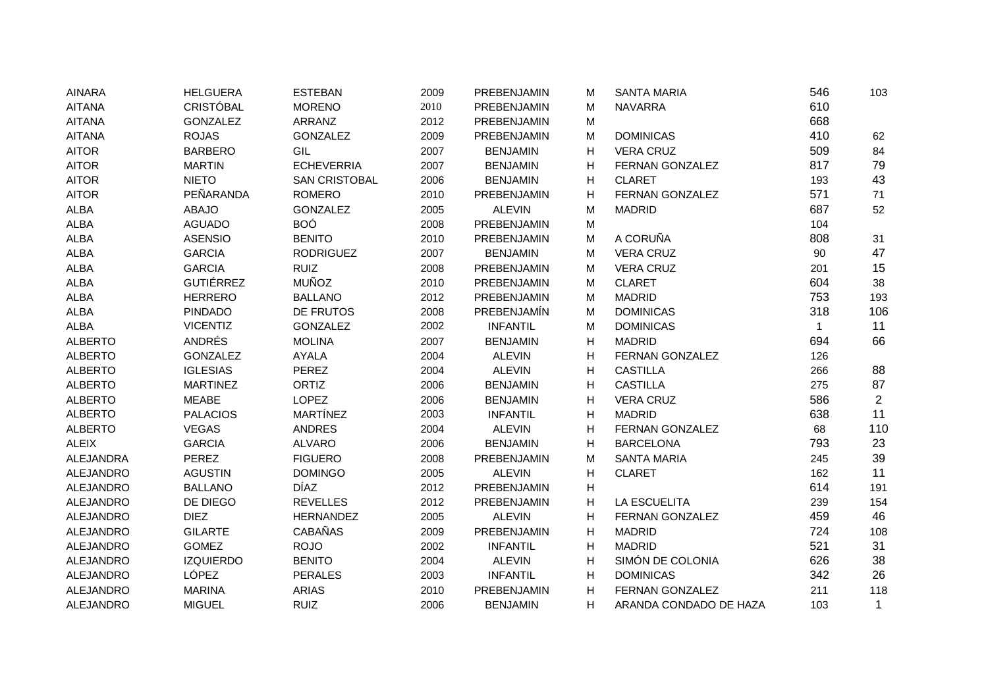| <b>AINARA</b>    | <b>HELGUERA</b>  | <b>ESTEBAN</b>       | 2009 | PREBENJAMIN     | М | <b>SANTA MARIA</b>     | 546          | 103            |
|------------------|------------------|----------------------|------|-----------------|---|------------------------|--------------|----------------|
| <b>AITANA</b>    | <b>CRISTÓBAL</b> | <b>MORENO</b>        | 2010 | PREBENJAMIN     | M | <b>NAVARRA</b>         | 610          |                |
| <b>AITANA</b>    | <b>GONZALEZ</b>  | ARRANZ               | 2012 | PREBENJAMIN     | M |                        | 668          |                |
| <b>AITANA</b>    | <b>ROJAS</b>     | <b>GONZALEZ</b>      | 2009 | PREBENJAMIN     | M | <b>DOMINICAS</b>       | 410          | 62             |
| <b>AITOR</b>     | <b>BARBERO</b>   | GIL                  | 2007 | <b>BENJAMIN</b> | H | <b>VERA CRUZ</b>       | 509          | 84             |
| <b>AITOR</b>     | <b>MARTIN</b>    | <b>ECHEVERRIA</b>    | 2007 | <b>BENJAMIN</b> | H | FERNAN GONZALEZ        | 817          | 79             |
| <b>AITOR</b>     | <b>NIETO</b>     | <b>SAN CRISTOBAL</b> | 2006 | <b>BENJAMIN</b> | H | <b>CLARET</b>          | 193          | 43             |
| <b>AITOR</b>     | PEÑARANDA        | <b>ROMERO</b>        | 2010 | PREBENJAMIN     | H | FERNAN GONZALEZ        | 571          | 71             |
| <b>ALBA</b>      | <b>ABAJO</b>     | <b>GONZALEZ</b>      | 2005 | <b>ALEVIN</b>   | M | <b>MADRID</b>          | 687          | 52             |
| <b>ALBA</b>      | <b>AGUADO</b>    | <b>BOÓ</b>           | 2008 | PREBENJAMIN     | M |                        | 104          |                |
| <b>ALBA</b>      | <b>ASENSIO</b>   | <b>BENITO</b>        | 2010 | PREBENJAMIN     | M | A CORUÑA               | 808          | 31             |
| <b>ALBA</b>      | <b>GARCIA</b>    | <b>RODRIGUEZ</b>     | 2007 | <b>BENJAMIN</b> | M | <b>VERA CRUZ</b>       | 90           | 47             |
| <b>ALBA</b>      | <b>GARCIA</b>    | <b>RUIZ</b>          | 2008 | PREBENJAMIN     | M | <b>VERA CRUZ</b>       | 201          | 15             |
| <b>ALBA</b>      | <b>GUTIÉRREZ</b> | <b>MUÑOZ</b>         | 2010 | PREBENJAMIN     | M | <b>CLARET</b>          | 604          | 38             |
| <b>ALBA</b>      | <b>HERRERO</b>   | <b>BALLANO</b>       | 2012 | PREBENJAMIN     | M | <b>MADRID</b>          | 753          | 193            |
| <b>ALBA</b>      | <b>PINDADO</b>   | DE FRUTOS            | 2008 | PREBENJAMÍN     | M | <b>DOMINICAS</b>       | 318          | 106            |
| <b>ALBA</b>      | <b>VICENTIZ</b>  | <b>GONZALEZ</b>      | 2002 | <b>INFANTIL</b> | M | <b>DOMINICAS</b>       | $\mathbf{1}$ | 11             |
| <b>ALBERTO</b>   | ANDRÉS           | <b>MOLINA</b>        | 2007 | <b>BENJAMIN</b> | H | <b>MADRID</b>          | 694          | 66             |
| <b>ALBERTO</b>   | <b>GONZALEZ</b>  | <b>AYALA</b>         | 2004 | <b>ALEVIN</b>   | H | FERNAN GONZALEZ        | 126          |                |
| <b>ALBERTO</b>   | <b>IGLESIAS</b>  | <b>PEREZ</b>         | 2004 | <b>ALEVIN</b>   | H | <b>CASTILLA</b>        | 266          | 88             |
| <b>ALBERTO</b>   | <b>MARTINEZ</b>  | ORTIZ                | 2006 | <b>BENJAMIN</b> | Н | <b>CASTILLA</b>        | 275          | 87             |
| <b>ALBERTO</b>   | <b>MEABE</b>     | <b>LOPEZ</b>         | 2006 | <b>BENJAMIN</b> | H | <b>VERA CRUZ</b>       | 586          | $\overline{2}$ |
| <b>ALBERTO</b>   | <b>PALACIOS</b>  | MARTÍNEZ             | 2003 | <b>INFANTIL</b> | H | <b>MADRID</b>          | 638          | 11             |
| <b>ALBERTO</b>   | <b>VEGAS</b>     | <b>ANDRES</b>        | 2004 | <b>ALEVIN</b>   | H | FERNAN GONZALEZ        | 68           | 110            |
| <b>ALEIX</b>     | <b>GARCIA</b>    | <b>ALVARO</b>        | 2006 | <b>BENJAMIN</b> | H | <b>BARCELONA</b>       | 793          | 23             |
| <b>ALEJANDRA</b> | <b>PEREZ</b>     | <b>FIGUERO</b>       | 2008 | PREBENJAMIN     | M | <b>SANTA MARIA</b>     | 245          | 39             |
| ALEJANDRO        | <b>AGUSTIN</b>   | <b>DOMINGO</b>       | 2005 | <b>ALEVIN</b>   | H | <b>CLARET</b>          | 162          | 11             |
| ALEJANDRO        | <b>BALLANO</b>   | <b>DÍAZ</b>          | 2012 | PREBENJAMIN     | H |                        | 614          | 191            |
| <b>ALEJANDRO</b> | DE DIEGO         | <b>REVELLES</b>      | 2012 | PREBENJAMIN     | H | <b>LA ESCUELITA</b>    | 239          | 154            |
| <b>ALEJANDRO</b> | <b>DIEZ</b>      | <b>HERNANDEZ</b>     | 2005 | <b>ALEVIN</b>   | H | FERNAN GONZALEZ        | 459          | 46             |
| <b>ALEJANDRO</b> | <b>GILARTE</b>   | <b>CABAÑAS</b>       | 2009 | PREBENJAMIN     | H | <b>MADRID</b>          | 724          | 108            |
| <b>ALEJANDRO</b> | <b>GOMEZ</b>     | <b>ROJO</b>          | 2002 | <b>INFANTIL</b> | H | <b>MADRID</b>          | 521          | 31             |
| <b>ALEJANDRO</b> | <b>IZQUIERDO</b> | <b>BENITO</b>        | 2004 | <b>ALEVIN</b>   | H | SIMÓN DE COLONIA       | 626          | 38             |
| <b>ALEJANDRO</b> | LÓPEZ            | <b>PERALES</b>       | 2003 | <b>INFANTIL</b> | H | <b>DOMINICAS</b>       | 342          | 26             |
| <b>ALEJANDRO</b> | <b>MARINA</b>    | <b>ARIAS</b>         | 2010 | PREBENJAMIN     | H | FERNAN GONZALEZ        | 211          | 118            |
| <b>ALEJANDRO</b> | <b>MIGUEL</b>    | <b>RUIZ</b>          | 2006 | <b>BENJAMIN</b> | H | ARANDA CONDADO DE HAZA | 103          | $\mathbf{1}$   |
|                  |                  |                      |      |                 |   |                        |              |                |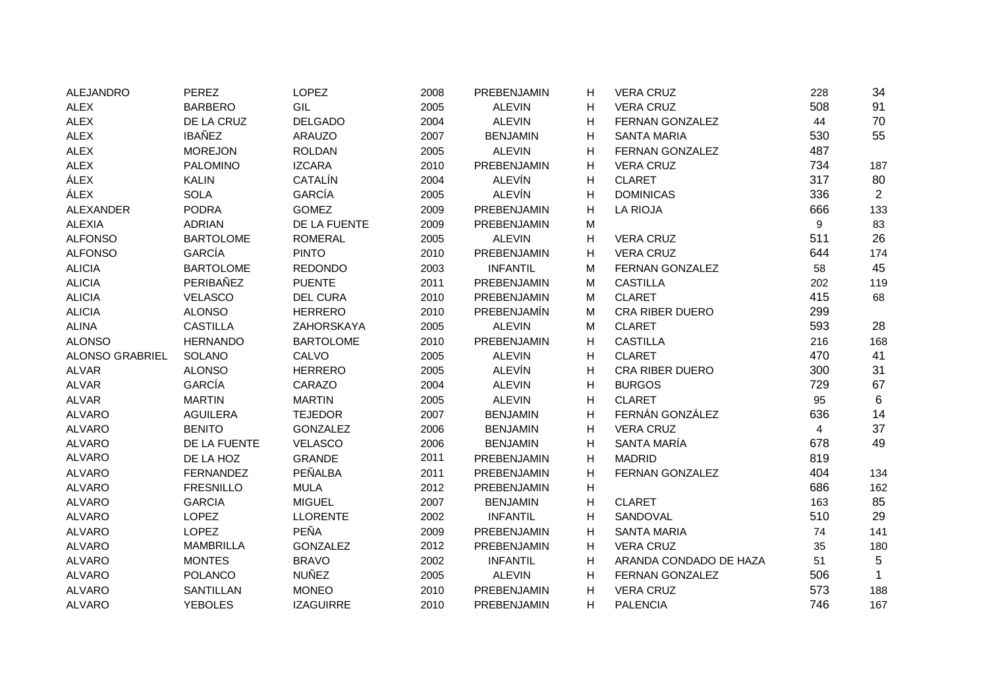| <b>ALEJANDRO</b> | <b>PEREZ</b>     | LOPEZ            | 2008 | PREBENJAMIN     | H                         | <b>VERA CRUZ</b>       | 228                     | 34             |
|------------------|------------------|------------------|------|-----------------|---------------------------|------------------------|-------------------------|----------------|
| <b>ALEX</b>      | <b>BARBERO</b>   | GIL              | 2005 | <b>ALEVIN</b>   | Н                         | <b>VERA CRUZ</b>       | 508                     | 91             |
| <b>ALEX</b>      | DE LA CRUZ       | <b>DELGADO</b>   | 2004 | <b>ALEVIN</b>   | H                         | FERNAN GONZALEZ        | 44                      | 70             |
| <b>ALEX</b>      | <b>IBAÑEZ</b>    | <b>ARAUZO</b>    | 2007 | <b>BENJAMIN</b> | H                         | <b>SANTA MARIA</b>     | 530                     | 55             |
| <b>ALEX</b>      | <b>MOREJON</b>   | <b>ROLDAN</b>    | 2005 | <b>ALEVIN</b>   | H                         | <b>FERNAN GONZALEZ</b> | 487                     |                |
| <b>ALEX</b>      | <b>PALOMINO</b>  | <b>IZCARA</b>    | 2010 | PREBENJAMIN     | H                         | <b>VERA CRUZ</b>       | 734                     | 187            |
| ÁLEX             | <b>KALIN</b>     | CATALÍN          | 2004 | <b>ALEVÍN</b>   | H                         | <b>CLARET</b>          | 317                     | 80             |
| ÁLEX             | <b>SOLA</b>      | <b>GARCÍA</b>    | 2005 | ALEVÍN          | H                         | <b>DOMINICAS</b>       | 336                     | $\overline{2}$ |
| <b>ALEXANDER</b> | <b>PODRA</b>     | <b>GOMEZ</b>     | 2009 | PREBENJAMIN     | H                         | <b>LA RIOJA</b>        | 666                     | 133            |
| <b>ALEXIA</b>    | <b>ADRIAN</b>    | DE LA FUENTE     | 2009 | PREBENJAMIN     | M                         |                        | 9                       | 83             |
| <b>ALFONSO</b>   | <b>BARTOLOME</b> | <b>ROMERAL</b>   | 2005 | <b>ALEVIN</b>   | H                         | <b>VERA CRUZ</b>       | 511                     | 26             |
| <b>ALFONSO</b>   | GARCÍA           | <b>PINTO</b>     | 2010 | PREBENJAMIN     | H                         | <b>VERA CRUZ</b>       | 644                     | 174            |
| <b>ALICIA</b>    | <b>BARTOLOME</b> | <b>REDONDO</b>   | 2003 | <b>INFANTIL</b> | M                         | <b>FERNAN GONZALEZ</b> | 58                      | 45             |
| <b>ALICIA</b>    | PERIBAÑEZ        | <b>PUENTE</b>    | 2011 | PREBENJAMIN     | M                         | <b>CASTILLA</b>        | 202                     | 119            |
| <b>ALICIA</b>    | <b>VELASCO</b>   | <b>DEL CURA</b>  | 2010 | PREBENJAMIN     | M                         | <b>CLARET</b>          | 415                     | 68             |
| <b>ALICIA</b>    | <b>ALONSO</b>    | <b>HERRERO</b>   | 2010 | PREBENJAMÍN     | M                         | <b>CRA RIBER DUERO</b> | 299                     |                |
| <b>ALINA</b>     | <b>CASTILLA</b>  | ZAHORSKAYA       | 2005 | <b>ALEVIN</b>   | M                         | <b>CLARET</b>          | 593                     | 28             |
| <b>ALONSO</b>    | <b>HERNANDO</b>  | <b>BARTOLOME</b> | 2010 | PREBENJAMIN     | н                         | <b>CASTILLA</b>        | 216                     | 168            |
| ALONSO GRABRIEL  | SOLANO           | CALVO            | 2005 | <b>ALEVIN</b>   | Н                         | <b>CLARET</b>          | 470                     | 41             |
| <b>ALVAR</b>     | <b>ALONSO</b>    | <b>HERRERO</b>   | 2005 | <b>ALEVÍN</b>   | H                         | <b>CRA RIBER DUERO</b> | 300                     | 31             |
| <b>ALVAR</b>     | GARCÍA           | CARAZO           | 2004 | <b>ALEVIN</b>   | Н                         | <b>BURGOS</b>          | 729                     | 67             |
| <b>ALVAR</b>     | <b>MARTIN</b>    | <b>MARTIN</b>    | 2005 | <b>ALEVIN</b>   | Н                         | <b>CLARET</b>          | 95                      | 6              |
| <b>ALVARO</b>    | <b>AGUILERA</b>  | <b>TEJEDOR</b>   | 2007 | <b>BENJAMIN</b> | Н                         | FERNÁN GONZÁLEZ        | 636                     | 14             |
| <b>ALVARO</b>    | <b>BENITO</b>    | <b>GONZALEZ</b>  | 2006 | <b>BENJAMIN</b> | H                         | <b>VERA CRUZ</b>       | $\overline{\mathbf{4}}$ | 37             |
| <b>ALVARO</b>    | DE LA FUENTE     | <b>VELASCO</b>   | 2006 | <b>BENJAMIN</b> | H                         | SANTA MARÍA            | 678                     | 49             |
| <b>ALVARO</b>    | DE LA HOZ        | <b>GRANDE</b>    | 2011 | PREBENJAMIN     | H                         | <b>MADRID</b>          | 819                     |                |
| <b>ALVARO</b>    | <b>FERNANDEZ</b> | PEÑALBA          | 2011 | PREBENJAMIN     | н                         | <b>FERNAN GONZALEZ</b> | 404                     | 134            |
| <b>ALVARO</b>    | <b>FRESNILLO</b> | <b>MULA</b>      | 2012 | PREBENJAMIN     | $\boldsymbol{\mathsf{H}}$ |                        | 686                     | 162            |
| <b>ALVARO</b>    | <b>GARCIA</b>    | <b>MIGUEL</b>    | 2007 | <b>BENJAMIN</b> | н                         | <b>CLARET</b>          | 163                     | 85             |
| <b>ALVARO</b>    | <b>LOPEZ</b>     | <b>LLORENTE</b>  | 2002 | <b>INFANTIL</b> | H                         | SANDOVAL               | 510                     | 29             |
| <b>ALVARO</b>    | <b>LOPEZ</b>     | PEÑA             | 2009 | PREBENJAMIN     | H                         | <b>SANTA MARIA</b>     | 74                      | 141            |
| <b>ALVARO</b>    | <b>MAMBRILLA</b> | <b>GONZALEZ</b>  | 2012 | PREBENJAMIN     | Н                         | <b>VERA CRUZ</b>       | 35                      | 180            |
| <b>ALVARO</b>    | <b>MONTES</b>    | <b>BRAVO</b>     | 2002 | <b>INFANTIL</b> | H                         | ARANDA CONDADO DE HAZA | 51                      | 5              |
| <b>ALVARO</b>    | <b>POLANCO</b>   | <b>NUÑEZ</b>     | 2005 | <b>ALEVIN</b>   | H                         | FERNAN GONZALEZ        | 506                     | $\mathbf{1}$   |
| <b>ALVARO</b>    | <b>SANTILLAN</b> | <b>MONEO</b>     | 2010 | PREBENJAMIN     | H                         | <b>VERA CRUZ</b>       | 573                     | 188            |
| <b>ALVARO</b>    | <b>YEBOLES</b>   | <b>IZAGUIRRE</b> | 2010 | PREBENJAMIN     | н                         | <b>PALENCIA</b>        | 746                     | 167            |
|                  |                  |                  |      |                 |                           |                        |                         |                |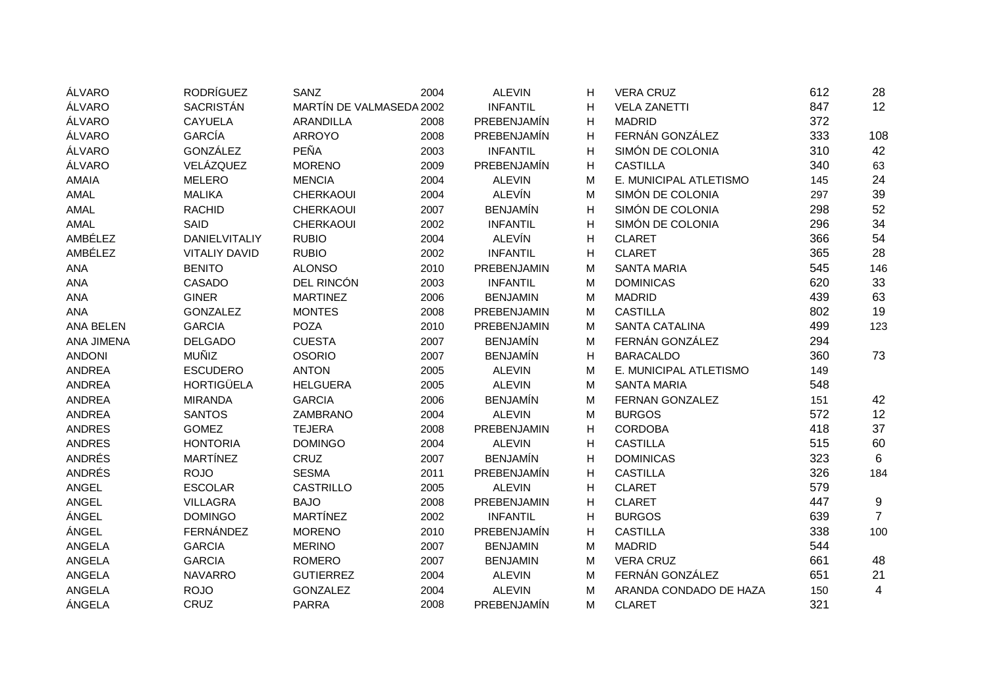| ÁLVARO            | <b>RODRÍGUEZ</b>     | SANZ                     | 2004 | <b>ALEVIN</b>   | н | <b>VERA CRUZ</b>       | 612 | 28             |
|-------------------|----------------------|--------------------------|------|-----------------|---|------------------------|-----|----------------|
| ÁLVARO            | <b>SACRISTÁN</b>     | MARTÍN DE VALMASEDA 2002 |      | <b>INFANTIL</b> | н | <b>VELA ZANETTI</b>    | 847 | 12             |
| ÁLVARO            | <b>CAYUELA</b>       | <b>ARANDILLA</b>         | 2008 | PREBENJAMÍN     | н | <b>MADRID</b>          | 372 |                |
| ÁLVARO            | <b>GARCÍA</b>        | <b>ARROYO</b>            | 2008 | PREBENJAMÍN     | H | FERNÁN GONZÁLEZ        | 333 | 108            |
| ÁLVARO            | <b>GONZÁLEZ</b>      | PEÑA                     | 2003 | <b>INFANTIL</b> | H | SIMÓN DE COLONIA       | 310 | 42             |
| ÁLVARO            | VELÁZQUEZ            | <b>MORENO</b>            | 2009 | PREBENJAMÍN     | H | <b>CASTILLA</b>        | 340 | 63             |
| <b>AMAIA</b>      | <b>MELERO</b>        | <b>MENCIA</b>            | 2004 | <b>ALEVIN</b>   | м | E. MUNICIPAL ATLETISMO | 145 | 24             |
| AMAL              | <b>MALIKA</b>        | <b>CHERKAOUI</b>         | 2004 | <b>ALEVÍN</b>   | М | SIMÓN DE COLONIA       | 297 | 39             |
| AMAL              | <b>RACHID</b>        | <b>CHERKAOUI</b>         | 2007 | <b>BENJAMÍN</b> | H | SIMÓN DE COLONIA       | 298 | 52             |
| AMAL              | SAID                 | <b>CHERKAOUI</b>         | 2002 | <b>INFANTIL</b> | H | SIMÓN DE COLONIA       | 296 | 34             |
| AMBÉLEZ           | DANIELVITALIY        | <b>RUBIO</b>             | 2004 | <b>ALEVÍN</b>   | н | <b>CLARET</b>          | 366 | 54             |
| AMBÉLEZ           | <b>VITALIY DAVID</b> | <b>RUBIO</b>             | 2002 | <b>INFANTIL</b> | н | <b>CLARET</b>          | 365 | 28             |
| ANA               | <b>BENITO</b>        | <b>ALONSO</b>            | 2010 | PREBENJAMIN     | м | <b>SANTA MARIA</b>     | 545 | 146            |
| ANA               | CASADO               | DEL RINCÓN               | 2003 | <b>INFANTIL</b> | M | <b>DOMINICAS</b>       | 620 | 33             |
| ANA               | <b>GINER</b>         | <b>MARTINEZ</b>          | 2006 | <b>BENJAMIN</b> | M | <b>MADRID</b>          | 439 | 63             |
| ANA               | <b>GONZALEZ</b>      | <b>MONTES</b>            | 2008 | PREBENJAMIN     | M | <b>CASTILLA</b>        | 802 | 19             |
| ANA BELEN         | <b>GARCIA</b>        | <b>POZA</b>              | 2010 | PREBENJAMIN     | M | <b>SANTA CATALINA</b>  | 499 | 123            |
| <b>ANA JIMENA</b> | <b>DELGADO</b>       | <b>CUESTA</b>            | 2007 | <b>BENJAMÍN</b> | М | FERNÁN GONZÁLEZ        | 294 |                |
| <b>ANDONI</b>     | <b>MUÑIZ</b>         | <b>OSORIO</b>            | 2007 | <b>BENJAMÍN</b> | н | <b>BARACALDO</b>       | 360 | 73             |
| <b>ANDREA</b>     | <b>ESCUDERO</b>      | <b>ANTON</b>             | 2005 | <b>ALEVIN</b>   | M | E. MUNICIPAL ATLETISMO | 149 |                |
| <b>ANDREA</b>     | <b>HORTIGÜELA</b>    | <b>HELGUERA</b>          | 2005 | <b>ALEVIN</b>   | M | <b>SANTA MARIA</b>     | 548 |                |
| <b>ANDREA</b>     | <b>MIRANDA</b>       | <b>GARCIA</b>            | 2006 | <b>BENJAMÍN</b> | M | FERNAN GONZALEZ        | 151 | 42             |
| <b>ANDREA</b>     | <b>SANTOS</b>        | ZAMBRANO                 | 2004 | <b>ALEVIN</b>   | M | <b>BURGOS</b>          | 572 | 12             |
| <b>ANDRES</b>     | <b>GOMEZ</b>         | <b>TEJERA</b>            | 2008 | PREBENJAMIN     | H | <b>CORDOBA</b>         | 418 | 37             |
| <b>ANDRES</b>     | <b>HONTORIA</b>      | <b>DOMINGO</b>           | 2004 | <b>ALEVIN</b>   | H | <b>CASTILLA</b>        | 515 | 60             |
| ANDRÉS            | <b>MARTÍNEZ</b>      | CRUZ                     | 2007 | <b>BENJAMÍN</b> | Н | <b>DOMINICAS</b>       | 323 | 6              |
| ANDRÉS            | <b>ROJO</b>          | <b>SESMA</b>             | 2011 | PREBENJAMÍN     | н | <b>CASTILLA</b>        | 326 | 184            |
| ANGEL             | <b>ESCOLAR</b>       | <b>CASTRILLO</b>         | 2005 | <b>ALEVIN</b>   | н | <b>CLARET</b>          | 579 |                |
| ANGEL             | <b>VILLAGRA</b>      | <b>BAJO</b>              | 2008 | PREBENJAMIN     | н | <b>CLARET</b>          | 447 | 9              |
| ÁNGEL             | <b>DOMINGO</b>       | <b>MARTÍNEZ</b>          | 2002 | <b>INFANTIL</b> | н | <b>BURGOS</b>          | 639 | $\overline{7}$ |
| ÁNGEL             | FERNÁNDEZ            | <b>MORENO</b>            | 2010 | PREBENJAMÍN     | H | <b>CASTILLA</b>        | 338 | 100            |
| <b>ANGELA</b>     | <b>GARCIA</b>        | <b>MERINO</b>            | 2007 | <b>BENJAMIN</b> | M | <b>MADRID</b>          | 544 |                |
| ANGELA            | <b>GARCIA</b>        | <b>ROMERO</b>            | 2007 | <b>BENJAMIN</b> | M | <b>VERA CRUZ</b>       | 661 | 48             |
| ANGELA            | <b>NAVARRO</b>       | <b>GUTIERREZ</b>         | 2004 | <b>ALEVIN</b>   | M | FERNÁN GONZÁLEZ        | 651 | 21             |
| <b>ANGELA</b>     | <b>ROJO</b>          | <b>GONZALEZ</b>          | 2004 | <b>ALEVIN</b>   | M | ARANDA CONDADO DE HAZA | 150 | 4              |
| ÁNGELA            | CRUZ                 | <b>PARRA</b>             | 2008 | PREBENJAMÍN     | М | <b>CLARET</b>          | 321 |                |
|                   |                      |                          |      |                 |   |                        |     |                |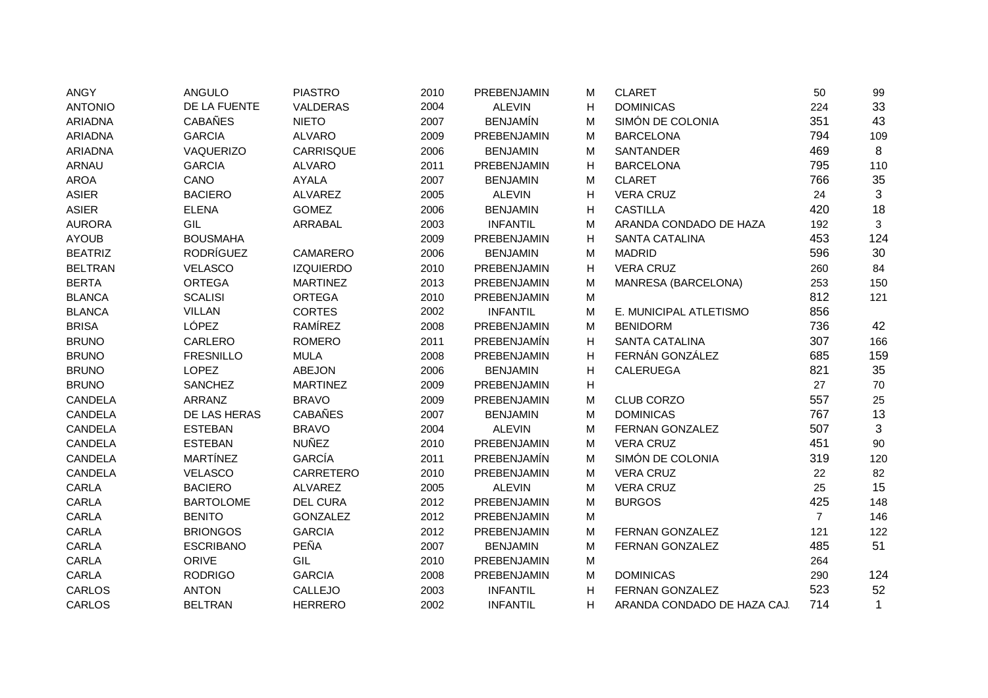| <b>ANGY</b>    | ANGULO           | <b>PIASTRO</b>   | 2010 | PREBENJAMIN     | M | <b>CLARET</b>               | 50             | 99           |
|----------------|------------------|------------------|------|-----------------|---|-----------------------------|----------------|--------------|
| <b>ANTONIO</b> | DE LA FUENTE     | VALDERAS         | 2004 | <b>ALEVIN</b>   | H | <b>DOMINICAS</b>            | 224            | 33           |
| <b>ARIADNA</b> | <b>CABAÑES</b>   | <b>NIETO</b>     | 2007 | <b>BENJAMÍN</b> | M | SIMÓN DE COLONIA            | 351            | 43           |
| <b>ARIADNA</b> | <b>GARCIA</b>    | <b>ALVARO</b>    | 2009 | PREBENJAMIN     | М | <b>BARCELONA</b>            | 794            | 109          |
| <b>ARIADNA</b> | VAQUERIZO        | CARRISQUE        | 2006 | <b>BENJAMIN</b> | м | <b>SANTANDER</b>            | 469            | 8            |
| ARNAU          | <b>GARCIA</b>    | <b>ALVARO</b>    | 2011 | PREBENJAMIN     | н | <b>BARCELONA</b>            | 795            | 110          |
| <b>AROA</b>    | CANO             | <b>AYALA</b>     | 2007 | <b>BENJAMIN</b> | м | <b>CLARET</b>               | 766            | 35           |
| <b>ASIER</b>   | <b>BACIERO</b>   | <b>ALVAREZ</b>   | 2005 | <b>ALEVIN</b>   | н | <b>VERA CRUZ</b>            | 24             | 3            |
| <b>ASIER</b>   | <b>ELENA</b>     | <b>GOMEZ</b>     | 2006 | <b>BENJAMIN</b> | H | <b>CASTILLA</b>             | 420            | 18           |
| <b>AURORA</b>  | GIL              | ARRABAL          | 2003 | <b>INFANTIL</b> | M | ARANDA CONDADO DE HAZA      | 192            | 3            |
| <b>AYOUB</b>   | <b>BOUSMAHA</b>  |                  | 2009 | PREBENJAMIN     | Н | SANTA CATALINA              | 453            | 124          |
| <b>BEATRIZ</b> | <b>RODRÍGUEZ</b> | CAMARERO         | 2006 | <b>BENJAMIN</b> | М | <b>MADRID</b>               | 596            | 30           |
| <b>BELTRAN</b> | <b>VELASCO</b>   | <b>IZQUIERDO</b> | 2010 | PREBENJAMIN     | H | <b>VERA CRUZ</b>            | 260            | 84           |
| <b>BERTA</b>   | <b>ORTEGA</b>    | <b>MARTINEZ</b>  | 2013 | PREBENJAMIN     | M | MANRESA (BARCELONA)         | 253            | 150          |
| <b>BLANCA</b>  | <b>SCALISI</b>   | <b>ORTEGA</b>    | 2010 | PREBENJAMIN     | M |                             | 812            | 121          |
| <b>BLANCA</b>  | <b>VILLAN</b>    | <b>CORTES</b>    | 2002 | <b>INFANTIL</b> | М | E. MUNICIPAL ATLETISMO      | 856            |              |
| <b>BRISA</b>   | LÓPEZ            | RAMÍREZ          | 2008 | PREBENJAMIN     | М | <b>BENIDORM</b>             | 736            | 42           |
| <b>BRUNO</b>   | CARLERO          | <b>ROMERO</b>    | 2011 | PREBENJAMÍN     | н | <b>SANTA CATALINA</b>       | 307            | 166          |
| <b>BRUNO</b>   | <b>FRESNILLO</b> | <b>MULA</b>      | 2008 | PREBENJAMIN     | Н | FERNÁN GONZÁLEZ             | 685            | 159          |
| <b>BRUNO</b>   | <b>LOPEZ</b>     | <b>ABEJON</b>    | 2006 | <b>BENJAMIN</b> | Η | <b>CALERUEGA</b>            | 821            | 35           |
| <b>BRUNO</b>   | <b>SANCHEZ</b>   | <b>MARTINEZ</b>  | 2009 | PREBENJAMIN     | н |                             | 27             | 70           |
| <b>CANDELA</b> | <b>ARRANZ</b>    | <b>BRAVO</b>     | 2009 | PREBENJAMIN     | M | <b>CLUB CORZO</b>           | 557            | 25           |
| CANDELA        | DE LAS HERAS     | <b>CABAÑES</b>   | 2007 | <b>BENJAMIN</b> | M | <b>DOMINICAS</b>            | 767            | 13           |
| CANDELA        | <b>ESTEBAN</b>   | <b>BRAVO</b>     | 2004 | <b>ALEVIN</b>   | M | <b>FERNAN GONZALEZ</b>      | 507            | 3            |
| <b>CANDELA</b> | <b>ESTEBAN</b>   | <b>NUÑEZ</b>     | 2010 | PREBENJAMIN     | М | <b>VERA CRUZ</b>            | 451            | 90           |
| <b>CANDELA</b> | <b>MARTÍNEZ</b>  | GARCÍA           | 2011 | PREBENJAMÍN     | М | SIMÓN DE COLONIA            | 319            | 120          |
| <b>CANDELA</b> | <b>VELASCO</b>   | CARRETERO        | 2010 | PREBENJAMIN     | М | <b>VERA CRUZ</b>            | 22             | 82           |
| <b>CARLA</b>   | <b>BACIERO</b>   | <b>ALVAREZ</b>   | 2005 | <b>ALEVIN</b>   | M | <b>VERA CRUZ</b>            | 25             | 15           |
| CARLA          | <b>BARTOLOME</b> | <b>DEL CURA</b>  | 2012 | PREBENJAMIN     | M | <b>BURGOS</b>               | 425            | 148          |
| CARLA          | <b>BENITO</b>    | <b>GONZALEZ</b>  | 2012 | PREBENJAMIN     | M |                             | $\overline{7}$ | 146          |
| CARLA          | <b>BRIONGOS</b>  | <b>GARCIA</b>    | 2012 | PREBENJAMIN     | M | FERNAN GONZALEZ             | 121            | 122          |
| CARLA          | <b>ESCRIBANO</b> | PEÑA             | 2007 | <b>BENJAMIN</b> | М | FERNAN GONZALEZ             | 485            | 51           |
| CARLA          | ORIVE            | GIL              | 2010 | PREBENJAMIN     | M |                             | 264            |              |
| CARLA          | <b>RODRIGO</b>   | <b>GARCIA</b>    | 2008 | PREBENJAMIN     | М | <b>DOMINICAS</b>            | 290            | 124          |
| CARLOS         | <b>ANTON</b>     | CALLEJO          | 2003 | <b>INFANTIL</b> | H | <b>FERNAN GONZALEZ</b>      | 523            | 52           |
| <b>CARLOS</b>  | <b>BELTRAN</b>   | <b>HERRERO</b>   | 2002 | <b>INFANTIL</b> | н | ARANDA CONDADO DE HAZA CAJ. | 714            | $\mathbf{1}$ |
|                |                  |                  |      |                 |   |                             |                |              |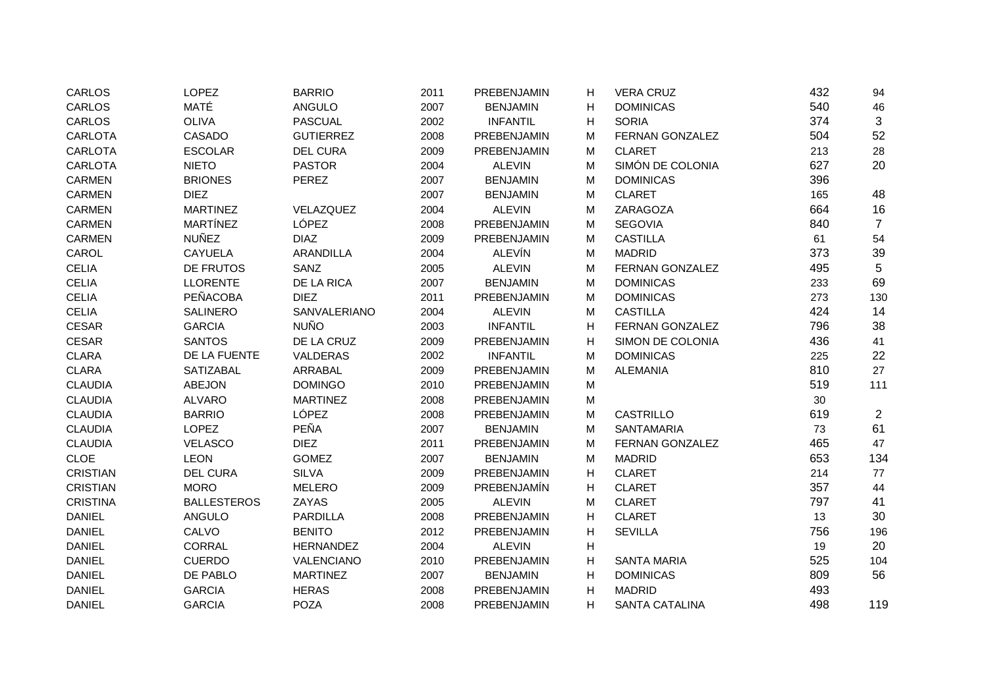| CARLOS          | <b>LOPEZ</b>       | <b>BARRIO</b>    | 2011 | PREBENJAMIN        | н | <b>VERA CRUZ</b>      | 432 | 94             |
|-----------------|--------------------|------------------|------|--------------------|---|-----------------------|-----|----------------|
| CARLOS          | MATÉ               | <b>ANGULO</b>    | 2007 | <b>BENJAMIN</b>    | н | <b>DOMINICAS</b>      | 540 | 46             |
| CARLOS          | <b>OLIVA</b>       | <b>PASCUAL</b>   | 2002 | <b>INFANTIL</b>    | н | <b>SORIA</b>          | 374 | $\mathbf{3}$   |
| <b>CARLOTA</b>  | <b>CASADO</b>      | <b>GUTIERREZ</b> | 2008 | PREBENJAMIN        | M | FERNAN GONZALEZ       | 504 | 52             |
| <b>CARLOTA</b>  | <b>ESCOLAR</b>     | <b>DEL CURA</b>  | 2009 | <b>PREBENJAMIN</b> | M | <b>CLARET</b>         | 213 | 28             |
| <b>CARLOTA</b>  | <b>NIETO</b>       | <b>PASTOR</b>    | 2004 | <b>ALEVIN</b>      | М | SIMÓN DE COLONIA      | 627 | 20             |
| <b>CARMEN</b>   | <b>BRIONES</b>     | <b>PEREZ</b>     | 2007 | <b>BENJAMIN</b>    | М | <b>DOMINICAS</b>      | 396 |                |
| <b>CARMEN</b>   | <b>DIEZ</b>        |                  | 2007 | <b>BENJAMIN</b>    | М | <b>CLARET</b>         | 165 | 48             |
| <b>CARMEN</b>   | <b>MARTINEZ</b>    | VELAZQUEZ        | 2004 | <b>ALEVIN</b>      | М | ZARAGOZA              | 664 | 16             |
| <b>CARMEN</b>   | <b>MARTÍNEZ</b>    | LÓPEZ            | 2008 | PREBENJAMIN        | M | <b>SEGOVIA</b>        | 840 | $\overline{7}$ |
| <b>CARMEN</b>   | <b>NUÑEZ</b>       | <b>DIAZ</b>      | 2009 | PREBENJAMIN        | M | <b>CASTILLA</b>       | 61  | 54             |
| CAROL           | <b>CAYUELA</b>     | <b>ARANDILLA</b> | 2004 | <b>ALEVÍN</b>      | M | <b>MADRID</b>         | 373 | 39             |
| <b>CELIA</b>    | DE FRUTOS          | SANZ             | 2005 | <b>ALEVIN</b>      | M | FERNAN GONZALEZ       | 495 | 5              |
| <b>CELIA</b>    | <b>LLORENTE</b>    | DE LA RICA       | 2007 | <b>BENJAMIN</b>    | M | <b>DOMINICAS</b>      | 233 | 69             |
| <b>CELIA</b>    | <b>PEÑACOBA</b>    | <b>DIEZ</b>      | 2011 | PREBENJAMIN        | M | <b>DOMINICAS</b>      | 273 | 130            |
| <b>CELIA</b>    | <b>SALINERO</b>    | SANVALERIANO     | 2004 | <b>ALEVIN</b>      | M | <b>CASTILLA</b>       | 424 | 14             |
| <b>CESAR</b>    | <b>GARCIA</b>      | <b>NUÑO</b>      | 2003 | <b>INFANTIL</b>    | н | FERNAN GONZALEZ       | 796 | 38             |
| <b>CESAR</b>    | <b>SANTOS</b>      | DE LA CRUZ       | 2009 | PREBENJAMIN        | н | SIMON DE COLONIA      | 436 | 41             |
| <b>CLARA</b>    | DE LA FUENTE       | VALDERAS         | 2002 | <b>INFANTIL</b>    | M | <b>DOMINICAS</b>      | 225 | 22             |
| <b>CLARA</b>    | <b>SATIZABAL</b>   | ARRABAL          | 2009 | PREBENJAMIN        | M | <b>ALEMANIA</b>       | 810 | 27             |
| <b>CLAUDIA</b>  | ABEJON             | <b>DOMINGO</b>   | 2010 | PREBENJAMIN        | М |                       | 519 | 111            |
| <b>CLAUDIA</b>  | <b>ALVARO</b>      | <b>MARTINEZ</b>  | 2008 | PREBENJAMIN        | М |                       | 30  |                |
| <b>CLAUDIA</b>  | <b>BARRIO</b>      | LÓPEZ            | 2008 | PREBENJAMIN        | M | <b>CASTRILLO</b>      | 619 | $\overline{2}$ |
| <b>CLAUDIA</b>  | <b>LOPEZ</b>       | PEÑA             | 2007 | <b>BENJAMIN</b>    | М | <b>SANTAMARIA</b>     | 73  | 61             |
| <b>CLAUDIA</b>  | <b>VELASCO</b>     | <b>DIEZ</b>      | 2011 | PREBENJAMIN        | M | FERNAN GONZALEZ       | 465 | 47             |
| <b>CLOE</b>     | <b>LEON</b>        | <b>GOMEZ</b>     | 2007 | <b>BENJAMIN</b>    | M | <b>MADRID</b>         | 653 | 134            |
| <b>CRISTIAN</b> | <b>DEL CURA</b>    | <b>SILVA</b>     | 2009 | PREBENJAMIN        | н | <b>CLARET</b>         | 214 | 77             |
| <b>CRISTIAN</b> | <b>MORO</b>        | <b>MELERO</b>    | 2009 | PREBENJAMÍN        | н | <b>CLARET</b>         | 357 | 44             |
| <b>CRISTINA</b> | <b>BALLESTEROS</b> | ZAYAS            | 2005 | <b>ALEVIN</b>      | М | <b>CLARET</b>         | 797 | 41             |
| <b>DANIEL</b>   | <b>ANGULO</b>      | <b>PARDILLA</b>  | 2008 | PREBENJAMIN        | н | <b>CLARET</b>         | 13  | 30             |
| <b>DANIEL</b>   | CALVO              | <b>BENITO</b>    | 2012 | PREBENJAMIN        | н | <b>SEVILLA</b>        | 756 | 196            |
| <b>DANIEL</b>   | <b>CORRAL</b>      | <b>HERNANDEZ</b> | 2004 | <b>ALEVIN</b>      | н |                       | 19  | 20             |
| <b>DANIEL</b>   | <b>CUERDO</b>      | VALENCIANO       | 2010 | PREBENJAMIN        | н | <b>SANTA MARIA</b>    | 525 | 104            |
| <b>DANIEL</b>   | DE PABLO           | <b>MARTINEZ</b>  | 2007 | <b>BENJAMIN</b>    | н | <b>DOMINICAS</b>      | 809 | 56             |
| <b>DANIEL</b>   | <b>GARCIA</b>      | <b>HERAS</b>     | 2008 | PREBENJAMIN        | н | <b>MADRID</b>         | 493 |                |
| <b>DANIEL</b>   | <b>GARCIA</b>      | <b>POZA</b>      | 2008 | PREBENJAMIN        | н | <b>SANTA CATALINA</b> | 498 | 119            |
|                 |                    |                  |      |                    |   |                       |     |                |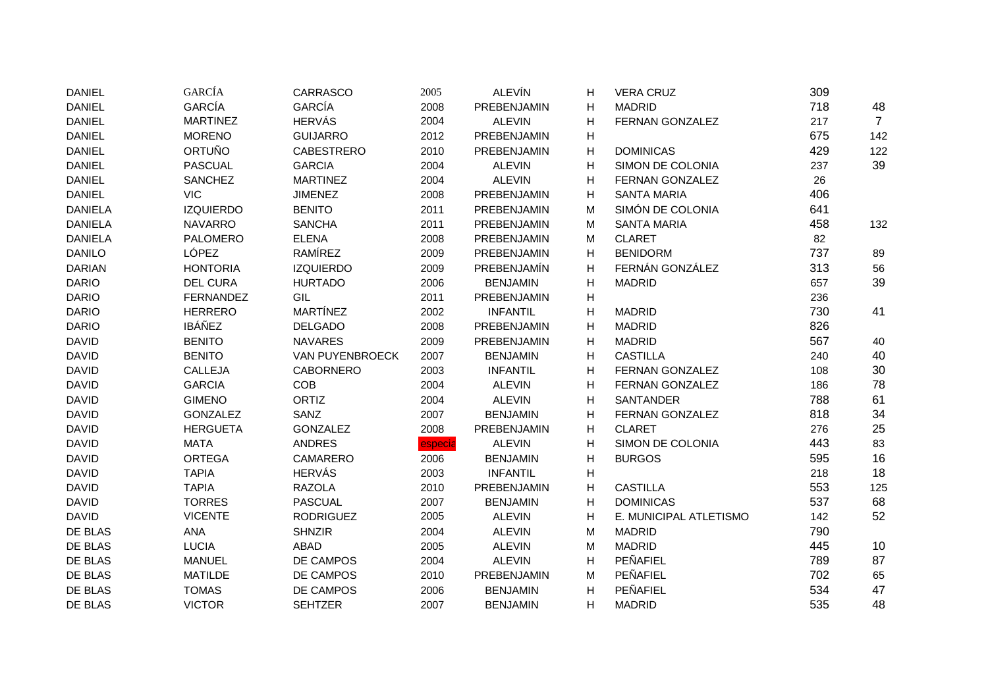| <b>DANIEL</b>  | <b>GARCÍA</b>    | CARRASCO          | 2005    | <b>ALEVÍN</b>   | н | <b>VERA CRUZ</b>       | 309 |                |
|----------------|------------------|-------------------|---------|-----------------|---|------------------------|-----|----------------|
| <b>DANIEL</b>  | <b>GARCÍA</b>    | <b>GARCÍA</b>     | 2008    | PREBENJAMIN     | н | <b>MADRID</b>          | 718 | 48             |
| <b>DANIEL</b>  | <b>MARTINEZ</b>  | <b>HERVÁS</b>     | 2004    | <b>ALEVIN</b>   | н | FERNAN GONZALEZ        | 217 | $\overline{7}$ |
| <b>DANIEL</b>  | <b>MORENO</b>    | <b>GUIJARRO</b>   | 2012    | PREBENJAMIN     | H |                        | 675 | 142            |
| <b>DANIEL</b>  | <b>ORTUÑO</b>    | <b>CABESTRERO</b> | 2010    | PREBENJAMIN     | н | <b>DOMINICAS</b>       | 429 | 122            |
| <b>DANIEL</b>  | <b>PASCUAL</b>   | <b>GARCIA</b>     | 2004    | <b>ALEVIN</b>   | н | SIMON DE COLONIA       | 237 | 39             |
| <b>DANIEL</b>  | <b>SANCHEZ</b>   | <b>MARTINEZ</b>   | 2004    | <b>ALEVIN</b>   | н | FERNAN GONZALEZ        | 26  |                |
| <b>DANIEL</b>  | <b>VIC</b>       | <b>JIMENEZ</b>    | 2008    | PREBENJAMIN     | н | <b>SANTA MARIA</b>     | 406 |                |
| <b>DANIELA</b> | <b>IZQUIERDO</b> | <b>BENITO</b>     | 2011    | PREBENJAMIN     | М | SIMÓN DE COLONIA       | 641 |                |
| <b>DANIELA</b> | <b>NAVARRO</b>   | <b>SANCHA</b>     | 2011    | PREBENJAMIN     | М | <b>SANTA MARIA</b>     | 458 | 132            |
| <b>DANIELA</b> | <b>PALOMERO</b>  | <b>ELENA</b>      | 2008    | PREBENJAMIN     | М | <b>CLARET</b>          | 82  |                |
| <b>DANILO</b>  | LÓPEZ            | RAMÍREZ           | 2009    | PREBENJAMIN     | н | <b>BENIDORM</b>        | 737 | 89             |
| <b>DARIAN</b>  | <b>HONTORIA</b>  | <b>IZQUIERDO</b>  | 2009    | PREBENJAMÍN     | н | FERNÁN GONZÁLEZ        | 313 | 56             |
| <b>DARIO</b>   | <b>DEL CURA</b>  | <b>HURTADO</b>    | 2006    | <b>BENJAMIN</b> | н | <b>MADRID</b>          | 657 | 39             |
| <b>DARIO</b>   | <b>FERNANDEZ</b> | GIL               | 2011    | PREBENJAMIN     | н |                        | 236 |                |
| <b>DARIO</b>   | <b>HERRERO</b>   | <b>MARTÍNEZ</b>   | 2002    | <b>INFANTIL</b> | н | <b>MADRID</b>          | 730 | 41             |
| <b>DARIO</b>   | <b>IBÁÑEZ</b>    | <b>DELGADO</b>    | 2008    | PREBENJAMIN     | н | <b>MADRID</b>          | 826 |                |
| <b>DAVID</b>   | <b>BENITO</b>    | <b>NAVARES</b>    | 2009    | PREBENJAMIN     | н | <b>MADRID</b>          | 567 | 40             |
| <b>DAVID</b>   | <b>BENITO</b>    | VAN PUYENBROECK   | 2007    | <b>BENJAMIN</b> | н | <b>CASTILLA</b>        | 240 | 40             |
| <b>DAVID</b>   | CALLEJA          | <b>CABORNERO</b>  | 2003    | <b>INFANTIL</b> | Н | FERNAN GONZALEZ        | 108 | 30             |
| <b>DAVID</b>   | <b>GARCIA</b>    | <b>COB</b>        | 2004    | <b>ALEVIN</b>   | н | FERNAN GONZALEZ        | 186 | 78             |
| <b>DAVID</b>   | <b>GIMENO</b>    | ORTIZ             | 2004    | <b>ALEVIN</b>   | н | SANTANDER              | 788 | 61             |
| <b>DAVID</b>   | <b>GONZALEZ</b>  | SANZ              | 2007    | <b>BENJAMIN</b> | н | FERNAN GONZALEZ        | 818 | 34             |
| <b>DAVID</b>   | <b>HERGUETA</b>  | <b>GONZALEZ</b>   | 2008    | PREBENJAMIN     | н | <b>CLARET</b>          | 276 | 25             |
| <b>DAVID</b>   | <b>MATA</b>      | <b>ANDRES</b>     | especia | <b>ALEVIN</b>   | н | SIMON DE COLONIA       | 443 | 83             |
| <b>DAVID</b>   | <b>ORTEGA</b>    | CAMARERO          | 2006    | <b>BENJAMIN</b> | н | <b>BURGOS</b>          | 595 | 16             |
| <b>DAVID</b>   | <b>TAPIA</b>     | <b>HERVÁS</b>     | 2003    | <b>INFANTIL</b> | н |                        | 218 | 18             |
| <b>DAVID</b>   | <b>TAPIA</b>     | <b>RAZOLA</b>     | 2010    | PREBENJAMIN     | Н | <b>CASTILLA</b>        | 553 | 125            |
| <b>DAVID</b>   | <b>TORRES</b>    | <b>PASCUAL</b>    | 2007    | <b>BENJAMIN</b> | н | <b>DOMINICAS</b>       | 537 | 68             |
| <b>DAVID</b>   | <b>VICENTE</b>   | <b>RODRIGUEZ</b>  | 2005    | <b>ALEVIN</b>   | н | E. MUNICIPAL ATLETISMO | 142 | 52             |
| DE BLAS        | <b>ANA</b>       | <b>SHNZIR</b>     | 2004    | <b>ALEVIN</b>   | M | <b>MADRID</b>          | 790 |                |
| DE BLAS        | <b>LUCIA</b>     | <b>ABAD</b>       | 2005    | <b>ALEVIN</b>   | M | <b>MADRID</b>          | 445 | 10             |
| DE BLAS        | <b>MANUEL</b>    | DE CAMPOS         | 2004    | <b>ALEVIN</b>   | Η | PEÑAFIEL               | 789 | 87             |
| DE BLAS        | <b>MATILDE</b>   | DE CAMPOS         | 2010    | PREBENJAMIN     | М | PEÑAFIEL               | 702 | 65             |
| DE BLAS        | <b>TOMAS</b>     | DE CAMPOS         | 2006    | <b>BENJAMIN</b> | н | PEÑAFIEL               | 534 | 47             |
| DE BLAS        | <b>VICTOR</b>    | <b>SEHTZER</b>    | 2007    | <b>BENJAMIN</b> | н | <b>MADRID</b>          | 535 | 48             |
|                |                  |                   |         |                 |   |                        |     |                |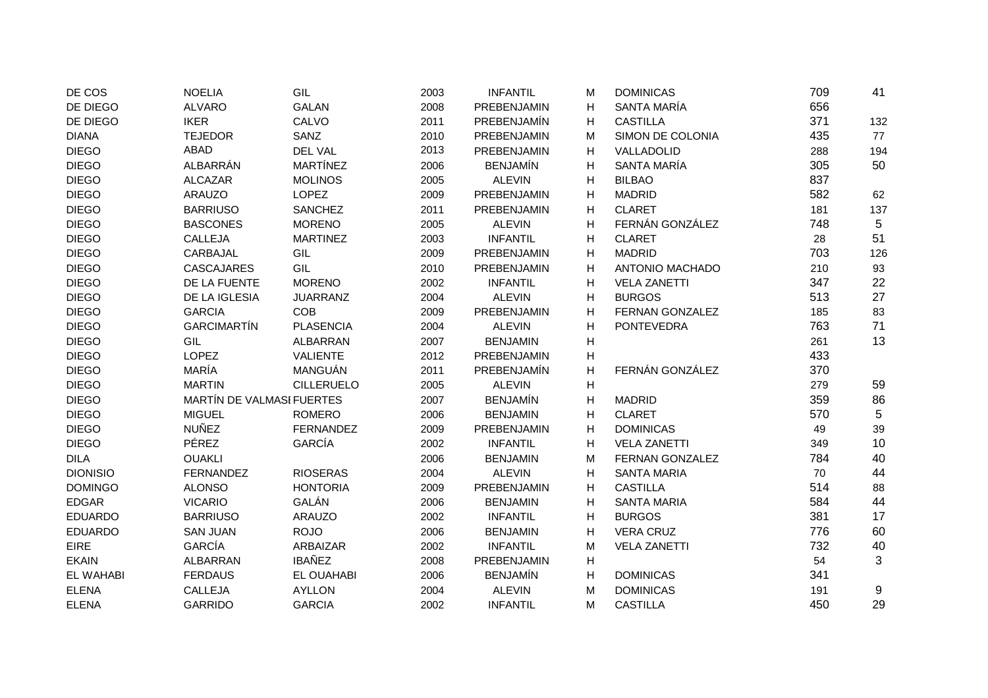| DE COS           | <b>NOELIA</b>             | GIL               | 2003 | <b>INFANTIL</b> | M | <b>DOMINICAS</b>       | 709 | 41  |
|------------------|---------------------------|-------------------|------|-----------------|---|------------------------|-----|-----|
| DE DIEGO         | <b>ALVARO</b>             | <b>GALAN</b>      | 2008 | PREBENJAMIN     | н | SANTA MARÍA            | 656 |     |
| DE DIEGO         | <b>IKER</b>               | CALVO             | 2011 | PREBENJAMÍN     | H | <b>CASTILLA</b>        | 371 | 132 |
| <b>DIANA</b>     | <b>TEJEDOR</b>            | SANZ              | 2010 | PREBENJAMIN     | М | SIMON DE COLONIA       | 435 | 77  |
| <b>DIEGO</b>     | <b>ABAD</b>               | DEL VAL           | 2013 | PREBENJAMIN     | н | VALLADOLID             | 288 | 194 |
| <b>DIEGO</b>     | ALBARRÁN                  | <b>MARTÍNEZ</b>   | 2006 | <b>BENJAMÍN</b> | н | SANTA MARÍA            | 305 | 50  |
| <b>DIEGO</b>     | <b>ALCAZAR</b>            | <b>MOLINOS</b>    | 2005 | <b>ALEVIN</b>   | н | <b>BILBAO</b>          | 837 |     |
| <b>DIEGO</b>     | <b>ARAUZO</b>             | <b>LOPEZ</b>      | 2009 | PREBENJAMIN     | н | <b>MADRID</b>          | 582 | 62  |
| <b>DIEGO</b>     | <b>BARRIUSO</b>           | <b>SANCHEZ</b>    | 2011 | PREBENJAMIN     | н | <b>CLARET</b>          | 181 | 137 |
| <b>DIEGO</b>     | <b>BASCONES</b>           | <b>MORENO</b>     | 2005 | <b>ALEVIN</b>   | н | FERNÁN GONZÁLEZ        | 748 | 5   |
| <b>DIEGO</b>     | CALLEJA                   | <b>MARTINEZ</b>   | 2003 | <b>INFANTIL</b> | Η | <b>CLARET</b>          | 28  | 51  |
| <b>DIEGO</b>     | CARBAJAL                  | GIL               | 2009 | PREBENJAMIN     | H | <b>MADRID</b>          | 703 | 126 |
| <b>DIEGO</b>     | CASCAJARES                | GIL               | 2010 | PREBENJAMIN     | н | ANTONIO MACHADO        | 210 | 93  |
| <b>DIEGO</b>     | DE LA FUENTE              | <b>MORENO</b>     | 2002 | <b>INFANTIL</b> | H | <b>VELA ZANETTI</b>    | 347 | 22  |
| <b>DIEGO</b>     | DE LA IGLESIA             | <b>JUARRANZ</b>   | 2004 | <b>ALEVIN</b>   | н | <b>BURGOS</b>          | 513 | 27  |
| <b>DIEGO</b>     | <b>GARCIA</b>             | <b>COB</b>        | 2009 | PREBENJAMIN     | H | <b>FERNAN GONZALEZ</b> | 185 | 83  |
| <b>DIEGO</b>     | <b>GARCIMARTÍN</b>        | <b>PLASENCIA</b>  | 2004 | <b>ALEVIN</b>   | н | <b>PONTEVEDRA</b>      | 763 | 71  |
| <b>DIEGO</b>     | GIL                       | <b>ALBARRAN</b>   | 2007 | <b>BENJAMIN</b> | H |                        | 261 | 13  |
| <b>DIEGO</b>     | LOPEZ                     | <b>VALIENTE</b>   | 2012 | PREBENJAMIN     | H |                        | 433 |     |
| <b>DIEGO</b>     | MARÍA                     | MANGUÁN           | 2011 | PREBENJAMÍN     | н | FERNÁN GONZÁLEZ        | 370 |     |
| <b>DIEGO</b>     | <b>MARTIN</b>             | <b>CILLERUELO</b> | 2005 | <b>ALEVIN</b>   | н |                        | 279 | 59  |
| <b>DIEGO</b>     | MARTÍN DE VALMASI FUERTES |                   | 2007 | <b>BENJAMÍN</b> | н | <b>MADRID</b>          | 359 | 86  |
| <b>DIEGO</b>     | <b>MIGUEL</b>             | <b>ROMERO</b>     | 2006 | <b>BENJAMIN</b> | H | <b>CLARET</b>          | 570 | 5   |
| <b>DIEGO</b>     | <b>NUÑEZ</b>              | <b>FERNANDEZ</b>  | 2009 | PREBENJAMIN     | H | <b>DOMINICAS</b>       | 49  | 39  |
| <b>DIEGO</b>     | <b>PÉREZ</b>              | GARCÍA            | 2002 | <b>INFANTIL</b> | н | <b>VELA ZANETTI</b>    | 349 | 10  |
| <b>DILA</b>      | <b>OUAKLI</b>             |                   | 2006 | <b>BENJAMIN</b> | М | <b>FERNAN GONZALEZ</b> | 784 | 40  |
| <b>DIONISIO</b>  | <b>FERNANDEZ</b>          | <b>RIOSERAS</b>   | 2004 | <b>ALEVIN</b>   | H | <b>SANTA MARIA</b>     | 70  | 44  |
| <b>DOMINGO</b>   | <b>ALONSO</b>             | <b>HONTORIA</b>   | 2009 | PREBENJAMIN     | H | <b>CASTILLA</b>        | 514 | 88  |
| <b>EDGAR</b>     | <b>VICARIO</b>            | GALÁN             | 2006 | <b>BENJAMIN</b> | Н | <b>SANTA MARIA</b>     | 584 | 44  |
| <b>EDUARDO</b>   | <b>BARRIUSO</b>           | <b>ARAUZO</b>     | 2002 | <b>INFANTIL</b> | н | <b>BURGOS</b>          | 381 | 17  |
| <b>EDUARDO</b>   | <b>SAN JUAN</b>           | <b>ROJO</b>       | 2006 | <b>BENJAMIN</b> | H | <b>VERA CRUZ</b>       | 776 | 60  |
| <b>EIRE</b>      | <b>GARCÍA</b>             | ARBAIZAR          | 2002 | <b>INFANTIL</b> | M | <b>VELA ZANETTI</b>    | 732 | 40  |
| <b>EKAIN</b>     | <b>ALBARRAN</b>           | <b>IBAÑEZ</b>     | 2008 | PREBENJAMIN     | H |                        | 54  | 3   |
| <b>EL WAHABI</b> | <b>FERDAUS</b>            | <b>EL OUAHABI</b> | 2006 | <b>BENJAMÍN</b> | H | <b>DOMINICAS</b>       | 341 |     |
| <b>ELENA</b>     | CALLEJA                   | <b>AYLLON</b>     | 2004 | <b>ALEVIN</b>   | M | <b>DOMINICAS</b>       | 191 | 9   |
| <b>ELENA</b>     | <b>GARRIDO</b>            | <b>GARCIA</b>     | 2002 | <b>INFANTIL</b> | M | <b>CASTILLA</b>        | 450 | 29  |
|                  |                           |                   |      |                 |   |                        |     |     |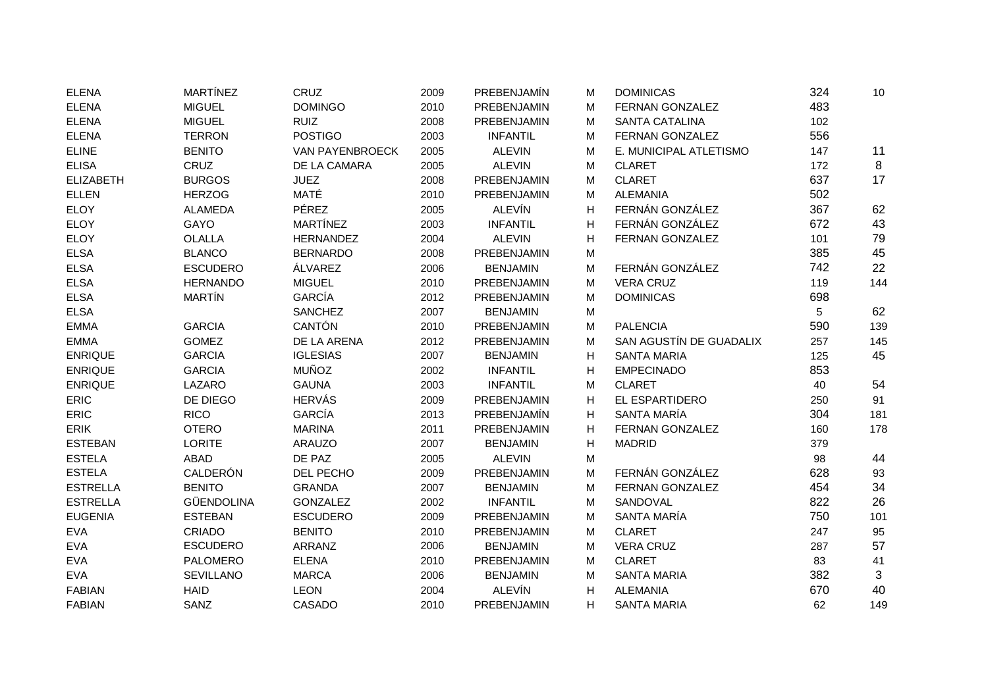| <b>ELENA</b>     | <b>MARTÍNEZ</b>  | CRUZ                   | 2009 | PREBENJAMÍN     | м | <b>DOMINICAS</b>        | 324 | 10  |
|------------------|------------------|------------------------|------|-----------------|---|-------------------------|-----|-----|
| <b>ELENA</b>     | <b>MIGUEL</b>    | <b>DOMINGO</b>         | 2010 | PREBENJAMIN     | M | FERNAN GONZALEZ         | 483 |     |
| <b>ELENA</b>     | <b>MIGUEL</b>    | <b>RUIZ</b>            | 2008 | PREBENJAMIN     | м | <b>SANTA CATALINA</b>   | 102 |     |
| <b>ELENA</b>     | <b>TERRON</b>    | <b>POSTIGO</b>         | 2003 | <b>INFANTIL</b> | M | FERNAN GONZALEZ         | 556 |     |
| <b>ELINE</b>     | <b>BENITO</b>    | <b>VAN PAYENBROECK</b> | 2005 | <b>ALEVIN</b>   | M | E. MUNICIPAL ATLETISMO  | 147 | 11  |
| <b>ELISA</b>     | <b>CRUZ</b>      | DE LA CAMARA           | 2005 | <b>ALEVIN</b>   | M | <b>CLARET</b>           | 172 | 8   |
| <b>ELIZABETH</b> | <b>BURGOS</b>    | <b>JUEZ</b>            | 2008 | PREBENJAMIN     | M | <b>CLARET</b>           | 637 | 17  |
| <b>ELLEN</b>     | <b>HERZOG</b>    | MATÉ                   | 2010 | PREBENJAMIN     | M | <b>ALEMANIA</b>         | 502 |     |
| <b>ELOY</b>      | <b>ALAMEDA</b>   | <b>PÉREZ</b>           | 2005 | <b>ALEVÍN</b>   | н | FERNÁN GONZÁLEZ         | 367 | 62  |
| ELOY             | GAYO             | MARTÍNEZ               | 2003 | <b>INFANTIL</b> | н | FERNÁN GONZÁLEZ         | 672 | 43  |
| <b>ELOY</b>      | <b>OLALLA</b>    | <b>HERNANDEZ</b>       | 2004 | <b>ALEVIN</b>   | н | FERNAN GONZALEZ         | 101 | 79  |
| <b>ELSA</b>      | <b>BLANCO</b>    | <b>BERNARDO</b>        | 2008 | PREBENJAMIN     | М |                         | 385 | 45  |
| <b>ELSA</b>      | <b>ESCUDERO</b>  | ÁLVAREZ                | 2006 | <b>BENJAMIN</b> | M | FERNÁN GONZÁLEZ         | 742 | 22  |
| <b>ELSA</b>      | <b>HERNANDO</b>  | <b>MIGUEL</b>          | 2010 | PREBENJAMIN     | M | <b>VERA CRUZ</b>        | 119 | 144 |
| <b>ELSA</b>      | <b>MARTÍN</b>    | GARCÍA                 | 2012 | PREBENJAMIN     | M | <b>DOMINICAS</b>        | 698 |     |
| <b>ELSA</b>      |                  | <b>SANCHEZ</b>         | 2007 | <b>BENJAMIN</b> | M |                         | 5   | 62  |
| <b>EMMA</b>      | <b>GARCIA</b>    | CANTÓN                 | 2010 | PREBENJAMIN     | M | <b>PALENCIA</b>         | 590 | 139 |
| <b>EMMA</b>      | <b>GOMEZ</b>     | DE LA ARENA            | 2012 | PREBENJAMIN     | M | SAN AGUSTÍN DE GUADALIX | 257 | 145 |
| <b>ENRIQUE</b>   | <b>GARCIA</b>    | <b>IGLESIAS</b>        | 2007 | <b>BENJAMIN</b> | н | <b>SANTA MARIA</b>      | 125 | 45  |
| <b>ENRIQUE</b>   | <b>GARCIA</b>    | <b>MUÑOZ</b>           | 2002 | <b>INFANTIL</b> | н | <b>EMPECINADO</b>       | 853 |     |
| <b>ENRIQUE</b>   | LAZARO           | <b>GAUNA</b>           | 2003 | <b>INFANTIL</b> | M | <b>CLARET</b>           | 40  | 54  |
| ERIC             | DE DIEGO         | <b>HERVÁS</b>          | 2009 | PREBENJAMIN     | н | EL ESPARTIDERO          | 250 | 91  |
| ERIC             | <b>RICO</b>      | GARCÍA                 | 2013 | PREBENJAMÍN     | н | SANTA MARÍA             | 304 | 181 |
| <b>ERIK</b>      | <b>OTERO</b>     | <b>MARINA</b>          | 2011 | PREBENJAMIN     | н | FERNAN GONZALEZ         | 160 | 178 |
| <b>ESTEBAN</b>   | <b>LORITE</b>    | <b>ARAUZO</b>          | 2007 | <b>BENJAMIN</b> | н | <b>MADRID</b>           | 379 |     |
| <b>ESTELA</b>    | ABAD             | DE PAZ                 | 2005 | <b>ALEVIN</b>   | M |                         | 98  | 44  |
| <b>ESTELA</b>    | CALDERÓN         | DEL PECHO              | 2009 | PREBENJAMIN     | M | FERNÁN GONZÁLEZ         | 628 | 93  |
| <b>ESTRELLA</b>  | <b>BENITO</b>    | <b>GRANDA</b>          | 2007 | <b>BENJAMIN</b> | м | FERNAN GONZALEZ         | 454 | 34  |
| <b>ESTRELLA</b>  | GÜENDOLINA       | <b>GONZALEZ</b>        | 2002 | <b>INFANTIL</b> | M | SANDOVAL                | 822 | 26  |
| <b>EUGENIA</b>   | <b>ESTEBAN</b>   | <b>ESCUDERO</b>        | 2009 | PREBENJAMIN     | M | SANTA MARÍA             | 750 | 101 |
| <b>EVA</b>       | <b>CRIADO</b>    | <b>BENITO</b>          | 2010 | PREBENJAMIN     | M | <b>CLARET</b>           | 247 | 95  |
| <b>EVA</b>       | <b>ESCUDERO</b>  | ARRANZ                 | 2006 | <b>BENJAMIN</b> | M | <b>VERA CRUZ</b>        | 287 | 57  |
| EVA              | <b>PALOMERO</b>  | <b>ELENA</b>           | 2010 | PREBENJAMIN     | M | <b>CLARET</b>           | 83  | 41  |
| <b>EVA</b>       | <b>SEVILLANO</b> | <b>MARCA</b>           | 2006 | <b>BENJAMIN</b> | М | <b>SANTA MARIA</b>      | 382 | 3   |
| <b>FABIAN</b>    | <b>HAID</b>      | <b>LEON</b>            | 2004 | <b>ALEVÍN</b>   | н | <b>ALEMANIA</b>         | 670 | 40  |
| <b>FABIAN</b>    | SANZ             | CASADO                 | 2010 | PREBENJAMIN     | н | <b>SANTA MARIA</b>      | 62  | 149 |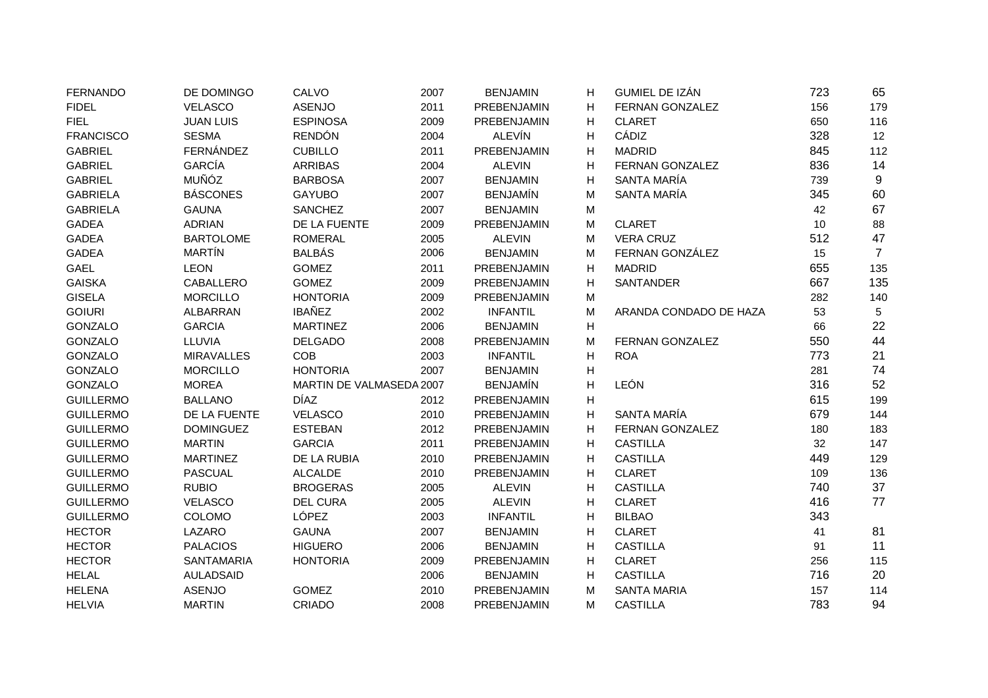| <b>FERNANDO</b>  | DE DOMINGO        | CALVO                    | 2007 | <b>BENJAMIN</b> | н              | GUMIEL DE IZÁN         | 723 | 65              |
|------------------|-------------------|--------------------------|------|-----------------|----------------|------------------------|-----|-----------------|
| <b>FIDEL</b>     | <b>VELASCO</b>    | <b>ASENJO</b>            | 2011 | PREBENJAMIN     | н              | FERNAN GONZALEZ        | 156 | 179             |
| <b>FIEL</b>      | <b>JUAN LUIS</b>  | <b>ESPINOSA</b>          | 2009 | PREBENJAMIN     | н              | <b>CLARET</b>          | 650 | 116             |
| <b>FRANCISCO</b> | <b>SESMA</b>      | <b>RENDÓN</b>            | 2004 | <b>ALEVÍN</b>   | Η              | CÁDIZ                  | 328 | 12              |
| <b>GABRIEL</b>   | FERNÁNDEZ         | <b>CUBILLO</b>           | 2011 | PREBENJAMIN     | Н              | <b>MADRID</b>          | 845 | 112             |
| <b>GABRIEL</b>   | <b>GARCÍA</b>     | <b>ARRIBAS</b>           | 2004 | <b>ALEVIN</b>   | н              | FERNAN GONZALEZ        | 836 | 14              |
| <b>GABRIEL</b>   | <b>MUÑÓZ</b>      | <b>BARBOSA</b>           | 2007 | <b>BENJAMIN</b> | н              | SANTA MARÍA            | 739 | 9               |
| <b>GABRIELA</b>  | <b>BÁSCONES</b>   | <b>GAYUBO</b>            | 2007 | <b>BENJAMÍN</b> | М              | SANTA MARÍA            | 345 | 60              |
| <b>GABRIELA</b>  | <b>GAUNA</b>      | <b>SANCHEZ</b>           | 2007 | <b>BENJAMIN</b> | M              |                        | 42  | 67              |
| <b>GADEA</b>     | <b>ADRIAN</b>     | DE LA FUENTE             | 2009 | PREBENJAMIN     | М              | <b>CLARET</b>          | 10  | 88              |
| <b>GADEA</b>     | <b>BARTOLOME</b>  | <b>ROMERAL</b>           | 2005 | <b>ALEVIN</b>   | M              | <b>VERA CRUZ</b>       | 512 | 47              |
| <b>GADEA</b>     | <b>MARTÍN</b>     | <b>BALBÁS</b>            | 2006 | <b>BENJAMIN</b> | М              | FERNAN GONZÁLEZ        | 15  | $\overline{7}$  |
| <b>GAEL</b>      | <b>LEON</b>       | <b>GOMEZ</b>             | 2011 | PREBENJAMIN     | н              | <b>MADRID</b>          | 655 | 135             |
| <b>GAISKA</b>    | <b>CABALLERO</b>  | <b>GOMEZ</b>             | 2009 | PREBENJAMIN     | н              | <b>SANTANDER</b>       | 667 | 135             |
| <b>GISELA</b>    | <b>MORCILLO</b>   | <b>HONTORIA</b>          | 2009 | PREBENJAMIN     | М              |                        | 282 | 140             |
| <b>GOIURI</b>    | ALBARRAN          | <b>IBAÑEZ</b>            | 2002 | <b>INFANTIL</b> | M              | ARANDA CONDADO DE HAZA | 53  | $5\phantom{.0}$ |
| GONZALO          | <b>GARCIA</b>     | <b>MARTINEZ</b>          | 2006 | <b>BENJAMIN</b> | н              |                        | 66  | 22              |
| GONZALO          | LLUVIA            | <b>DELGADO</b>           | 2008 | PREBENJAMIN     | M              | FERNAN GONZALEZ        | 550 | 44              |
| <b>GONZALO</b>   | <b>MIRAVALLES</b> | <b>COB</b>               | 2003 | <b>INFANTIL</b> | н              | <b>ROA</b>             | 773 | 21              |
| <b>GONZALO</b>   | <b>MORCILLO</b>   | <b>HONTORIA</b>          | 2007 | <b>BENJAMIN</b> | н              |                        | 281 | 74              |
| GONZALO          | <b>MOREA</b>      | MARTIN DE VALMASEDA 2007 |      | <b>BENJAMÍN</b> | $\overline{H}$ | LEÓN                   | 316 | 52              |
| <b>GUILLERMO</b> | <b>BALLANO</b>    | <b>DÍAZ</b>              | 2012 | PREBENJAMIN     | н              |                        | 615 | 199             |
| <b>GUILLERMO</b> | DE LA FUENTE      | <b>VELASCO</b>           | 2010 | PREBENJAMIN     | н              | SANTA MARÍA            | 679 | 144             |
| <b>GUILLERMO</b> | <b>DOMINGUEZ</b>  | <b>ESTEBAN</b>           | 2012 | PREBENJAMIN     | н              | FERNAN GONZALEZ        | 180 | 183             |
| <b>GUILLERMO</b> | <b>MARTIN</b>     | <b>GARCIA</b>            | 2011 | PREBENJAMIN     | н              | <b>CASTILLA</b>        | 32  | 147             |
| <b>GUILLERMO</b> | <b>MARTINEZ</b>   | DE LA RUBIA              | 2010 | PREBENJAMIN     | Η              | <b>CASTILLA</b>        | 449 | 129             |
| <b>GUILLERMO</b> | <b>PASCUAL</b>    | <b>ALCALDE</b>           | 2010 | PREBENJAMIN     | н              | <b>CLARET</b>          | 109 | 136             |
| <b>GUILLERMO</b> | <b>RUBIO</b>      | <b>BROGERAS</b>          | 2005 | <b>ALEVIN</b>   | Η              | <b>CASTILLA</b>        | 740 | 37              |
| <b>GUILLERMO</b> | <b>VELASCO</b>    | <b>DEL CURA</b>          | 2005 | <b>ALEVIN</b>   | Η              | <b>CLARET</b>          | 416 | 77              |
| <b>GUILLERMO</b> | COLOMO            | LÓPEZ                    | 2003 | <b>INFANTIL</b> | н              | <b>BILBAO</b>          | 343 |                 |
| <b>HECTOR</b>    | LAZARO            | <b>GAUNA</b>             | 2007 | <b>BENJAMIN</b> | Н              | <b>CLARET</b>          | 41  | 81              |
| <b>HECTOR</b>    | <b>PALACIOS</b>   | <b>HIGUERO</b>           | 2006 | <b>BENJAMIN</b> | н              | <b>CASTILLA</b>        | 91  | 11              |
| <b>HECTOR</b>    | <b>SANTAMARIA</b> | <b>HONTORIA</b>          | 2009 | PREBENJAMIN     | н              | <b>CLARET</b>          | 256 | 115             |
| <b>HELAL</b>     | <b>AULADSAID</b>  |                          | 2006 | <b>BENJAMIN</b> | н              | <b>CASTILLA</b>        | 716 | 20              |
| <b>HELENA</b>    | <b>ASENJO</b>     | <b>GOMEZ</b>             | 2010 | PREBENJAMIN     | м              | <b>SANTA MARIA</b>     | 157 | 114             |
| <b>HELVIA</b>    | <b>MARTIN</b>     | CRIADO                   | 2008 | PREBENJAMIN     | М              | <b>CASTILLA</b>        | 783 | 94              |
|                  |                   |                          |      |                 |                |                        |     |                 |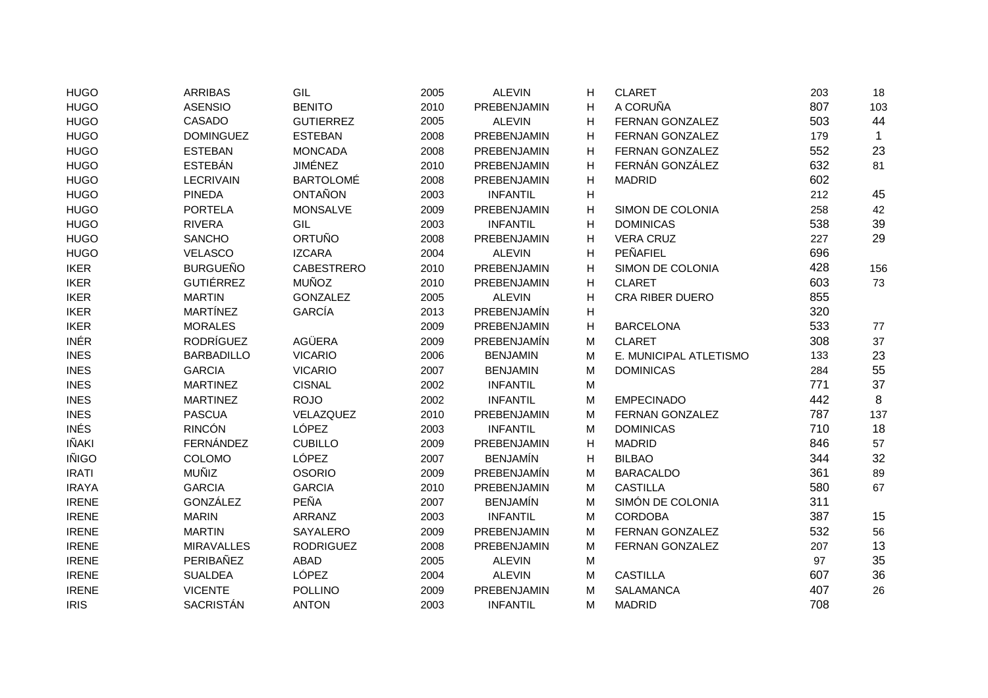| <b>HUGO</b>  | <b>ARRIBAS</b>    | GIL               | 2005 | <b>ALEVIN</b>   | Н | <b>CLARET</b>          | 203 | 18           |
|--------------|-------------------|-------------------|------|-----------------|---|------------------------|-----|--------------|
| <b>HUGO</b>  | <b>ASENSIO</b>    | <b>BENITO</b>     | 2010 | PREBENJAMIN     | Н | A CORUÑA               | 807 | 103          |
| <b>HUGO</b>  | CASADO            | <b>GUTIERREZ</b>  | 2005 | <b>ALEVIN</b>   | H | FERNAN GONZALEZ        | 503 | 44           |
| <b>HUGO</b>  | <b>DOMINGUEZ</b>  | <b>ESTEBAN</b>    | 2008 | PREBENJAMIN     | H | FERNAN GONZALEZ        | 179 | $\mathbf{1}$ |
| <b>HUGO</b>  | <b>ESTEBAN</b>    | <b>MONCADA</b>    | 2008 | PREBENJAMIN     | H | FERNAN GONZALEZ        | 552 | 23           |
| <b>HUGO</b>  | <b>ESTEBÁN</b>    | <b>JIMÉNEZ</b>    | 2010 | PREBENJAMIN     | H | FERNÁN GONZÁLEZ        | 632 | 81           |
| <b>HUGO</b>  | <b>LECRIVAIN</b>  | <b>BARTOLOMÉ</b>  | 2008 | PREBENJAMIN     | H | <b>MADRID</b>          | 602 |              |
| <b>HUGO</b>  | <b>PINEDA</b>     | <b>ONTAÑON</b>    | 2003 | <b>INFANTIL</b> | H |                        | 212 | 45           |
| <b>HUGO</b>  | <b>PORTELA</b>    | <b>MONSALVE</b>   | 2009 | PREBENJAMIN     | H | SIMON DE COLONIA       | 258 | 42           |
| <b>HUGO</b>  | <b>RIVERA</b>     | GIL               | 2003 | <b>INFANTIL</b> | H | <b>DOMINICAS</b>       | 538 | 39           |
| <b>HUGO</b>  | <b>SANCHO</b>     | <b>ORTUÑO</b>     | 2008 | PREBENJAMIN     | H | <b>VERA CRUZ</b>       | 227 | 29           |
| <b>HUGO</b>  | VELASCO           | <b>IZCARA</b>     | 2004 | <b>ALEVIN</b>   | H | PEÑAFIEL               | 696 |              |
| <b>IKER</b>  | <b>BURGUEÑO</b>   | <b>CABESTRERO</b> | 2010 | PREBENJAMIN     | н | SIMON DE COLONIA       | 428 | 156          |
| <b>IKER</b>  | <b>GUTIÉRREZ</b>  | <b>MUÑOZ</b>      | 2010 | PREBENJAMIN     | н | <b>CLARET</b>          | 603 | 73           |
| <b>IKER</b>  | <b>MARTIN</b>     | <b>GONZALEZ</b>   | 2005 | <b>ALEVIN</b>   | Н | <b>CRA RIBER DUERO</b> | 855 |              |
| <b>IKER</b>  | <b>MARTÍNEZ</b>   | <b>GARCÍA</b>     | 2013 | PREBENJAMÍN     | н |                        | 320 |              |
| <b>IKER</b>  | <b>MORALES</b>    |                   | 2009 | PREBENJAMIN     | н | <b>BARCELONA</b>       | 533 | 77           |
| <b>INÉR</b>  | <b>RODRÍGUEZ</b>  | <b>AGÜERA</b>     | 2009 | PREBENJAMÍN     | М | <b>CLARET</b>          | 308 | 37           |
| <b>INES</b>  | <b>BARBADILLO</b> | <b>VICARIO</b>    | 2006 | <b>BENJAMIN</b> | M | E. MUNICIPAL ATLETISMO | 133 | 23           |
| <b>INES</b>  | <b>GARCIA</b>     | <b>VICARIO</b>    | 2007 | <b>BENJAMIN</b> | M | <b>DOMINICAS</b>       | 284 | 55           |
| <b>INES</b>  | <b>MARTINEZ</b>   | <b>CISNAL</b>     | 2002 | <b>INFANTIL</b> | M |                        | 771 | 37           |
| <b>INES</b>  | <b>MARTINEZ</b>   | <b>ROJO</b>       | 2002 | <b>INFANTIL</b> | М | <b>EMPECINADO</b>      | 442 | 8            |
| <b>INES</b>  | <b>PASCUA</b>     | VELAZQUEZ         | 2010 | PREBENJAMIN     | М | <b>FERNAN GONZALEZ</b> | 787 | 137          |
| <b>INÉS</b>  | <b>RINCÓN</b>     | LÓPEZ             | 2003 | <b>INFANTIL</b> | М | <b>DOMINICAS</b>       | 710 | 18           |
| IÑAKI        | FERNÁNDEZ         | <b>CUBILLO</b>    | 2009 | PREBENJAMIN     | H | <b>MADRID</b>          | 846 | 57           |
| <b>IÑIGO</b> | COLOMO            | LÓPEZ             | 2007 | <b>BENJAMÍN</b> | H | <b>BILBAO</b>          | 344 | 32           |
| <b>IRATI</b> | <b>MUÑIZ</b>      | <b>OSORIO</b>     | 2009 | PREBENJAMÍN     | M | <b>BARACALDO</b>       | 361 | 89           |
| <b>IRAYA</b> | <b>GARCIA</b>     | <b>GARCIA</b>     | 2010 | PREBENJAMIN     | M | <b>CASTILLA</b>        | 580 | 67           |
| <b>IRENE</b> | GONZÁLEZ          | PEÑA              | 2007 | <b>BENJAMÍN</b> | M | SIMÓN DE COLONIA       | 311 |              |
| <b>IRENE</b> | <b>MARIN</b>      | ARRANZ            | 2003 | <b>INFANTIL</b> | M | <b>CORDOBA</b>         | 387 | 15           |
| <b>IRENE</b> | <b>MARTIN</b>     | SAYALERO          | 2009 | PREBENJAMIN     | М | FERNAN GONZALEZ        | 532 | 56           |
| <b>IRENE</b> | <b>MIRAVALLES</b> | <b>RODRIGUEZ</b>  | 2008 | PREBENJAMIN     | M | FERNAN GONZALEZ        | 207 | 13           |
| <b>IRENE</b> | PERIBAÑEZ         | ABAD              | 2005 | <b>ALEVIN</b>   | M |                        | 97  | 35           |
| <b>IRENE</b> | <b>SUALDEA</b>    | LÓPEZ             | 2004 | <b>ALEVIN</b>   | M | <b>CASTILLA</b>        | 607 | 36           |
| <b>IRENE</b> | <b>VICENTE</b>    | <b>POLLINO</b>    | 2009 | PREBENJAMIN     | М | <b>SALAMANCA</b>       | 407 | 26           |
| <b>IRIS</b>  | SACRISTÁN         | <b>ANTON</b>      | 2003 | <b>INFANTIL</b> | M | <b>MADRID</b>          | 708 |              |
|              |                   |                   |      |                 |   |                        |     |              |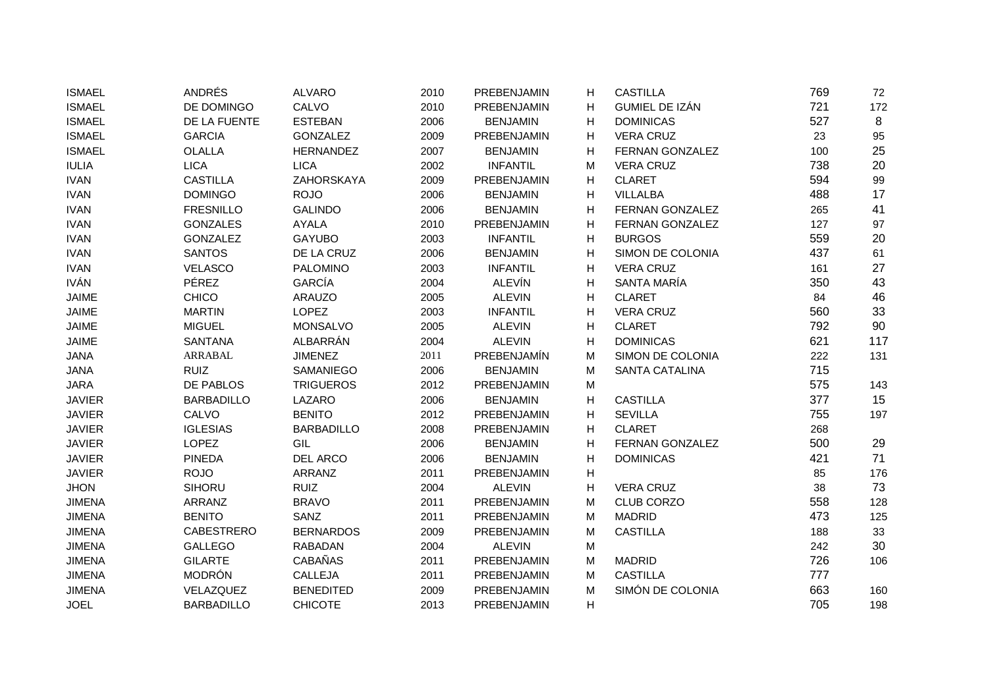| <b>ISMAEL</b> | ANDRÉS            | <b>ALVARO</b>     | 2010 | PREBENJAMIN     | Н                         | <b>CASTILLA</b>       | 769 | 72  |
|---------------|-------------------|-------------------|------|-----------------|---------------------------|-----------------------|-----|-----|
| <b>ISMAEL</b> | DE DOMINGO        | CALVO             | 2010 | PREBENJAMIN     | Н                         | GUMIEL DE IZÁN        | 721 | 172 |
| <b>ISMAEL</b> | DE LA FUENTE      | <b>ESTEBAN</b>    | 2006 | <b>BENJAMIN</b> | H                         | <b>DOMINICAS</b>      | 527 | 8   |
| <b>ISMAEL</b> | <b>GARCIA</b>     | <b>GONZALEZ</b>   | 2009 | PREBENJAMIN     | Н                         | <b>VERA CRUZ</b>      | 23  | 95  |
| <b>ISMAEL</b> | <b>OLALLA</b>     | <b>HERNANDEZ</b>  | 2007 | <b>BENJAMIN</b> | H                         | FERNAN GONZALEZ       | 100 | 25  |
| <b>IULIA</b>  | <b>LICA</b>       | <b>LICA</b>       | 2002 | <b>INFANTIL</b> | м                         | <b>VERA CRUZ</b>      | 738 | 20  |
| <b>IVAN</b>   | <b>CASTILLA</b>   | ZAHORSKAYA        | 2009 | PREBENJAMIN     | H                         | <b>CLARET</b>         | 594 | 99  |
| <b>IVAN</b>   | <b>DOMINGO</b>    | <b>ROJO</b>       | 2006 | <b>BENJAMIN</b> | H                         | <b>VILLALBA</b>       | 488 | 17  |
| <b>IVAN</b>   | <b>FRESNILLO</b>  | <b>GALINDO</b>    | 2006 | <b>BENJAMIN</b> | H                         | FERNAN GONZALEZ       | 265 | 41  |
| <b>IVAN</b>   | <b>GONZALES</b>   | <b>AYALA</b>      | 2010 | PREBENJAMIN     | H                         | FERNAN GONZALEZ       | 127 | 97  |
| <b>IVAN</b>   | <b>GONZALEZ</b>   | <b>GAYUBO</b>     | 2003 | <b>INFANTIL</b> | H                         | <b>BURGOS</b>         | 559 | 20  |
| <b>IVAN</b>   | <b>SANTOS</b>     | DE LA CRUZ        | 2006 | <b>BENJAMIN</b> | н                         | SIMON DE COLONIA      | 437 | 61  |
| <b>IVAN</b>   | <b>VELASCO</b>    | <b>PALOMINO</b>   | 2003 | <b>INFANTIL</b> | H                         | <b>VERA CRUZ</b>      | 161 | 27  |
| <b>IVÁN</b>   | PÉREZ             | <b>GARCÍA</b>     | 2004 | <b>ALEVÍN</b>   | H                         | SANTA MARÍA           | 350 | 43  |
| <b>JAIME</b>  | <b>CHICO</b>      | <b>ARAUZO</b>     | 2005 | <b>ALEVIN</b>   | H                         | <b>CLARET</b>         | 84  | 46  |
| <b>JAIME</b>  | <b>MARTIN</b>     | LOPEZ             | 2003 | <b>INFANTIL</b> | Н                         | <b>VERA CRUZ</b>      | 560 | 33  |
| <b>JAIME</b>  | <b>MIGUEL</b>     | <b>MONSALVO</b>   | 2005 | <b>ALEVIN</b>   | Н                         | <b>CLARET</b>         | 792 | 90  |
| JAIME         | <b>SANTANA</b>    | ALBARRÁN          | 2004 | <b>ALEVIN</b>   | H                         | <b>DOMINICAS</b>      | 621 | 117 |
| <b>JANA</b>   | ARRABAL           | <b>JIMENEZ</b>    | 2011 | PREBENJAMÍN     | M                         | SIMON DE COLONIA      | 222 | 131 |
| <b>JANA</b>   | <b>RUIZ</b>       | SAMANIEGO         | 2006 | <b>BENJAMIN</b> | M                         | <b>SANTA CATALINA</b> | 715 |     |
| <b>JARA</b>   | DE PABLOS         | <b>TRIGUEROS</b>  | 2012 | PREBENJAMIN     | M                         |                       | 575 | 143 |
| <b>JAVIER</b> | <b>BARBADILLO</b> | LAZARO            | 2006 | <b>BENJAMIN</b> | Н                         | <b>CASTILLA</b>       | 377 | 15  |
| <b>JAVIER</b> | CALVO             | <b>BENITO</b>     | 2012 | PREBENJAMIN     | Н                         | <b>SEVILLA</b>        | 755 | 197 |
| <b>JAVIER</b> | <b>IGLESIAS</b>   | <b>BARBADILLO</b> | 2008 | PREBENJAMIN     | H                         | <b>CLARET</b>         | 268 |     |
| <b>JAVIER</b> | LOPEZ             | GIL               | 2006 | <b>BENJAMIN</b> | H                         | FERNAN GONZALEZ       | 500 | 29  |
| <b>JAVIER</b> | <b>PINEDA</b>     | <b>DEL ARCO</b>   | 2006 | <b>BENJAMIN</b> | H                         | <b>DOMINICAS</b>      | 421 | 71  |
| <b>JAVIER</b> | <b>ROJO</b>       | ARRANZ            | 2011 | PREBENJAMIN     | н                         |                       | 85  | 176 |
| <b>JHON</b>   | <b>SIHORU</b>     | <b>RUIZ</b>       | 2004 | <b>ALEVIN</b>   | H                         | <b>VERA CRUZ</b>      | 38  | 73  |
| <b>JIMENA</b> | ARRANZ            | <b>BRAVO</b>      | 2011 | PREBENJAMIN     | M                         | <b>CLUB CORZO</b>     | 558 | 128 |
| <b>JIMENA</b> | <b>BENITO</b>     | SANZ              | 2011 | PREBENJAMIN     | M                         | <b>MADRID</b>         | 473 | 125 |
| <b>JIMENA</b> | <b>CABESTRERO</b> | <b>BERNARDOS</b>  | 2009 | PREBENJAMIN     | M                         | <b>CASTILLA</b>       | 188 | 33  |
| <b>JIMENA</b> | <b>GALLEGO</b>    | <b>RABADAN</b>    | 2004 | <b>ALEVIN</b>   | M                         |                       | 242 | 30  |
| <b>JIMENA</b> | <b>GILARTE</b>    | CABAÑAS           | 2011 | PREBENJAMIN     | M                         | <b>MADRID</b>         | 726 | 106 |
| <b>JIMENA</b> | <b>MODRÓN</b>     | CALLEJA           | 2011 | PREBENJAMIN     | M                         | <b>CASTILLA</b>       | 777 |     |
| <b>JIMENA</b> | VELAZQUEZ         | <b>BENEDITED</b>  | 2009 | PREBENJAMIN     | M                         | SIMÓN DE COLONIA      | 663 | 160 |
| <b>JOEL</b>   | <b>BARBADILLO</b> | <b>CHICOTE</b>    | 2013 | PREBENJAMIN     | $\boldsymbol{\mathsf{H}}$ |                       | 705 | 198 |
|               |                   |                   |      |                 |                           |                       |     |     |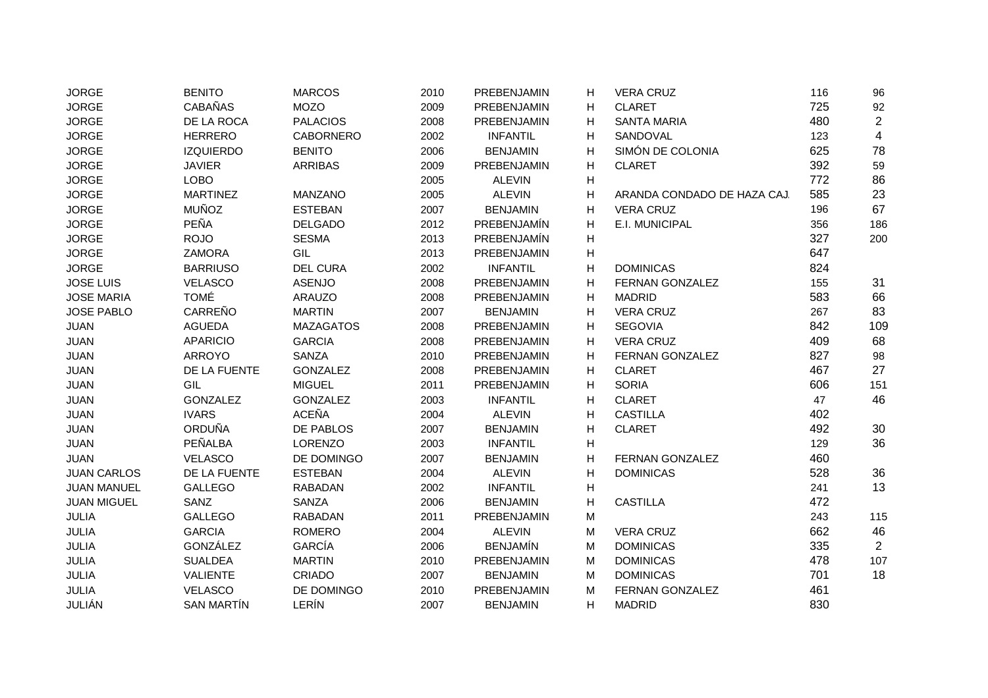| <b>JORGE</b>       | <b>BENITO</b>     | <b>MARCOS</b>    | 2010 | PREBENJAMIN        | н | <b>VERA CRUZ</b>            | 116 | 96                      |
|--------------------|-------------------|------------------|------|--------------------|---|-----------------------------|-----|-------------------------|
| <b>JORGE</b>       | <b>CABAÑAS</b>    | <b>MOZO</b>      | 2009 | PREBENJAMIN        | н | <b>CLARET</b>               | 725 | 92                      |
| <b>JORGE</b>       | DE LA ROCA        | <b>PALACIOS</b>  | 2008 | PREBENJAMIN        | H | <b>SANTA MARIA</b>          | 480 | $\overline{2}$          |
| <b>JORGE</b>       | <b>HERRERO</b>    | <b>CABORNERO</b> | 2002 | <b>INFANTIL</b>    | Н | SANDOVAL                    | 123 | $\overline{\mathbf{4}}$ |
| <b>JORGE</b>       | <b>IZQUIERDO</b>  | <b>BENITO</b>    | 2006 | <b>BENJAMIN</b>    | H | SIMÓN DE COLONIA            | 625 | 78                      |
| <b>JORGE</b>       | <b>JAVIER</b>     | <b>ARRIBAS</b>   | 2009 | PREBENJAMIN        | н | <b>CLARET</b>               | 392 | 59                      |
| <b>JORGE</b>       | LOBO              |                  | 2005 | <b>ALEVIN</b>      | H |                             | 772 | 86                      |
| <b>JORGE</b>       | <b>MARTINEZ</b>   | MANZANO          | 2005 | <b>ALEVIN</b>      | Н | ARANDA CONDADO DE HAZA CAJ. | 585 | 23                      |
| <b>JORGE</b>       | <b>MUÑOZ</b>      | <b>ESTEBAN</b>   | 2007 | <b>BENJAMIN</b>    | H | <b>VERA CRUZ</b>            | 196 | 67                      |
| <b>JORGE</b>       | PEÑA              | <b>DELGADO</b>   | 2012 | PREBENJAMÍN        | H | E.I. MUNICIPAL              | 356 | 186                     |
| <b>JORGE</b>       | <b>ROJO</b>       | <b>SESMA</b>     | 2013 | <b>PREBENJAMÍN</b> | н |                             | 327 | 200                     |
| <b>JORGE</b>       | <b>ZAMORA</b>     | GIL              | 2013 | PREBENJAMIN        | н |                             | 647 |                         |
| <b>JORGE</b>       | <b>BARRIUSO</b>   | <b>DEL CURA</b>  | 2002 | <b>INFANTIL</b>    | н | <b>DOMINICAS</b>            | 824 |                         |
| <b>JOSE LUIS</b>   | <b>VELASCO</b>    | <b>ASENJO</b>    | 2008 | PREBENJAMIN        | н | FERNAN GONZALEZ             | 155 | 31                      |
| <b>JOSE MARIA</b>  | <b>TOMÉ</b>       | ARAUZO           | 2008 | PREBENJAMIN        | Н | <b>MADRID</b>               | 583 | 66                      |
| <b>JOSE PABLO</b>  | CARREÑO           | <b>MARTIN</b>    | 2007 | <b>BENJAMIN</b>    | н | <b>VERA CRUZ</b>            | 267 | 83                      |
| <b>JUAN</b>        | <b>AGUEDA</b>     | <b>MAZAGATOS</b> | 2008 | PREBENJAMIN        | H | <b>SEGOVIA</b>              | 842 | 109                     |
| <b>JUAN</b>        | <b>APARICIO</b>   | <b>GARCIA</b>    | 2008 | PREBENJAMIN        | H | <b>VERA CRUZ</b>            | 409 | 68                      |
| JUAN               | <b>ARROYO</b>     | SANZA            | 2010 | PREBENJAMIN        | н | <b>FERNAN GONZALEZ</b>      | 827 | 98                      |
| JUAN               | DE LA FUENTE      | <b>GONZALEZ</b>  | 2008 | PREBENJAMIN        | н | <b>CLARET</b>               | 467 | 27                      |
| JUAN               | GIL               | <b>MIGUEL</b>    | 2011 | <b>PREBENJAMIN</b> | H | <b>SORIA</b>                | 606 | 151                     |
| JUAN               | <b>GONZALEZ</b>   | <b>GONZALEZ</b>  | 2003 | <b>INFANTIL</b>    | н | <b>CLARET</b>               | 47  | 46                      |
| JUAN               | <b>IVARS</b>      | <b>ACEÑA</b>     | 2004 | <b>ALEVIN</b>      | H | <b>CASTILLA</b>             | 402 |                         |
| JUAN               | <b>ORDUÑA</b>     | DE PABLOS        | 2007 | <b>BENJAMIN</b>    | н | <b>CLARET</b>               | 492 | 30                      |
| JUAN               | PEÑALBA           | <b>LORENZO</b>   | 2003 | <b>INFANTIL</b>    | H |                             | 129 | 36                      |
| <b>JUAN</b>        | <b>VELASCO</b>    | DE DOMINGO       | 2007 | <b>BENJAMIN</b>    | H | FERNAN GONZALEZ             | 460 |                         |
| <b>JUAN CARLOS</b> | DE LA FUENTE      | <b>ESTEBAN</b>   | 2004 | <b>ALEVIN</b>      | н | <b>DOMINICAS</b>            | 528 | 36                      |
| <b>JUAN MANUEL</b> | <b>GALLEGO</b>    | <b>RABADAN</b>   | 2002 | <b>INFANTIL</b>    | H |                             | 241 | 13                      |
| <b>JUAN MIGUEL</b> | SANZ              | <b>SANZA</b>     | 2006 | <b>BENJAMIN</b>    | H | <b>CASTILLA</b>             | 472 |                         |
| <b>JULIA</b>       | <b>GALLEGO</b>    | <b>RABADAN</b>   | 2011 | PREBENJAMIN        | M |                             | 243 | 115                     |
| <b>JULIA</b>       | <b>GARCIA</b>     | <b>ROMERO</b>    | 2004 | <b>ALEVIN</b>      | M | <b>VERA CRUZ</b>            | 662 | 46                      |
| JULIA              | GONZÁLEZ          | GARCÍA           | 2006 | <b>BENJAMÍN</b>    | M | <b>DOMINICAS</b>            | 335 | $\overline{2}$          |
| JULIA              | <b>SUALDEA</b>    | <b>MARTIN</b>    | 2010 | PREBENJAMIN        | M | <b>DOMINICAS</b>            | 478 | 107                     |
| JULIA              | VALIENTE          | CRIADO           | 2007 | <b>BENJAMIN</b>    | M | <b>DOMINICAS</b>            | 701 | 18                      |
| JULIA              | <b>VELASCO</b>    | DE DOMINGO       | 2010 | PREBENJAMIN        | м | FERNAN GONZALEZ             | 461 |                         |
| JULIÁN             | <b>SAN MARTÍN</b> | LERÍN            | 2007 | <b>BENJAMIN</b>    | H | <b>MADRID</b>               | 830 |                         |
|                    |                   |                  |      |                    |   |                             |     |                         |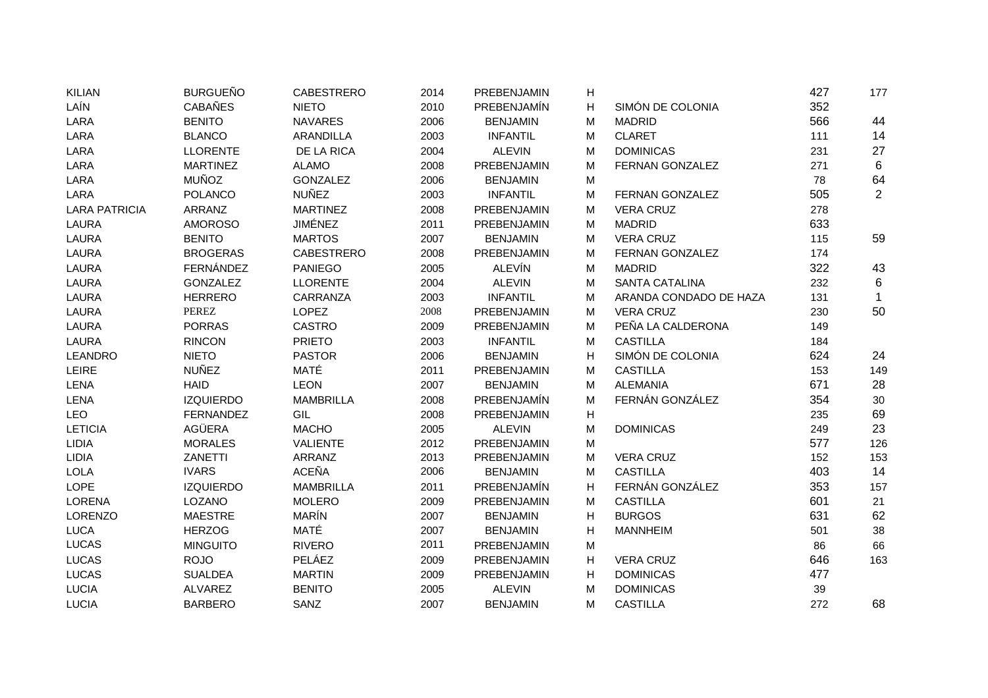| <b>KILIAN</b>        | <b>BURGUEÑO</b>  | <b>CABESTRERO</b> | 2014 | PREBENJAMIN     | H |                        | 427 | 177            |
|----------------------|------------------|-------------------|------|-----------------|---|------------------------|-----|----------------|
| LAÍN                 | <b>CABAÑES</b>   | <b>NIETO</b>      | 2010 | PREBENJAMÍN     | н | SIMÓN DE COLONIA       | 352 |                |
| LARA                 | <b>BENITO</b>    | <b>NAVARES</b>    | 2006 | <b>BENJAMIN</b> | М | <b>MADRID</b>          | 566 | 44             |
| LARA                 | <b>BLANCO</b>    | <b>ARANDILLA</b>  | 2003 | <b>INFANTIL</b> | M | <b>CLARET</b>          | 111 | 14             |
| LARA                 | <b>LLORENTE</b>  | DE LA RICA        | 2004 | <b>ALEVIN</b>   | M | <b>DOMINICAS</b>       | 231 | 27             |
| LARA                 | <b>MARTINEZ</b>  | <b>ALAMO</b>      | 2008 | PREBENJAMIN     | M | FERNAN GONZALEZ        | 271 | 6              |
| LARA                 | <b>MUÑOZ</b>     | <b>GONZALEZ</b>   | 2006 | <b>BENJAMIN</b> | M |                        | 78  | 64             |
| LARA                 | <b>POLANCO</b>   | <b>NUÑEZ</b>      | 2003 | <b>INFANTIL</b> | M | FERNAN GONZALEZ        | 505 | $\overline{2}$ |
| <b>LARA PATRICIA</b> | <b>ARRANZ</b>    | <b>MARTINEZ</b>   | 2008 | PREBENJAMIN     | M | <b>VERA CRUZ</b>       | 278 |                |
| <b>LAURA</b>         | <b>AMOROSO</b>   | <b>JIMÉNEZ</b>    | 2011 | PREBENJAMIN     | M | <b>MADRID</b>          | 633 |                |
| <b>LAURA</b>         | <b>BENITO</b>    | <b>MARTOS</b>     | 2007 | <b>BENJAMIN</b> | M | <b>VERA CRUZ</b>       | 115 | 59             |
| <b>LAURA</b>         | <b>BROGERAS</b>  | <b>CABESTRERO</b> | 2008 | PREBENJAMIN     | M | FERNAN GONZALEZ        | 174 |                |
| <b>LAURA</b>         | FERNÁNDEZ        | <b>PANIEGO</b>    | 2005 | <b>ALEVÍN</b>   | M | <b>MADRID</b>          | 322 | 43             |
| <b>LAURA</b>         | <b>GONZALEZ</b>  | <b>LLORENTE</b>   | 2004 | <b>ALEVIN</b>   | M | <b>SANTA CATALINA</b>  | 232 | 6              |
| <b>LAURA</b>         | <b>HERRERO</b>   | CARRANZA          | 2003 | <b>INFANTIL</b> | М | ARANDA CONDADO DE HAZA | 131 | $\mathbf{1}$   |
| <b>LAURA</b>         | PEREZ            | LOPEZ             | 2008 | PREBENJAMIN     | M | <b>VERA CRUZ</b>       | 230 | 50             |
| LAURA                | <b>PORRAS</b>    | <b>CASTRO</b>     | 2009 | PREBENJAMIN     | M | PEÑA LA CALDERONA      | 149 |                |
| <b>LAURA</b>         | <b>RINCON</b>    | <b>PRIETO</b>     | 2003 | <b>INFANTIL</b> | M | <b>CASTILLA</b>        | 184 |                |
| <b>LEANDRO</b>       | <b>NIETO</b>     | <b>PASTOR</b>     | 2006 | <b>BENJAMIN</b> | н | SIMÓN DE COLONIA       | 624 | 24             |
| LEIRE                | <b>NUÑEZ</b>     | MATÉ              | 2011 | PREBENJAMIN     | М | <b>CASTILLA</b>        | 153 | 149            |
| LENA                 | <b>HAID</b>      | <b>LEON</b>       | 2007 | <b>BENJAMIN</b> | M | <b>ALEMANIA</b>        | 671 | 28             |
| LENA                 | <b>IZQUIERDO</b> | <b>MAMBRILLA</b>  | 2008 | PREBENJAMÍN     | M | FERNÁN GONZÁLEZ        | 354 | $30\,$         |
| <b>LEO</b>           | <b>FERNANDEZ</b> | GIL               | 2008 | PREBENJAMIN     | н |                        | 235 | 69             |
| <b>LETICIA</b>       | <b>AGÜERA</b>    | <b>MACHO</b>      | 2005 | <b>ALEVIN</b>   | M | <b>DOMINICAS</b>       | 249 | 23             |
| LIDIA                | <b>MORALES</b>   | <b>VALIENTE</b>   | 2012 | PREBENJAMIN     | M |                        | 577 | 126            |
| LIDIA                | ZANETTI          | ARRANZ            | 2013 | PREBENJAMIN     | M | <b>VERA CRUZ</b>       | 152 | 153            |
| <b>LOLA</b>          | <b>IVARS</b>     | <b>ACEÑA</b>      | 2006 | <b>BENJAMIN</b> | М | <b>CASTILLA</b>        | 403 | 14             |
| LOPE                 | <b>IZQUIERDO</b> | <b>MAMBRILLA</b>  | 2011 | PREBENJAMÍN     | н | FERNÁN GONZÁLEZ        | 353 | 157            |
| <b>LORENA</b>        | LOZANO           | <b>MOLERO</b>     | 2009 | PREBENJAMIN     | M | <b>CASTILLA</b>        | 601 | 21             |
| LORENZO              | <b>MAESTRE</b>   | <b>MARÍN</b>      | 2007 | <b>BENJAMIN</b> | H | <b>BURGOS</b>          | 631 | 62             |
| <b>LUCA</b>          | <b>HERZOG</b>    | MATÉ              | 2007 | <b>BENJAMIN</b> | н | <b>MANNHEIM</b>        | 501 | 38             |
| LUCAS                | <b>MINGUITO</b>  | <b>RIVERO</b>     | 2011 | PREBENJAMIN     | M |                        | 86  | 66             |
| <b>LUCAS</b>         | <b>ROJO</b>      | PELÁEZ            | 2009 | PREBENJAMIN     | H | <b>VERA CRUZ</b>       | 646 | 163            |
| <b>LUCAS</b>         | <b>SUALDEA</b>   | <b>MARTIN</b>     | 2009 | PREBENJAMIN     | H | <b>DOMINICAS</b>       | 477 |                |
| <b>LUCIA</b>         | <b>ALVAREZ</b>   | <b>BENITO</b>     | 2005 | <b>ALEVIN</b>   | M | <b>DOMINICAS</b>       | 39  |                |
| <b>LUCIA</b>         | <b>BARBERO</b>   | SANZ              | 2007 | <b>BENJAMIN</b> | М | <b>CASTILLA</b>        | 272 | 68             |
|                      |                  |                   |      |                 |   |                        |     |                |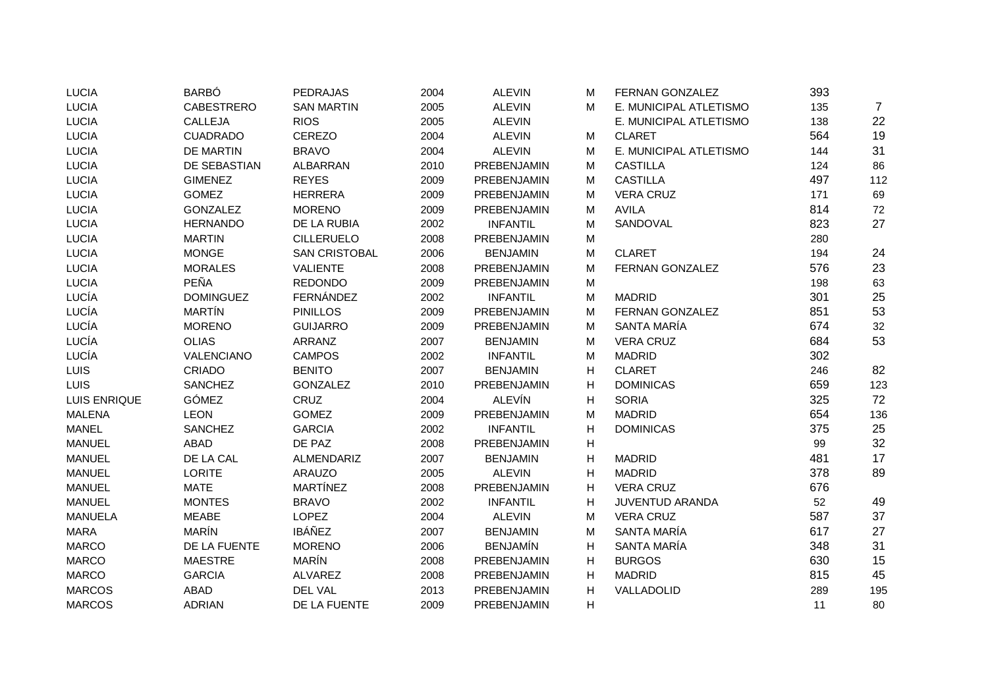| <b>LUCIA</b>   | <b>BARBÓ</b>      | <b>PEDRAJAS</b>      | 2004 | <b>ALEVIN</b>   | м | FERNAN GONZALEZ        | 393 |                |
|----------------|-------------------|----------------------|------|-----------------|---|------------------------|-----|----------------|
| <b>LUCIA</b>   | <b>CABESTRERO</b> | <b>SAN MARTIN</b>    | 2005 | <b>ALEVIN</b>   | M | E. MUNICIPAL ATLETISMO | 135 | $\overline{7}$ |
| <b>LUCIA</b>   | CALLEJA           | <b>RIOS</b>          | 2005 | <b>ALEVIN</b>   |   | E. MUNICIPAL ATLETISMO | 138 | 22             |
| <b>LUCIA</b>   | <b>CUADRADO</b>   | <b>CEREZO</b>        | 2004 | <b>ALEVIN</b>   | м | <b>CLARET</b>          | 564 | 19             |
| <b>LUCIA</b>   | <b>DE MARTIN</b>  | <b>BRAVO</b>         | 2004 | <b>ALEVIN</b>   | M | E. MUNICIPAL ATLETISMO | 144 | 31             |
| <b>LUCIA</b>   | DE SEBASTIAN      | <b>ALBARRAN</b>      | 2010 | PREBENJAMIN     | M | <b>CASTILLA</b>        | 124 | 86             |
| <b>LUCIA</b>   | <b>GIMENEZ</b>    | <b>REYES</b>         | 2009 | PREBENJAMIN     | M | <b>CASTILLA</b>        | 497 | 112            |
| <b>LUCIA</b>   | <b>GOMEZ</b>      | <b>HERRERA</b>       | 2009 | PREBENJAMIN     | м | <b>VERA CRUZ</b>       | 171 | 69             |
| <b>LUCIA</b>   | <b>GONZALEZ</b>   | <b>MORENO</b>        | 2009 | PREBENJAMIN     | м | <b>AVILA</b>           | 814 | 72             |
| <b>LUCIA</b>   | <b>HERNANDO</b>   | DE LA RUBIA          | 2002 | <b>INFANTIL</b> | M | SANDOVAL               | 823 | 27             |
| <b>LUCIA</b>   | <b>MARTIN</b>     | <b>CILLERUELO</b>    | 2008 | PREBENJAMIN     | M |                        | 280 |                |
| <b>LUCIA</b>   | <b>MONGE</b>      | <b>SAN CRISTOBAL</b> | 2006 | <b>BENJAMIN</b> | M | <b>CLARET</b>          | 194 | 24             |
| <b>LUCIA</b>   | <b>MORALES</b>    | <b>VALIENTE</b>      | 2008 | PREBENJAMIN     | M | FERNAN GONZALEZ        | 576 | 23             |
| <b>LUCIA</b>   | <b>PEÑA</b>       | <b>REDONDO</b>       | 2009 | PREBENJAMIN     | M |                        | 198 | 63             |
| LUCÍA          | <b>DOMINGUEZ</b>  | FERNÁNDEZ            | 2002 | <b>INFANTIL</b> | M | <b>MADRID</b>          | 301 | 25             |
| LUCÍA          | <b>MARTÍN</b>     | <b>PINILLOS</b>      | 2009 | PREBENJAMIN     | M | FERNAN GONZALEZ        | 851 | 53             |
| LUCÍA          | <b>MORENO</b>     | <b>GUIJARRO</b>      | 2009 | PREBENJAMIN     | м | SANTA MARÍA            | 674 | 32             |
| LUCÍA          | <b>OLIAS</b>      | ARRANZ               | 2007 | <b>BENJAMIN</b> | M | <b>VERA CRUZ</b>       | 684 | 53             |
| LUCÍA          | VALENCIANO        | <b>CAMPOS</b>        | 2002 | <b>INFANTIL</b> | M | <b>MADRID</b>          | 302 |                |
| LUIS           | <b>CRIADO</b>     | <b>BENITO</b>        | 2007 | <b>BENJAMIN</b> | н | <b>CLARET</b>          | 246 | 82             |
| <b>LUIS</b>    | <b>SANCHEZ</b>    | <b>GONZALEZ</b>      | 2010 | PREBENJAMIN     | H | <b>DOMINICAS</b>       | 659 | 123            |
| LUIS ENRIQUE   | GÓMEZ             | CRUZ                 | 2004 | <b>ALEVÍN</b>   | н | <b>SORIA</b>           | 325 | 72             |
| <b>MALENA</b>  | <b>LEON</b>       | <b>GOMEZ</b>         | 2009 | PREBENJAMIN     | M | <b>MADRID</b>          | 654 | 136            |
| <b>MANEL</b>   | <b>SANCHEZ</b>    | <b>GARCIA</b>        | 2002 | <b>INFANTIL</b> | н | <b>DOMINICAS</b>       | 375 | 25             |
| <b>MANUEL</b>  | <b>ABAD</b>       | DE PAZ               | 2008 | PREBENJAMIN     | н |                        | 99  | 32             |
| <b>MANUEL</b>  | DE LA CAL         | ALMENDARIZ           | 2007 | <b>BENJAMIN</b> | н | <b>MADRID</b>          | 481 | 17             |
| <b>MANUEL</b>  | LORITE            | <b>ARAUZO</b>        | 2005 | <b>ALEVIN</b>   | н | <b>MADRID</b>          | 378 | 89             |
| <b>MANUEL</b>  | <b>MATE</b>       | <b>MARTÍNEZ</b>      | 2008 | PREBENJAMIN     | H | <b>VERA CRUZ</b>       | 676 |                |
| <b>MANUEL</b>  | <b>MONTES</b>     | <b>BRAVO</b>         | 2002 | <b>INFANTIL</b> | H | <b>JUVENTUD ARANDA</b> | 52  | 49             |
| <b>MANUELA</b> | <b>MEABE</b>      | <b>LOPEZ</b>         | 2004 | <b>ALEVIN</b>   | M | <b>VERA CRUZ</b>       | 587 | 37             |
| <b>MARA</b>    | <b>MARÍN</b>      | <b>IBÁÑEZ</b>        | 2007 | <b>BENJAMIN</b> | M | SANTA MARÍA            | 617 | 27             |
| <b>MARCO</b>   | DE LA FUENTE      | <b>MORENO</b>        | 2006 | <b>BENJAMÍN</b> | н | SANTA MARÍA            | 348 | 31             |
| <b>MARCO</b>   | <b>MAESTRE</b>    | <b>MARÍN</b>         | 2008 | PREBENJAMIN     | н | <b>BURGOS</b>          | 630 | 15             |
| <b>MARCO</b>   | <b>GARCIA</b>     | ALVAREZ              | 2008 | PREBENJAMIN     | н | <b>MADRID</b>          | 815 | 45             |
| <b>MARCOS</b>  | ABAD              | DEL VAL              | 2013 | PREBENJAMIN     | н | VALLADOLID             | 289 | 195            |
| <b>MARCOS</b>  | <b>ADRIAN</b>     | DE LA FUENTE         | 2009 | PREBENJAMIN     | H |                        | 11  | 80             |
|                |                   |                      |      |                 |   |                        |     |                |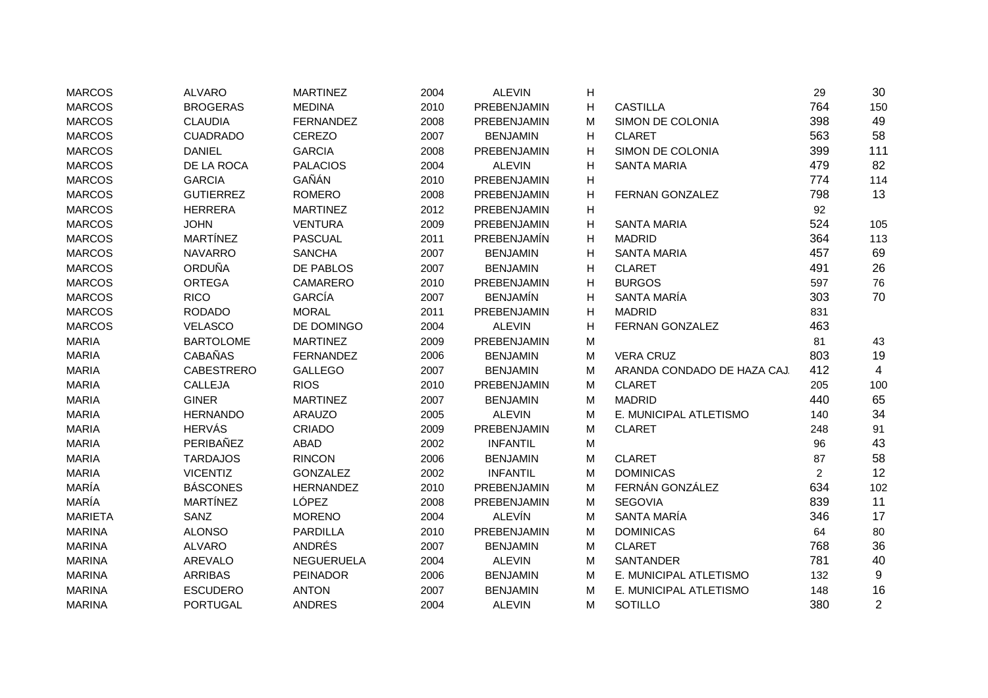| <b>MARCOS</b>  | <b>ALVARO</b>     | <b>MARTINEZ</b>  | 2004 | <b>ALEVIN</b>      | н |                             | 29             | 30             |
|----------------|-------------------|------------------|------|--------------------|---|-----------------------------|----------------|----------------|
| <b>MARCOS</b>  | <b>BROGERAS</b>   | <b>MEDINA</b>    | 2010 | PREBENJAMIN        | н | <b>CASTILLA</b>             | 764            | 150            |
| <b>MARCOS</b>  | <b>CLAUDIA</b>    | <b>FERNANDEZ</b> | 2008 | PREBENJAMIN        | М | SIMON DE COLONIA            | 398            | 49             |
| <b>MARCOS</b>  | <b>CUADRADO</b>   | <b>CEREZO</b>    | 2007 | <b>BENJAMIN</b>    | н | <b>CLARET</b>               | 563            | 58             |
| <b>MARCOS</b>  | <b>DANIEL</b>     | <b>GARCIA</b>    | 2008 | PREBENJAMIN        | н | SIMON DE COLONIA            | 399            | 111            |
| <b>MARCOS</b>  | DE LA ROCA        | <b>PALACIOS</b>  | 2004 | <b>ALEVIN</b>      | н | <b>SANTA MARIA</b>          | 479            | 82             |
| <b>MARCOS</b>  | <b>GARCIA</b>     | GAÑÁN            | 2010 | PREBENJAMIN        | н |                             | 774            | 114            |
| <b>MARCOS</b>  | <b>GUTIERREZ</b>  | <b>ROMERO</b>    | 2008 | PREBENJAMIN        | н | FERNAN GONZALEZ             | 798            | 13             |
| <b>MARCOS</b>  | <b>HERRERA</b>    | <b>MARTINEZ</b>  | 2012 | PREBENJAMIN        | н |                             | 92             |                |
| <b>MARCOS</b>  | <b>JOHN</b>       | <b>VENTURA</b>   | 2009 | PREBENJAMIN        | H | <b>SANTA MARIA</b>          | 524            | 105            |
| <b>MARCOS</b>  | <b>MARTÍNEZ</b>   | <b>PASCUAL</b>   | 2011 | <b>PREBENJAMÍN</b> | н | <b>MADRID</b>               | 364            | 113            |
| <b>MARCOS</b>  | <b>NAVARRO</b>    | <b>SANCHA</b>    | 2007 | <b>BENJAMIN</b>    | н | <b>SANTA MARIA</b>          | 457            | 69             |
| <b>MARCOS</b>  | <b>ORDUÑA</b>     | DE PABLOS        | 2007 | <b>BENJAMIN</b>    | н | <b>CLARET</b>               | 491            | 26             |
| <b>MARCOS</b>  | <b>ORTEGA</b>     | <b>CAMARERO</b>  | 2010 | PREBENJAMIN        | н | <b>BURGOS</b>               | 597            | 76             |
| <b>MARCOS</b>  | <b>RICO</b>       | <b>GARCÍA</b>    | 2007 | <b>BENJAMÍN</b>    | н | SANTA MARÍA                 | 303            | 70             |
| <b>MARCOS</b>  | <b>RODADO</b>     | <b>MORAL</b>     | 2011 | PREBENJAMIN        | н | <b>MADRID</b>               | 831            |                |
| <b>MARCOS</b>  | <b>VELASCO</b>    | DE DOMINGO       | 2004 | <b>ALEVIN</b>      | н | FERNAN GONZALEZ             | 463            |                |
| <b>MARIA</b>   | <b>BARTOLOME</b>  | <b>MARTINEZ</b>  | 2009 | PREBENJAMIN        | M |                             | 81             | 43             |
| <b>MARIA</b>   | <b>CABAÑAS</b>    | <b>FERNANDEZ</b> | 2006 | <b>BENJAMIN</b>    | M | <b>VERA CRUZ</b>            | 803            | 19             |
| <b>MARIA</b>   | <b>CABESTRERO</b> | <b>GALLEGO</b>   | 2007 | <b>BENJAMIN</b>    | M | ARANDA CONDADO DE HAZA CAJ. | 412            | 4              |
| <b>MARIA</b>   | CALLEJA           | <b>RIOS</b>      | 2010 | PREBENJAMIN        | M | <b>CLARET</b>               | 205            | 100            |
| <b>MARIA</b>   | <b>GINER</b>      | <b>MARTINEZ</b>  | 2007 | <b>BENJAMIN</b>    | M | <b>MADRID</b>               | 440            | 65             |
| <b>MARIA</b>   | <b>HERNANDO</b>   | <b>ARAUZO</b>    | 2005 | <b>ALEVIN</b>      | M | E. MUNICIPAL ATLETISMO      | 140            | 34             |
| <b>MARIA</b>   | <b>HERVÁS</b>     | CRIADO           | 2009 | PREBENJAMIN        | M | <b>CLARET</b>               | 248            | 91             |
| <b>MARIA</b>   | PERIBAÑEZ         | <b>ABAD</b>      | 2002 | <b>INFANTIL</b>    | M |                             | 96             | 43             |
| <b>MARIA</b>   | <b>TARDAJOS</b>   | <b>RINCON</b>    | 2006 | <b>BENJAMIN</b>    | M | <b>CLARET</b>               | 87             | 58             |
| <b>MARIA</b>   | <b>VICENTIZ</b>   | <b>GONZALEZ</b>  | 2002 | <b>INFANTIL</b>    | M | <b>DOMINICAS</b>            | $\overline{c}$ | 12             |
| MARÍA          | <b>BÁSCONES</b>   | <b>HERNANDEZ</b> | 2010 | PREBENJAMIN        | M | FERNÁN GONZÁLEZ             | 634            | 102            |
| MARÍA          | <b>MARTÍNEZ</b>   | LÓPEZ            | 2008 | PREBENJAMIN        | M | <b>SEGOVIA</b>              | 839            | 11             |
| <b>MARIETA</b> | SANZ              | <b>MORENO</b>    | 2004 | <b>ALEVÍN</b>      | M | SANTA MARÍA                 | 346            | 17             |
| <b>MARINA</b>  | <b>ALONSO</b>     | <b>PARDILLA</b>  | 2010 | PREBENJAMIN        | M | <b>DOMINICAS</b>            | 64             | 80             |
| <b>MARINA</b>  | <b>ALVARO</b>     | ANDRÉS           | 2007 | <b>BENJAMIN</b>    | M | <b>CLARET</b>               | 768            | 36             |
| <b>MARINA</b>  | <b>AREVALO</b>    | NEGUERUELA       | 2004 | <b>ALEVIN</b>      | M | <b>SANTANDER</b>            | 781            | 40             |
| <b>MARINA</b>  | <b>ARRIBAS</b>    | <b>PEINADOR</b>  | 2006 | <b>BENJAMIN</b>    | M | E. MUNICIPAL ATLETISMO      | 132            | 9              |
| <b>MARINA</b>  | <b>ESCUDERO</b>   | <b>ANTON</b>     | 2007 | <b>BENJAMIN</b>    | М | E. MUNICIPAL ATLETISMO      | 148            | 16             |
| <b>MARINA</b>  | <b>PORTUGAL</b>   | <b>ANDRES</b>    | 2004 | <b>ALEVIN</b>      | М | SOTILLO                     | 380            | $\overline{2}$ |
|                |                   |                  |      |                    |   |                             |                |                |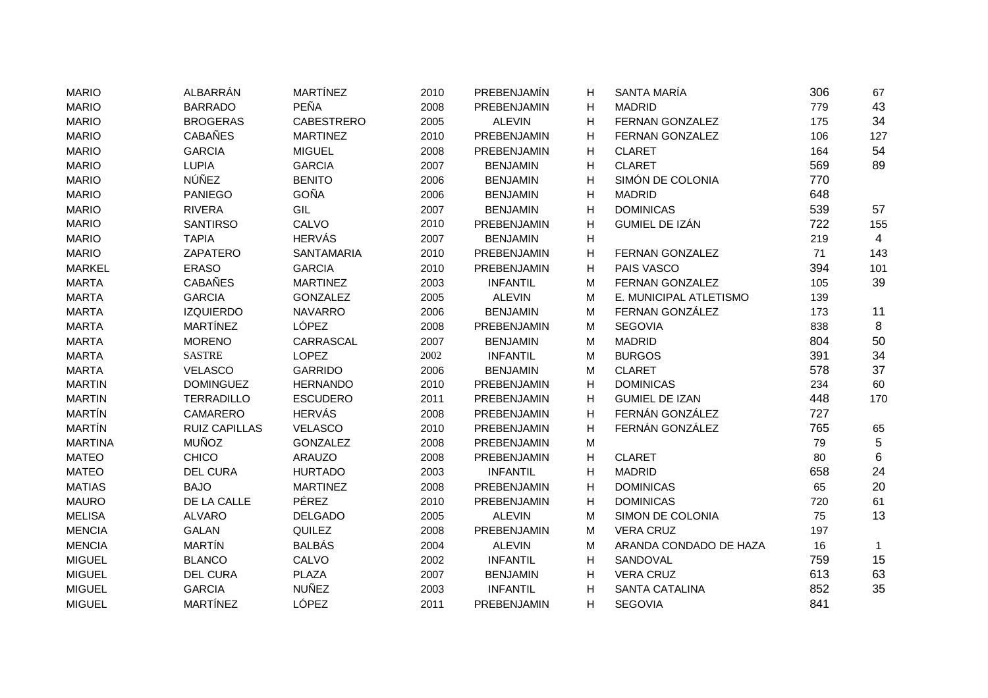| <b>MARIO</b>   | ALBARRÁN             | <b>MARTÍNEZ</b>   | 2010 | PREBENJAMÍN     | н | SANTA MARÍA            | 306 | 67  |
|----------------|----------------------|-------------------|------|-----------------|---|------------------------|-----|-----|
| <b>MARIO</b>   | <b>BARRADO</b>       | PEÑA              | 2008 | PREBENJAMIN     | H | <b>MADRID</b>          | 779 | 43  |
| <b>MARIO</b>   | <b>BROGERAS</b>      | <b>CABESTRERO</b> | 2005 | <b>ALEVIN</b>   | н | FERNAN GONZALEZ        | 175 | 34  |
| <b>MARIO</b>   | <b>CABAÑES</b>       | <b>MARTINEZ</b>   | 2010 | PREBENJAMIN     | H | FERNAN GONZALEZ        | 106 | 127 |
| <b>MARIO</b>   | <b>GARCIA</b>        | <b>MIGUEL</b>     | 2008 | PREBENJAMIN     | H | <b>CLARET</b>          | 164 | 54  |
| <b>MARIO</b>   | <b>LUPIA</b>         | <b>GARCIA</b>     | 2007 | <b>BENJAMIN</b> | н | <b>CLARET</b>          | 569 | 89  |
| <b>MARIO</b>   | NÚÑEZ                | <b>BENITO</b>     | 2006 | <b>BENJAMIN</b> | н | SIMÓN DE COLONIA       | 770 |     |
| <b>MARIO</b>   | PANIEGO              | GOÑA              | 2006 | <b>BENJAMIN</b> | н | <b>MADRID</b>          | 648 |     |
| <b>MARIO</b>   | <b>RIVERA</b>        | GIL               | 2007 | <b>BENJAMIN</b> | н | <b>DOMINICAS</b>       | 539 | 57  |
| <b>MARIO</b>   | <b>SANTIRSO</b>      | CALVO             | 2010 | PREBENJAMIN     | Н | GUMIEL DE IZÁN         | 722 | 155 |
| <b>MARIO</b>   | <b>TAPIA</b>         | <b>HERVÁS</b>     | 2007 | <b>BENJAMIN</b> | Н |                        | 219 | 4   |
| <b>MARIO</b>   | ZAPATERO             | <b>SANTAMARIA</b> | 2010 | PREBENJAMIN     | Н | FERNAN GONZALEZ        | 71  | 143 |
| <b>MARKEL</b>  | <b>ERASO</b>         | <b>GARCIA</b>     | 2010 | PREBENJAMIN     | н | PAIS VASCO             | 394 | 101 |
| <b>MARTA</b>   | <b>CABAÑES</b>       | <b>MARTINEZ</b>   | 2003 | <b>INFANTIL</b> | M | FERNAN GONZALEZ        | 105 | 39  |
| <b>MARTA</b>   | <b>GARCIA</b>        | <b>GONZALEZ</b>   | 2005 | <b>ALEVIN</b>   | M | E. MUNICIPAL ATLETISMO | 139 |     |
| <b>MARTA</b>   | <b>IZQUIERDO</b>     | <b>NAVARRO</b>    | 2006 | <b>BENJAMIN</b> | M | FERNAN GONZÁLEZ        | 173 | 11  |
| <b>MARTA</b>   | <b>MARTÍNEZ</b>      | LÓPEZ             | 2008 | PREBENJAMIN     | M | <b>SEGOVIA</b>         | 838 | 8   |
| <b>MARTA</b>   | <b>MORENO</b>        | CARRASCAL         | 2007 | <b>BENJAMIN</b> | M | <b>MADRID</b>          | 804 | 50  |
| <b>MARTA</b>   | <b>SASTRE</b>        | <b>LOPEZ</b>      | 2002 | <b>INFANTIL</b> | M | <b>BURGOS</b>          | 391 | 34  |
| <b>MARTA</b>   | <b>VELASCO</b>       | <b>GARRIDO</b>    | 2006 | <b>BENJAMIN</b> | M | <b>CLARET</b>          | 578 | 37  |
| <b>MARTIN</b>  | <b>DOMINGUEZ</b>     | <b>HERNANDO</b>   | 2010 | PREBENJAMIN     | н | <b>DOMINICAS</b>       | 234 | 60  |
| <b>MARTIN</b>  | <b>TERRADILLO</b>    | <b>ESCUDERO</b>   | 2011 | PREBENJAMIN     | н | <b>GUMIEL DE IZAN</b>  | 448 | 170 |
| <b>MARTÍN</b>  | CAMARERO             | <b>HERVÁS</b>     | 2008 | PREBENJAMIN     | н | FERNÁN GONZÁLEZ        | 727 |     |
| <b>MARTÍN</b>  | <b>RUIZ CAPILLAS</b> | <b>VELASCO</b>    | 2010 | PREBENJAMIN     | н | FERNÁN GONZÁLEZ        | 765 | 65  |
| <b>MARTINA</b> | <b>MUÑOZ</b>         | <b>GONZALEZ</b>   | 2008 | PREBENJAMIN     | M |                        | 79  | 5   |
| <b>MATEO</b>   | <b>CHICO</b>         | <b>ARAUZO</b>     | 2008 | PREBENJAMIN     | н | <b>CLARET</b>          | 80  | 6   |
| <b>MATEO</b>   | <b>DEL CURA</b>      | <b>HURTADO</b>    | 2003 | <b>INFANTIL</b> | н | <b>MADRID</b>          | 658 | 24  |
| <b>MATIAS</b>  | <b>BAJO</b>          | <b>MARTINEZ</b>   | 2008 | PREBENJAMIN     | н | <b>DOMINICAS</b>       | 65  | 20  |
| <b>MAURO</b>   | DE LA CALLE          | PÉREZ             | 2010 | PREBENJAMIN     | н | <b>DOMINICAS</b>       | 720 | 61  |
| <b>MELISA</b>  | <b>ALVARO</b>        | <b>DELGADO</b>    | 2005 | <b>ALEVIN</b>   | M | SIMON DE COLONIA       | 75  | 13  |
| <b>MENCIA</b>  | <b>GALAN</b>         | QUILEZ            | 2008 | PREBENJAMIN     | M | <b>VERA CRUZ</b>       | 197 |     |
| <b>MENCIA</b>  | <b>MARTÍN</b>        | <b>BALBÁS</b>     | 2004 | <b>ALEVIN</b>   | M | ARANDA CONDADO DE HAZA | 16  | 1   |
| <b>MIGUEL</b>  | <b>BLANCO</b>        | CALVO             | 2002 | <b>INFANTIL</b> | н | SANDOVAL               | 759 | 15  |
| <b>MIGUEL</b>  | <b>DEL CURA</b>      | <b>PLAZA</b>      | 2007 | <b>BENJAMIN</b> | н | <b>VERA CRUZ</b>       | 613 | 63  |
| <b>MIGUEL</b>  | <b>GARCIA</b>        | <b>NUÑEZ</b>      | 2003 | <b>INFANTIL</b> | H | <b>SANTA CATALINA</b>  | 852 | 35  |
| <b>MIGUEL</b>  | <b>MARTÍNEZ</b>      | LÓPEZ             | 2011 | PREBENJAMIN     | H | <b>SEGOVIA</b>         | 841 |     |
|                |                      |                   |      |                 |   |                        |     |     |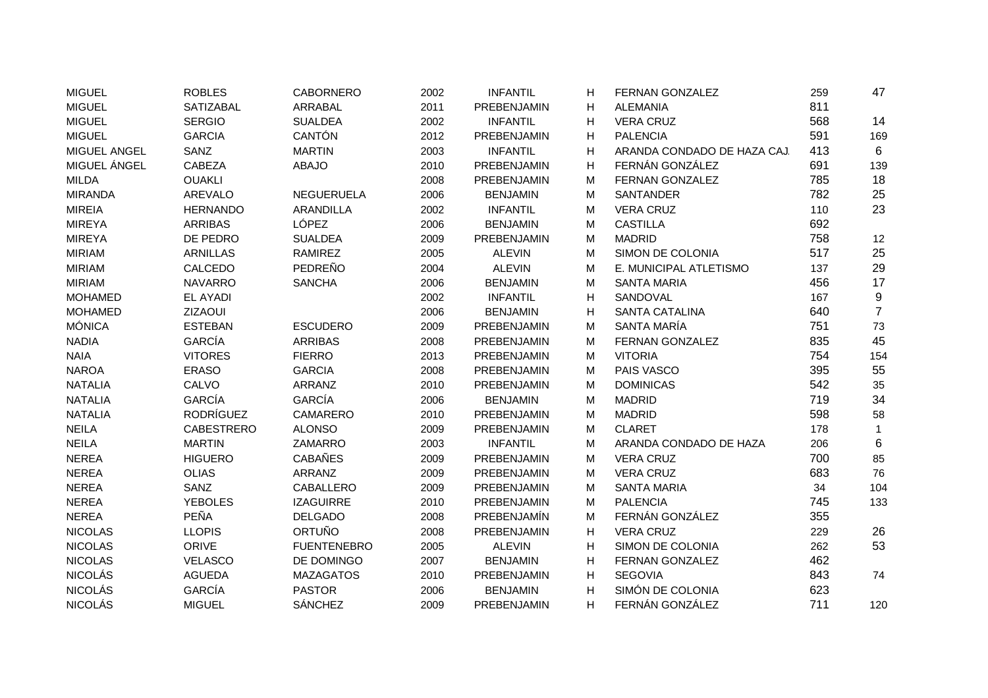| <b>MIGUEL</b>  | <b>ROBLES</b>     | <b>CABORNERO</b>   | 2002 | <b>INFANTIL</b>    | н  | FERNAN GONZALEZ             | 259 | 47             |
|----------------|-------------------|--------------------|------|--------------------|----|-----------------------------|-----|----------------|
| <b>MIGUEL</b>  | <b>SATIZABAL</b>  | <b>ARRABAL</b>     | 2011 | PREBENJAMIN        | н  | <b>ALEMANIA</b>             | 811 |                |
| <b>MIGUEL</b>  | <b>SERGIO</b>     | <b>SUALDEA</b>     | 2002 | <b>INFANTIL</b>    | н  | <b>VERA CRUZ</b>            | 568 | 14             |
| <b>MIGUEL</b>  | <b>GARCIA</b>     | <b>CANTÓN</b>      | 2012 | PREBENJAMIN        | H  | <b>PALENCIA</b>             | 591 | 169            |
| MIGUEL ANGEL   | SANZ              | <b>MARTIN</b>      | 2003 | <b>INFANTIL</b>    | H  | ARANDA CONDADO DE HAZA CAJ. | 413 | 6              |
| MIGUEL ÁNGEL   | <b>CABEZA</b>     | <b>ABAJO</b>       | 2010 | PREBENJAMIN        | н  | FERNÁN GONZÁLEZ             | 691 | 139            |
| <b>MILDA</b>   | <b>OUAKLI</b>     |                    | 2008 | PREBENJAMIN        | М  | FERNAN GONZALEZ             | 785 | 18             |
| <b>MIRANDA</b> | <b>AREVALO</b>    | <b>NEGUERUELA</b>  | 2006 | <b>BENJAMIN</b>    | м  | <b>SANTANDER</b>            | 782 | 25             |
| <b>MIREIA</b>  | <b>HERNANDO</b>   | <b>ARANDILLA</b>   | 2002 | <b>INFANTIL</b>    | M  | <b>VERA CRUZ</b>            | 110 | 23             |
| <b>MIREYA</b>  | <b>ARRIBAS</b>    | LÓPEZ              | 2006 | <b>BENJAMIN</b>    | M  | <b>CASTILLA</b>             | 692 |                |
| <b>MIREYA</b>  | DE PEDRO          | <b>SUALDEA</b>     | 2009 | PREBENJAMIN        | M  | <b>MADRID</b>               | 758 | 12             |
| <b>MIRIAM</b>  | <b>ARNILLAS</b>   | <b>RAMIREZ</b>     | 2005 | <b>ALEVIN</b>      | М  | SIMON DE COLONIA            | 517 | 25             |
| <b>MIRIAM</b>  | CALCEDO           | PEDREÑO            | 2004 | <b>ALEVIN</b>      | M  | E. MUNICIPAL ATLETISMO      | 137 | 29             |
| <b>MIRIAM</b>  | <b>NAVARRO</b>    | <b>SANCHA</b>      | 2006 | <b>BENJAMIN</b>    | М  | <b>SANTA MARIA</b>          | 456 | 17             |
| <b>MOHAMED</b> | <b>EL AYADI</b>   |                    | 2002 | <b>INFANTIL</b>    | н  | SANDOVAL                    | 167 | 9              |
| <b>MOHAMED</b> | ZIZAOUI           |                    | 2006 | <b>BENJAMIN</b>    | н  | <b>SANTA CATALINA</b>       | 640 | $\overline{7}$ |
| <b>MÓNICA</b>  | <b>ESTEBAN</b>    | <b>ESCUDERO</b>    | 2009 | PREBENJAMIN        | М  | SANTA MARÍA                 | 751 | 73             |
| <b>NADIA</b>   | GARCÍA            | <b>ARRIBAS</b>     | 2008 | PREBENJAMIN        | M  | FERNAN GONZALEZ             | 835 | 45             |
| <b>NAIA</b>    | <b>VITORES</b>    | <b>FIERRO</b>      | 2013 | PREBENJAMIN        | M  | <b>VITORIA</b>              | 754 | 154            |
| <b>NAROA</b>   | <b>ERASO</b>      | <b>GARCIA</b>      | 2008 | PREBENJAMIN        | M  | PAIS VASCO                  | 395 | 55             |
| <b>NATALIA</b> | CALVO             | ARRANZ             | 2010 | PREBENJAMIN        | M  | <b>DOMINICAS</b>            | 542 | 35             |
| <b>NATALIA</b> | <b>GARCÍA</b>     | GARCÍA             | 2006 | <b>BENJAMIN</b>    | M  | <b>MADRID</b>               | 719 | 34             |
| <b>NATALIA</b> | <b>RODRÍGUEZ</b>  | CAMARERO           | 2010 | PREBENJAMIN        | M  | <b>MADRID</b>               | 598 | 58             |
| <b>NEILA</b>   | <b>CABESTRERO</b> | <b>ALONSO</b>      | 2009 | PREBENJAMIN        | M  | <b>CLARET</b>               | 178 | 1              |
| <b>NEILA</b>   | <b>MARTIN</b>     | <b>ZAMARRO</b>     | 2003 | <b>INFANTIL</b>    | М  | ARANDA CONDADO DE HAZA      | 206 | 6              |
| <b>NEREA</b>   | <b>HIGUERO</b>    | <b>CABAÑES</b>     | 2009 | PREBENJAMIN        | M  | <b>VERA CRUZ</b>            | 700 | 85             |
| <b>NEREA</b>   | <b>OLIAS</b>      | ARRANZ             | 2009 | PREBENJAMIN        | M  | <b>VERA CRUZ</b>            | 683 | 76             |
| <b>NEREA</b>   | SANZ              | CABALLERO          | 2009 | PREBENJAMIN        | М  | <b>SANTA MARIA</b>          | 34  | 104            |
| <b>NEREA</b>   | <b>YEBOLES</b>    | <b>IZAGUIRRE</b>   | 2010 | PREBENJAMIN        | М  | <b>PALENCIA</b>             | 745 | 133            |
| <b>NEREA</b>   | PEÑA              | <b>DELGADO</b>     | 2008 | PREBENJAMÍN        | М  | FERNÁN GONZÁLEZ             | 355 |                |
| <b>NICOLAS</b> | <b>LLOPIS</b>     | <b>ORTUÑO</b>      | 2008 | <b>PREBENJAMIN</b> | H  | <b>VERA CRUZ</b>            | 229 | 26             |
| <b>NICOLAS</b> | ORIVE             | <b>FUENTENEBRO</b> | 2005 | <b>ALEVIN</b>      | н  | SIMON DE COLONIA            | 262 | 53             |
| <b>NICOLAS</b> | <b>VELASCO</b>    | DE DOMINGO         | 2007 | <b>BENJAMIN</b>    | н  | FERNAN GONZALEZ             | 462 |                |
| <b>NICOLÁS</b> | <b>AGUEDA</b>     | <b>MAZAGATOS</b>   | 2010 | PREBENJAMIN        | н  | <b>SEGOVIA</b>              | 843 | 74             |
| <b>NICOLÁS</b> | GARCÍA            | <b>PASTOR</b>      | 2006 | <b>BENJAMIN</b>    | H  | SIMÓN DE COLONIA            | 623 |                |
| <b>NICOLÁS</b> | <b>MIGUEL</b>     | <b>SÁNCHEZ</b>     | 2009 | <b>PREBENJAMIN</b> | H. | FERNÁN GONZÁLEZ             | 711 | 120            |
|                |                   |                    |      |                    |    |                             |     |                |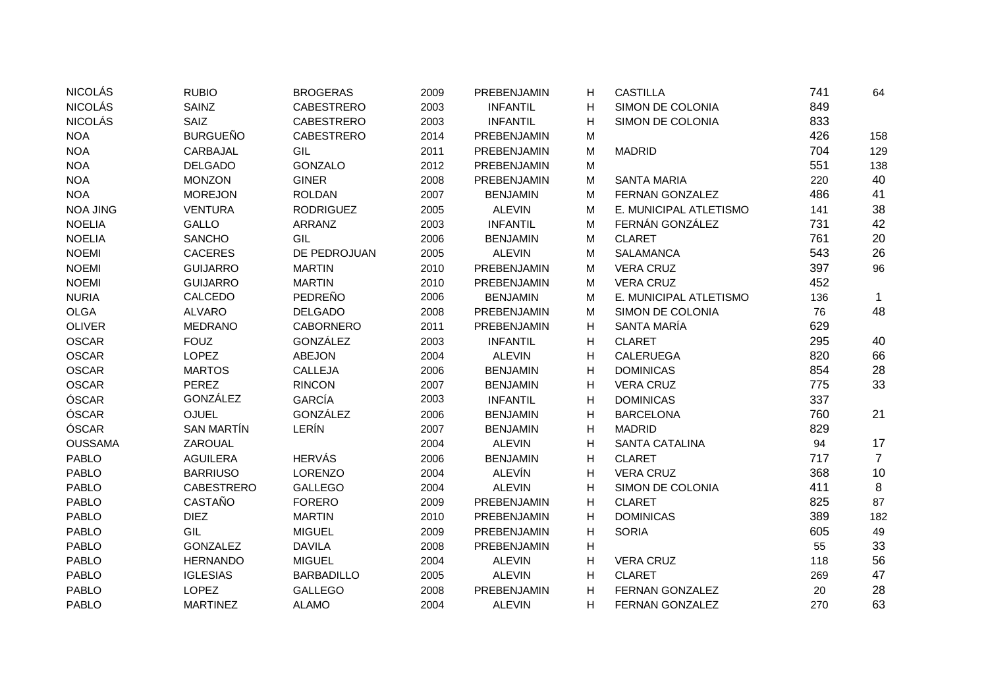| <b>NICOLÁS</b>  | <b>RUBIO</b>      | <b>BROGERAS</b>   | 2009 | PREBENJAMIN     | Н | <b>CASTILLA</b>        | 741 | 64             |
|-----------------|-------------------|-------------------|------|-----------------|---|------------------------|-----|----------------|
| <b>NICOLÁS</b>  | SAINZ             | <b>CABESTRERO</b> | 2003 | <b>INFANTIL</b> | н | SIMON DE COLONIA       | 849 |                |
| <b>NICOLÁS</b>  | SAIZ              | <b>CABESTRERO</b> | 2003 | <b>INFANTIL</b> | н | SIMON DE COLONIA       | 833 |                |
| <b>NOA</b>      | <b>BURGUEÑO</b>   | <b>CABESTRERO</b> | 2014 | PREBENJAMIN     | M |                        | 426 | 158            |
| <b>NOA</b>      | CARBAJAL          | GIL               | 2011 | PREBENJAMIN     | M | <b>MADRID</b>          | 704 | 129            |
| <b>NOA</b>      | <b>DELGADO</b>    | <b>GONZALO</b>    | 2012 | PREBENJAMIN     | M |                        | 551 | 138            |
| <b>NOA</b>      | <b>MONZON</b>     | <b>GINER</b>      | 2008 | PREBENJAMIN     | M | <b>SANTA MARIA</b>     | 220 | 40             |
| <b>NOA</b>      | <b>MOREJON</b>    | <b>ROLDAN</b>     | 2007 | <b>BENJAMIN</b> | M | <b>FERNAN GONZALEZ</b> | 486 | 41             |
| <b>NOA JING</b> | <b>VENTURA</b>    | <b>RODRIGUEZ</b>  | 2005 | <b>ALEVIN</b>   | M | E. MUNICIPAL ATLETISMO | 141 | 38             |
| <b>NOELIA</b>   | GALLO             | ARRANZ            | 2003 | <b>INFANTIL</b> | M | FERNÁN GONZÁLEZ        | 731 | 42             |
| <b>NOELIA</b>   | <b>SANCHO</b>     | GIL               | 2006 | <b>BENJAMIN</b> | M | <b>CLARET</b>          | 761 | 20             |
| <b>NOEMI</b>    | <b>CACERES</b>    | DE PEDROJUAN      | 2005 | <b>ALEVIN</b>   | M | <b>SALAMANCA</b>       | 543 | 26             |
| <b>NOEMI</b>    | <b>GUIJARRO</b>   | <b>MARTIN</b>     | 2010 | PREBENJAMIN     | M | <b>VERA CRUZ</b>       | 397 | 96             |
| <b>NOEMI</b>    | <b>GUIJARRO</b>   | <b>MARTIN</b>     | 2010 | PREBENJAMIN     | М | <b>VERA CRUZ</b>       | 452 |                |
| <b>NURIA</b>    | CALCEDO           | PEDREÑO           | 2006 | <b>BENJAMIN</b> | M | E. MUNICIPAL ATLETISMO | 136 | 1              |
| <b>OLGA</b>     | <b>ALVARO</b>     | <b>DELGADO</b>    | 2008 | PREBENJAMIN     | M | SIMON DE COLONIA       | 76  | 48             |
| <b>OLIVER</b>   | <b>MEDRANO</b>    | <b>CABORNERO</b>  | 2011 | PREBENJAMIN     | Н | SANTA MARÍA            | 629 |                |
| <b>OSCAR</b>    | <b>FOUZ</b>       | GONZÁLEZ          | 2003 | <b>INFANTIL</b> | Н | <b>CLARET</b>          | 295 | 40             |
| <b>OSCAR</b>    | LOPEZ             | <b>ABEJON</b>     | 2004 | <b>ALEVIN</b>   | н | <b>CALERUEGA</b>       | 820 | 66             |
| <b>OSCAR</b>    | <b>MARTOS</b>     | CALLEJA           | 2006 | <b>BENJAMIN</b> | H | <b>DOMINICAS</b>       | 854 | 28             |
| OSCAR           | <b>PEREZ</b>      | <b>RINCON</b>     | 2007 | <b>BENJAMIN</b> | н | <b>VERA CRUZ</b>       | 775 | 33             |
| ÓSCAR           | GONZÁLEZ          | GARCÍA            | 2003 | <b>INFANTIL</b> | н | <b>DOMINICAS</b>       | 337 |                |
| ÓSCAR           | <b>OJUEL</b>      | GONZÁLEZ          | 2006 | <b>BENJAMIN</b> | н | <b>BARCELONA</b>       | 760 | 21             |
| ÓSCAR           | <b>SAN MARTÍN</b> | LERÍN             | 2007 | <b>BENJAMIN</b> | H | <b>MADRID</b>          | 829 |                |
| <b>OUSSAMA</b>  | ZAROUAL           |                   | 2004 | <b>ALEVIN</b>   | H | <b>SANTA CATALINA</b>  | 94  | 17             |
| <b>PABLO</b>    | <b>AGUILERA</b>   | <b>HERVÁS</b>     | 2006 | <b>BENJAMIN</b> | H | <b>CLARET</b>          | 717 | $\overline{7}$ |
| <b>PABLO</b>    | <b>BARRIUSO</b>   | <b>LORENZO</b>    | 2004 | <b>ALEVÍN</b>   | Н | <b>VERA CRUZ</b>       | 368 | 10             |
| <b>PABLO</b>    | <b>CABESTRERO</b> | <b>GALLEGO</b>    | 2004 | <b>ALEVIN</b>   | Н | SIMON DE COLONIA       | 411 | 8              |
| <b>PABLO</b>    | CASTAÑO           | <b>FORERO</b>     | 2009 | PREBENJAMIN     | H | <b>CLARET</b>          | 825 | 87             |
| <b>PABLO</b>    | <b>DIEZ</b>       | <b>MARTIN</b>     | 2010 | PREBENJAMIN     | H | <b>DOMINICAS</b>       | 389 | 182            |
| <b>PABLO</b>    | GIL               | <b>MIGUEL</b>     | 2009 | PREBENJAMIN     | H | <b>SORIA</b>           | 605 | 49             |
| <b>PABLO</b>    | <b>GONZALEZ</b>   | <b>DAVILA</b>     | 2008 | PREBENJAMIN     | н |                        | 55  | 33             |
| <b>PABLO</b>    | <b>HERNANDO</b>   | <b>MIGUEL</b>     | 2004 | <b>ALEVIN</b>   | H | <b>VERA CRUZ</b>       | 118 | 56             |
| <b>PABLO</b>    | <b>IGLESIAS</b>   | <b>BARBADILLO</b> | 2005 | <b>ALEVIN</b>   | Н | <b>CLARET</b>          | 269 | 47             |
| <b>PABLO</b>    | LOPEZ             | <b>GALLEGO</b>    | 2008 | PREBENJAMIN     | H | FERNAN GONZALEZ        | 20  | 28             |
| <b>PABLO</b>    | <b>MARTINEZ</b>   | <b>ALAMO</b>      | 2004 | <b>ALEVIN</b>   | H | <b>FERNAN GONZALEZ</b> | 270 | 63             |
|                 |                   |                   |      |                 |   |                        |     |                |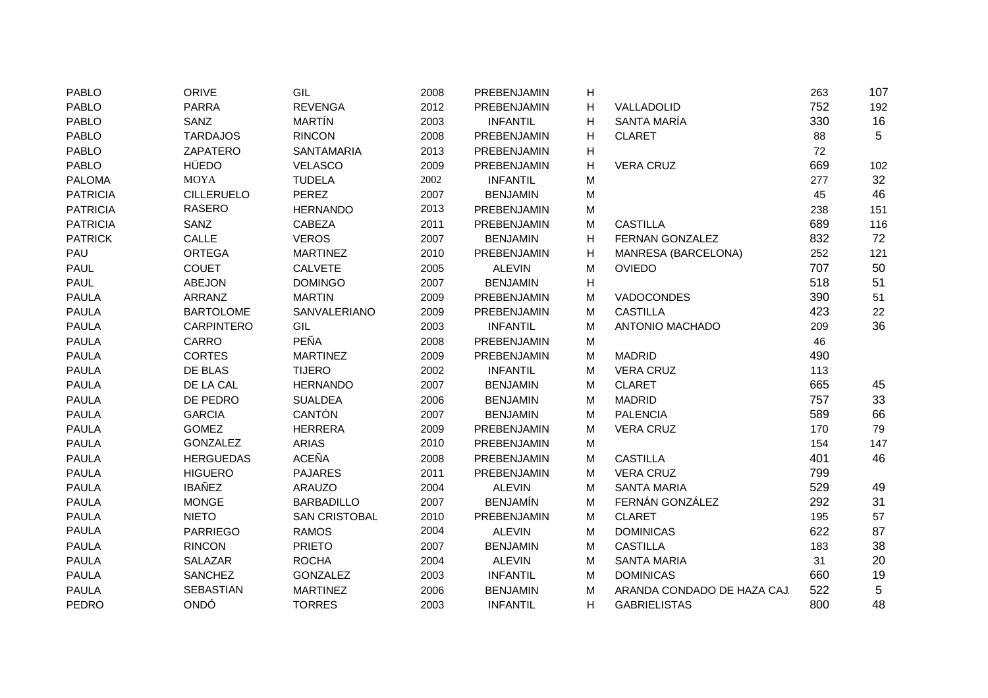| <b>PABLO</b>    | <b>ORIVE</b>      | GIL                  | 2008 | PREBENJAMIN     | н |                             | 263 | 107 |
|-----------------|-------------------|----------------------|------|-----------------|---|-----------------------------|-----|-----|
| <b>PABLO</b>    | <b>PARRA</b>      | <b>REVENGA</b>       | 2012 | PREBENJAMIN     | н | VALLADOLID                  | 752 | 192 |
| <b>PABLO</b>    | SANZ              | <b>MARTÍN</b>        | 2003 | <b>INFANTIL</b> | н | SANTA MARÍA                 | 330 | 16  |
| <b>PABLO</b>    | <b>TARDAJOS</b>   | <b>RINCON</b>        | 2008 | PREBENJAMIN     | Н | <b>CLARET</b>               | 88  | 5   |
| <b>PABLO</b>    | ZAPATERO          | <b>SANTAMARIA</b>    | 2013 | PREBENJAMIN     | н |                             | 72  |     |
| <b>PABLO</b>    | <b>HÜEDO</b>      | <b>VELASCO</b>       | 2009 | PREBENJAMIN     | н | <b>VERA CRUZ</b>            | 669 | 102 |
| <b>PALOMA</b>   | <b>MOYA</b>       | <b>TUDELA</b>        | 2002 | <b>INFANTIL</b> | M |                             | 277 | 32  |
| <b>PATRICIA</b> | <b>CILLERUELO</b> | <b>PEREZ</b>         | 2007 | <b>BENJAMIN</b> | M |                             | 45  | 46  |
| <b>PATRICIA</b> | <b>RASERO</b>     | <b>HERNANDO</b>      | 2013 | PREBENJAMIN     | M |                             | 238 | 151 |
| <b>PATRICIA</b> | SANZ              | <b>CABEZA</b>        | 2011 | PREBENJAMIN     | M | <b>CASTILLA</b>             | 689 | 116 |
| <b>PATRICK</b>  | CALLE             | <b>VEROS</b>         | 2007 | <b>BENJAMIN</b> | Н | <b>FERNAN GONZALEZ</b>      | 832 | 72  |
| PAU             | <b>ORTEGA</b>     | <b>MARTINEZ</b>      | 2010 | PREBENJAMIN     | Н | MANRESA (BARCELONA)         | 252 | 121 |
| <b>PAUL</b>     | <b>COUET</b>      | <b>CALVETE</b>       | 2005 | <b>ALEVIN</b>   | M | <b>OVIEDO</b>               | 707 | 50  |
| <b>PAUL</b>     | ABEJON            | <b>DOMINGO</b>       | 2007 | <b>BENJAMIN</b> | Н |                             | 518 | 51  |
| <b>PAULA</b>    | ARRANZ            | <b>MARTIN</b>        | 2009 | PREBENJAMIN     | M | VADOCONDES                  | 390 | 51  |
| <b>PAULA</b>    | <b>BARTOLOME</b>  | SANVALERIANO         | 2009 | PREBENJAMIN     | M | <b>CASTILLA</b>             | 423 | 22  |
| <b>PAULA</b>    | <b>CARPINTERO</b> | GIL                  | 2003 | <b>INFANTIL</b> | M | ANTONIO MACHADO             | 209 | 36  |
| <b>PAULA</b>    | CARRO             | PEÑA                 | 2008 | PREBENJAMIN     | M |                             | 46  |     |
| <b>PAULA</b>    | <b>CORTES</b>     | <b>MARTINEZ</b>      | 2009 | PREBENJAMIN     | M | <b>MADRID</b>               | 490 |     |
| <b>PAULA</b>    | DE BLAS           | <b>TIJERO</b>        | 2002 | <b>INFANTIL</b> | M | <b>VERA CRUZ</b>            | 113 |     |
| <b>PAULA</b>    | DE LA CAL         | <b>HERNANDO</b>      | 2007 | <b>BENJAMIN</b> | М | <b>CLARET</b>               | 665 | 45  |
| <b>PAULA</b>    | DE PEDRO          | <b>SUALDEA</b>       | 2006 | <b>BENJAMIN</b> | M | <b>MADRID</b>               | 757 | 33  |
| <b>PAULA</b>    | <b>GARCIA</b>     | CANTÓN               | 2007 | <b>BENJAMIN</b> | M | <b>PALENCIA</b>             | 589 | 66  |
| <b>PAULA</b>    | <b>GOMEZ</b>      | <b>HERRERA</b>       | 2009 | PREBENJAMIN     | M | <b>VERA CRUZ</b>            | 170 | 79  |
| <b>PAULA</b>    | <b>GONZALEZ</b>   | <b>ARIAS</b>         | 2010 | PREBENJAMIN     | M |                             | 154 | 147 |
| <b>PAULA</b>    | <b>HERGUEDAS</b>  | <b>ACEÑA</b>         | 2008 | PREBENJAMIN     | M | <b>CASTILLA</b>             | 401 | 46  |
| <b>PAULA</b>    | <b>HIGUERO</b>    | <b>PAJARES</b>       | 2011 | PREBENJAMIN     | M | <b>VERA CRUZ</b>            | 799 |     |
| <b>PAULA</b>    | <b>IBAÑEZ</b>     | <b>ARAUZO</b>        | 2004 | <b>ALEVIN</b>   | M | <b>SANTA MARIA</b>          | 529 | 49  |
| <b>PAULA</b>    | <b>MONGE</b>      | <b>BARBADILLO</b>    | 2007 | <b>BENJAMÍN</b> | M | FERNÁN GONZÁLEZ             | 292 | 31  |
| <b>PAULA</b>    | <b>NIETO</b>      | <b>SAN CRISTOBAL</b> | 2010 | PREBENJAMIN     | M | <b>CLARET</b>               | 195 | 57  |
| <b>PAULA</b>    | <b>PARRIEGO</b>   | <b>RAMOS</b>         | 2004 | <b>ALEVIN</b>   | M | <b>DOMINICAS</b>            | 622 | 87  |
| <b>PAULA</b>    | <b>RINCON</b>     | <b>PRIETO</b>        | 2007 | <b>BENJAMIN</b> | M | <b>CASTILLA</b>             | 183 | 38  |
| <b>PAULA</b>    | SALAZAR           | <b>ROCHA</b>         | 2004 | <b>ALEVIN</b>   | М | <b>SANTA MARIA</b>          | 31  | 20  |
| <b>PAULA</b>    | <b>SANCHEZ</b>    | <b>GONZALEZ</b>      | 2003 | <b>INFANTIL</b> | М | <b>DOMINICAS</b>            | 660 | 19  |
| <b>PAULA</b>    | <b>SEBASTIAN</b>  | <b>MARTINEZ</b>      | 2006 | <b>BENJAMIN</b> | M | ARANDA CONDADO DE HAZA CAJ. | 522 | 5   |
| <b>PEDRO</b>    | ONDÓ              | <b>TORRES</b>        | 2003 | <b>INFANTIL</b> | н | <b>GABRIELISTAS</b>         | 800 | 48  |
|                 |                   |                      |      |                 |   |                             |     |     |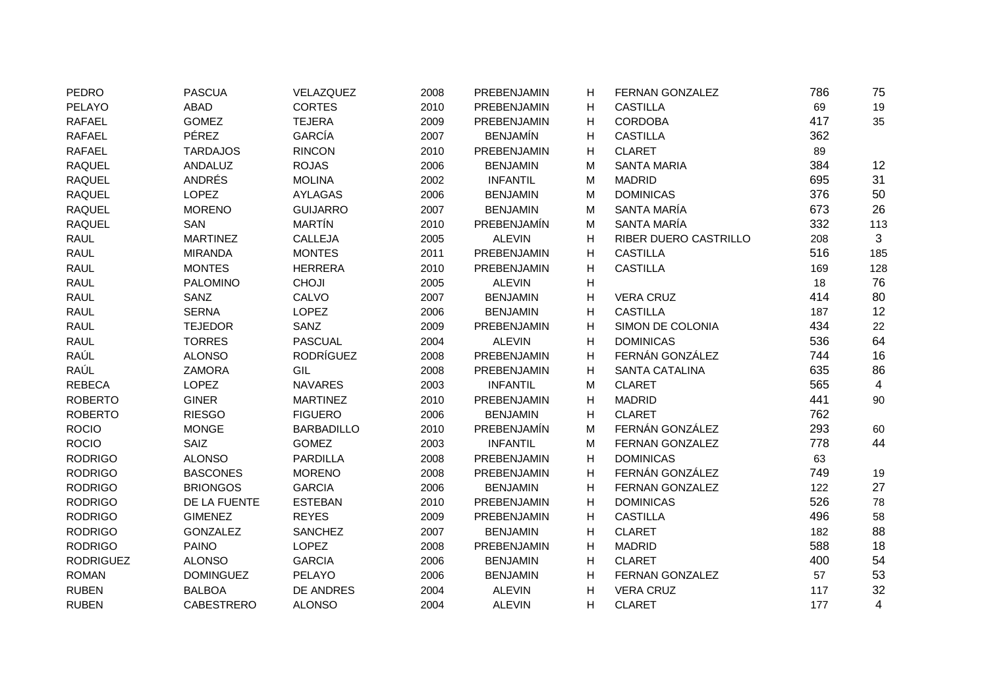| <b>PEDRO</b>     | <b>PASCUA</b>     | VELAZQUEZ         | 2008 | PREBENJAMIN     | H | FERNAN GONZALEZ       | 786 | 75  |
|------------------|-------------------|-------------------|------|-----------------|---|-----------------------|-----|-----|
| PELAYO           | ABAD              | <b>CORTES</b>     | 2010 | PREBENJAMIN     | H | <b>CASTILLA</b>       | 69  | 19  |
| <b>RAFAEL</b>    | <b>GOMEZ</b>      | <b>TEJERA</b>     | 2009 | PREBENJAMIN     | H | <b>CORDOBA</b>        | 417 | 35  |
| <b>RAFAEL</b>    | PÉREZ             | <b>GARCÍA</b>     | 2007 | <b>BENJAMÍN</b> | H | <b>CASTILLA</b>       | 362 |     |
| <b>RAFAEL</b>    | <b>TARDAJOS</b>   | <b>RINCON</b>     | 2010 | PREBENJAMIN     | H | <b>CLARET</b>         | 89  |     |
| <b>RAQUEL</b>    | ANDALUZ           | <b>ROJAS</b>      | 2006 | <b>BENJAMIN</b> | м | <b>SANTA MARIA</b>    | 384 | 12  |
| <b>RAQUEL</b>    | ANDRÉS            | <b>MOLINA</b>     | 2002 | <b>INFANTIL</b> | м | <b>MADRID</b>         | 695 | 31  |
| <b>RAQUEL</b>    | <b>LOPEZ</b>      | <b>AYLAGAS</b>    | 2006 | <b>BENJAMIN</b> | M | <b>DOMINICAS</b>      | 376 | 50  |
| <b>RAQUEL</b>    | <b>MORENO</b>     | <b>GUIJARRO</b>   | 2007 | <b>BENJAMIN</b> | M | SANTA MARÍA           | 673 | 26  |
| <b>RAQUEL</b>    | SAN               | <b>MARTÍN</b>     | 2010 | PREBENJAMÍN     | M | SANTA MARÍA           | 332 | 113 |
| <b>RAUL</b>      | <b>MARTINEZ</b>   | CALLEJA           | 2005 | <b>ALEVIN</b>   | н | RIBER DUERO CASTRILLO | 208 | 3   |
| <b>RAUL</b>      | <b>MIRANDA</b>    | <b>MONTES</b>     | 2011 | PREBENJAMIN     | Н | <b>CASTILLA</b>       | 516 | 185 |
| <b>RAUL</b>      | <b>MONTES</b>     | <b>HERRERA</b>    | 2010 | PREBENJAMIN     | H | <b>CASTILLA</b>       | 169 | 128 |
| <b>RAUL</b>      | <b>PALOMINO</b>   | <b>CHOJI</b>      | 2005 | <b>ALEVIN</b>   | н |                       | 18  | 76  |
| <b>RAUL</b>      | SANZ              | CALVO             | 2007 | <b>BENJAMIN</b> | H | <b>VERA CRUZ</b>      | 414 | 80  |
| <b>RAUL</b>      | <b>SERNA</b>      | <b>LOPEZ</b>      | 2006 | <b>BENJAMIN</b> | н | <b>CASTILLA</b>       | 187 | 12  |
| <b>RAUL</b>      | <b>TEJEDOR</b>    | SANZ              | 2009 | PREBENJAMIN     | H | SIMON DE COLONIA      | 434 | 22  |
| <b>RAUL</b>      | <b>TORRES</b>     | <b>PASCUAL</b>    | 2004 | <b>ALEVIN</b>   | н | <b>DOMINICAS</b>      | 536 | 64  |
| RAÚL             | <b>ALONSO</b>     | <b>RODRÍGUEZ</b>  | 2008 | PREBENJAMIN     | Н | FERNÁN GONZÁLEZ       | 744 | 16  |
| RAÚL             | <b>ZAMORA</b>     | GIL               | 2008 | PREBENJAMIN     | H | SANTA CATALINA        | 635 | 86  |
| <b>REBECA</b>    | LOPEZ             | <b>NAVARES</b>    | 2003 | <b>INFANTIL</b> | M | <b>CLARET</b>         | 565 | 4   |
| <b>ROBERTO</b>   | <b>GINER</b>      | <b>MARTINEZ</b>   | 2010 | PREBENJAMIN     | н | <b>MADRID</b>         | 441 | 90  |
| <b>ROBERTO</b>   | <b>RIESGO</b>     | <b>FIGUERO</b>    | 2006 | <b>BENJAMIN</b> | н | <b>CLARET</b>         | 762 |     |
| <b>ROCIO</b>     | <b>MONGE</b>      | <b>BARBADILLO</b> | 2010 | PREBENJAMÍN     | M | FERNÁN GONZÁLEZ       | 293 | 60  |
| <b>ROCIO</b>     | <b>SAIZ</b>       | <b>GOMEZ</b>      | 2003 | <b>INFANTIL</b> | M | FERNAN GONZALEZ       | 778 | 44  |
| <b>RODRIGO</b>   | <b>ALONSO</b>     | <b>PARDILLA</b>   | 2008 | PREBENJAMIN     | H | <b>DOMINICAS</b>      | 63  |     |
| <b>RODRIGO</b>   | <b>BASCONES</b>   | <b>MORENO</b>     | 2008 | PREBENJAMIN     | H | FERNÁN GONZÁLEZ       | 749 | 19  |
| <b>RODRIGO</b>   | <b>BRIONGOS</b>   | <b>GARCIA</b>     | 2006 | <b>BENJAMIN</b> | H | FERNAN GONZALEZ       | 122 | 27  |
| <b>RODRIGO</b>   | DE LA FUENTE      | <b>ESTEBAN</b>    | 2010 | PREBENJAMIN     | H | <b>DOMINICAS</b>      | 526 | 78  |
| <b>RODRIGO</b>   | <b>GIMENEZ</b>    | <b>REYES</b>      | 2009 | PREBENJAMIN     | H | <b>CASTILLA</b>       | 496 | 58  |
| <b>RODRIGO</b>   | <b>GONZALEZ</b>   | <b>SANCHEZ</b>    | 2007 | <b>BENJAMIN</b> | H | <b>CLARET</b>         | 182 | 88  |
| <b>RODRIGO</b>   | <b>PAINO</b>      | LOPEZ             | 2008 | PREBENJAMIN     | H | <b>MADRID</b>         | 588 | 18  |
| <b>RODRIGUEZ</b> | <b>ALONSO</b>     | <b>GARCIA</b>     | 2006 | <b>BENJAMIN</b> | н | <b>CLARET</b>         | 400 | 54  |
| <b>ROMAN</b>     | <b>DOMINGUEZ</b>  | PELAYO            | 2006 | <b>BENJAMIN</b> | H | FERNAN GONZALEZ       | 57  | 53  |
| <b>RUBEN</b>     | <b>BALBOA</b>     | DE ANDRES         | 2004 | <b>ALEVIN</b>   | н | <b>VERA CRUZ</b>      | 117 | 32  |
| <b>RUBEN</b>     | <b>CABESTRERO</b> | <b>ALONSO</b>     | 2004 | <b>ALEVIN</b>   | н | <b>CLARET</b>         | 177 | 4   |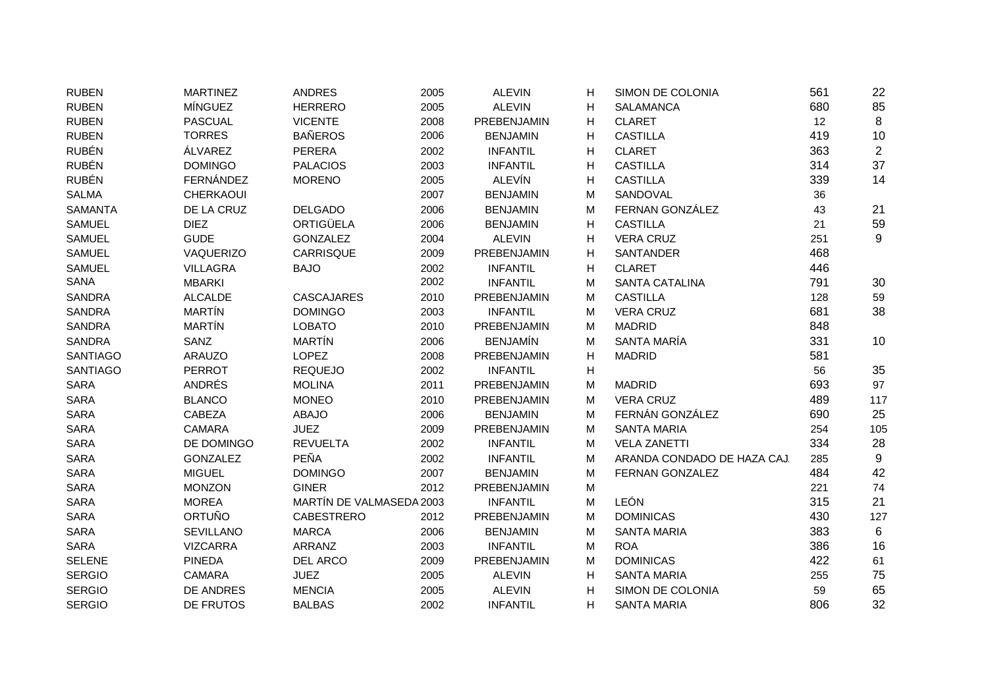| <b>RUBEN</b>    | <b>MARTINEZ</b>  | <b>ANDRES</b>            | 2005 | <b>ALEVIN</b>      | Н | SIMON DE COLONIA            | 561 | 22             |
|-----------------|------------------|--------------------------|------|--------------------|---|-----------------------------|-----|----------------|
| <b>RUBEN</b>    | MÍNGUEZ          | <b>HERRERO</b>           | 2005 | <b>ALEVIN</b>      | H | <b>SALAMANCA</b>            | 680 | 85             |
| <b>RUBEN</b>    | <b>PASCUAL</b>   | <b>VICENTE</b>           | 2008 | PREBENJAMIN        | H | <b>CLARET</b>               | 12  | 8              |
| <b>RUBEN</b>    | <b>TORRES</b>    | <b>BAÑEROS</b>           | 2006 | <b>BENJAMIN</b>    | H | <b>CASTILLA</b>             | 419 | 10             |
| <b>RUBÉN</b>    | ÁLVAREZ          | <b>PERERA</b>            | 2002 | <b>INFANTIL</b>    | н | <b>CLARET</b>               | 363 | $\overline{c}$ |
| <b>RUBÉN</b>    | <b>DOMINGO</b>   | <b>PALACIOS</b>          | 2003 | <b>INFANTIL</b>    | Н | <b>CASTILLA</b>             | 314 | 37             |
| <b>RUBÉN</b>    | FERNÁNDEZ        | <b>MORENO</b>            | 2005 | <b>ALEVÍN</b>      | H | <b>CASTILLA</b>             | 339 | 14             |
| <b>SALMA</b>    | CHERKAOUI        |                          | 2007 | <b>BENJAMIN</b>    | M | SANDOVAL                    | 36  |                |
| <b>SAMANTA</b>  | DE LA CRUZ       | <b>DELGADO</b>           | 2006 | <b>BENJAMIN</b>    | M | FERNAN GONZÁLEZ             | 43  | 21             |
| <b>SAMUEL</b>   | <b>DIEZ</b>      | ORTIGÜELA                | 2006 | <b>BENJAMIN</b>    | н | <b>CASTILLA</b>             | 21  | 59             |
| <b>SAMUEL</b>   | <b>GUDE</b>      | <b>GONZALEZ</b>          | 2004 | <b>ALEVIN</b>      | н | <b>VERA CRUZ</b>            | 251 | 9              |
| <b>SAMUEL</b>   | VAQUERIZO        | <b>CARRISQUE</b>         | 2009 | PREBENJAMIN        | н | SANTANDER                   | 468 |                |
| <b>SAMUEL</b>   | <b>VILLAGRA</b>  | <b>BAJO</b>              | 2002 | <b>INFANTIL</b>    | н | <b>CLARET</b>               | 446 |                |
| SANA            | <b>MBARKI</b>    |                          | 2002 | <b>INFANTIL</b>    | M | <b>SANTA CATALINA</b>       | 791 | 30             |
| <b>SANDRA</b>   | <b>ALCALDE</b>   | <b>CASCAJARES</b>        | 2010 | PREBENJAMIN        | М | <b>CASTILLA</b>             | 128 | 59             |
| <b>SANDRA</b>   | <b>MARTÍN</b>    | <b>DOMINGO</b>           | 2003 | <b>INFANTIL</b>    | M | <b>VERA CRUZ</b>            | 681 | 38             |
| <b>SANDRA</b>   | <b>MARTÍN</b>    | <b>LOBATO</b>            | 2010 | PREBENJAMIN        | M | <b>MADRID</b>               | 848 |                |
| <b>SANDRA</b>   | SANZ             | MARTÍN                   | 2006 | <b>BENJAMÍN</b>    | M | SANTA MARÍA                 | 331 | 10             |
| <b>SANTIAGO</b> | <b>ARAUZO</b>    | LOPEZ                    | 2008 | PREBENJAMIN        | н | <b>MADRID</b>               | 581 |                |
| <b>SANTIAGO</b> | <b>PERROT</b>    | <b>REQUEJO</b>           | 2002 | <b>INFANTIL</b>    | н |                             | 56  | 35             |
| <b>SARA</b>     | ANDRÉS           | <b>MOLINA</b>            | 2011 | PREBENJAMIN        | M | <b>MADRID</b>               | 693 | 97             |
| <b>SARA</b>     | <b>BLANCO</b>    | <b>MONEO</b>             | 2010 | <b>PREBENJAMIN</b> | M | <b>VERA CRUZ</b>            | 489 | 117            |
| SARA            | CABEZA           | <b>ABAJO</b>             | 2006 | <b>BENJAMIN</b>    | M | FERNÁN GONZÁLEZ             | 690 | 25             |
| SARA            | <b>CAMARA</b>    | <b>JUEZ</b>              | 2009 | PREBENJAMIN        | М | <b>SANTA MARIA</b>          | 254 | 105            |
| <b>SARA</b>     | DE DOMINGO       | <b>REVUELTA</b>          | 2002 | <b>INFANTIL</b>    | M | <b>VELA ZANETTI</b>         | 334 | 28             |
| <b>SARA</b>     | <b>GONZALEZ</b>  | <b>PEÑA</b>              | 2002 | <b>INFANTIL</b>    | M | ARANDA CONDADO DE HAZA CAJ. | 285 | 9              |
| <b>SARA</b>     | <b>MIGUEL</b>    | <b>DOMINGO</b>           | 2007 | <b>BENJAMIN</b>    | M | FERNAN GONZALEZ             | 484 | 42             |
| <b>SARA</b>     | <b>MONZON</b>    | <b>GINER</b>             | 2012 | PREBENJAMIN        | M |                             | 221 | 74             |
| <b>SARA</b>     | <b>MOREA</b>     | MARTÍN DE VALMASEDA 2003 |      | <b>INFANTIL</b>    | М | LEÓN                        | 315 | 21             |
| <b>SARA</b>     | <b>ORTUÑO</b>    | <b>CABESTRERO</b>        | 2012 | PREBENJAMIN        | М | <b>DOMINICAS</b>            | 430 | 127            |
| <b>SARA</b>     | <b>SEVILLANO</b> | <b>MARCA</b>             | 2006 | <b>BENJAMIN</b>    | M | <b>SANTA MARIA</b>          | 383 | 6              |
| SARA            | <b>VIZCARRA</b>  | ARRANZ                   | 2003 | <b>INFANTIL</b>    | M | <b>ROA</b>                  | 386 | 16             |
| <b>SELENE</b>   | <b>PINEDA</b>    | DEL ARCO                 | 2009 | PREBENJAMIN        | M | <b>DOMINICAS</b>            | 422 | 61             |
| <b>SERGIO</b>   | <b>CAMARA</b>    | <b>JUEZ</b>              | 2005 | <b>ALEVIN</b>      | н | <b>SANTA MARIA</b>          | 255 | 75             |
| <b>SERGIO</b>   | DE ANDRES        | <b>MENCIA</b>            | 2005 | <b>ALEVIN</b>      | H | SIMON DE COLONIA            | 59  | 65             |
| <b>SERGIO</b>   | DE FRUTOS        | <b>BALBAS</b>            | 2002 | <b>INFANTIL</b>    | H | <b>SANTA MARIA</b>          | 806 | 32             |
|                 |                  |                          |      |                    |   |                             |     |                |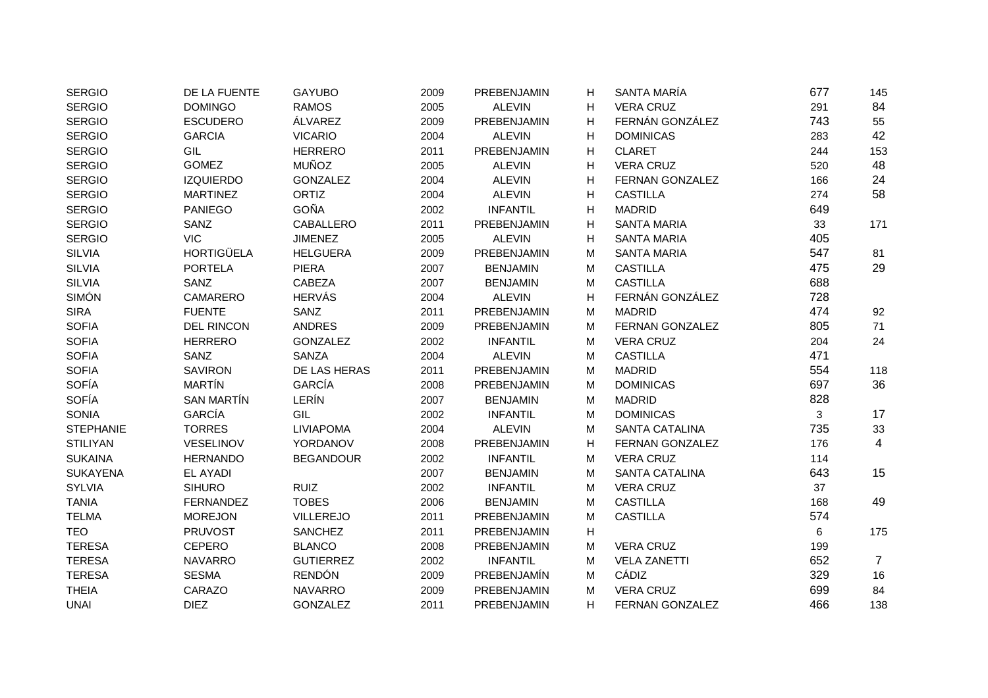| <b>SERGIO</b>    | DE LA FUENTE      | <b>GAYUBO</b>    | 2009 | PREBENJAMIN     | Н | SANTA MARÍA           | 677 | 145            |
|------------------|-------------------|------------------|------|-----------------|---|-----------------------|-----|----------------|
| <b>SERGIO</b>    | <b>DOMINGO</b>    | <b>RAMOS</b>     | 2005 | <b>ALEVIN</b>   | н | <b>VERA CRUZ</b>      | 291 | 84             |
| <b>SERGIO</b>    | <b>ESCUDERO</b>   | ÁLVAREZ          | 2009 | PREBENJAMIN     | H | FERNÁN GONZÁLEZ       | 743 | 55             |
| <b>SERGIO</b>    | <b>GARCIA</b>     | <b>VICARIO</b>   | 2004 | <b>ALEVIN</b>   | H | <b>DOMINICAS</b>      | 283 | 42             |
| <b>SERGIO</b>    | GIL               | <b>HERRERO</b>   | 2011 | PREBENJAMIN     | н | <b>CLARET</b>         | 244 | 153            |
| <b>SERGIO</b>    | <b>GOMEZ</b>      | <b>MUÑOZ</b>     | 2005 | <b>ALEVIN</b>   | H | <b>VERA CRUZ</b>      | 520 | 48             |
| <b>SERGIO</b>    | <b>IZQUIERDO</b>  | <b>GONZALEZ</b>  | 2004 | <b>ALEVIN</b>   | H | FERNAN GONZALEZ       | 166 | 24             |
| <b>SERGIO</b>    | <b>MARTINEZ</b>   | <b>ORTIZ</b>     | 2004 | <b>ALEVIN</b>   | H | <b>CASTILLA</b>       | 274 | 58             |
| <b>SERGIO</b>    | <b>PANIEGO</b>    | <b>GOÑA</b>      | 2002 | <b>INFANTIL</b> | H | <b>MADRID</b>         | 649 |                |
| <b>SERGIO</b>    | SANZ              | <b>CABALLERO</b> | 2011 | PREBENJAMIN     | н | <b>SANTA MARIA</b>    | 33  | 171            |
| <b>SERGIO</b>    | <b>VIC</b>        | <b>JIMENEZ</b>   | 2005 | <b>ALEVIN</b>   | H | <b>SANTA MARIA</b>    | 405 |                |
| <b>SILVIA</b>    | <b>HORTIGÜELA</b> | <b>HELGUERA</b>  | 2009 | PREBENJAMIN     | M | <b>SANTA MARIA</b>    | 547 | 81             |
| <b>SILVIA</b>    | <b>PORTELA</b>    | <b>PIERA</b>     | 2007 | <b>BENJAMIN</b> | M | <b>CASTILLA</b>       | 475 | 29             |
| <b>SILVIA</b>    | SANZ              | CABEZA           | 2007 | <b>BENJAMIN</b> | M | <b>CASTILLA</b>       | 688 |                |
| <b>SIMÓN</b>     | CAMARERO          | <b>HERVÁS</b>    | 2004 | <b>ALEVIN</b>   | н | FERNÁN GONZÁLEZ       | 728 |                |
| <b>SIRA</b>      | <b>FUENTE</b>     | SANZ             | 2011 | PREBENJAMIN     | M | <b>MADRID</b>         | 474 | 92             |
| <b>SOFIA</b>     | <b>DEL RINCON</b> | <b>ANDRES</b>    | 2009 | PREBENJAMIN     | M | FERNAN GONZALEZ       | 805 | 71             |
| <b>SOFIA</b>     | <b>HERRERO</b>    | <b>GONZALEZ</b>  | 2002 | <b>INFANTIL</b> | M | <b>VERA CRUZ</b>      | 204 | 24             |
| <b>SOFIA</b>     | SANZ              | SANZA            | 2004 | <b>ALEVIN</b>   | M | <b>CASTILLA</b>       | 471 |                |
| <b>SOFIA</b>     | <b>SAVIRON</b>    | DE LAS HERAS     | 2011 | PREBENJAMIN     | M | <b>MADRID</b>         | 554 | 118            |
| <b>SOFÍA</b>     | <b>MARTÍN</b>     | GARCÍA           | 2008 | PREBENJAMIN     | M | <b>DOMINICAS</b>      | 697 | 36             |
| <b>SOFÍA</b>     | <b>SAN MARTÍN</b> | LERÍN            | 2007 | <b>BENJAMIN</b> | M | <b>MADRID</b>         | 828 |                |
| <b>SONIA</b>     | <b>GARCÍA</b>     | GIL              | 2002 | <b>INFANTIL</b> | M | <b>DOMINICAS</b>      | 3   | 17             |
| <b>STEPHANIE</b> | <b>TORRES</b>     | <b>LIVIAPOMA</b> | 2004 | <b>ALEVIN</b>   | M | <b>SANTA CATALINA</b> | 735 | 33             |
| <b>STILIYAN</b>  | VESELINOV         | YORDANOV         | 2008 | PREBENJAMIN     | H | FERNAN GONZALEZ       | 176 | 4              |
| <b>SUKAINA</b>   | <b>HERNANDO</b>   | <b>BEGANDOUR</b> | 2002 | <b>INFANTIL</b> | M | <b>VERA CRUZ</b>      | 114 |                |
| <b>SUKAYENA</b>  | <b>EL AYADI</b>   |                  | 2007 | <b>BENJAMIN</b> | M | <b>SANTA CATALINA</b> | 643 | 15             |
| <b>SYLVIA</b>    | <b>SIHURO</b>     | <b>RUIZ</b>      | 2002 | <b>INFANTIL</b> | M | <b>VERA CRUZ</b>      | 37  |                |
| <b>TANIA</b>     | <b>FERNANDEZ</b>  | <b>TOBES</b>     | 2006 | <b>BENJAMIN</b> | M | <b>CASTILLA</b>       | 168 | 49             |
| <b>TELMA</b>     | <b>MOREJON</b>    | <b>VILLEREJO</b> | 2011 | PREBENJAMIN     | M | <b>CASTILLA</b>       | 574 |                |
| <b>TEO</b>       | <b>PRUVOST</b>    | <b>SANCHEZ</b>   | 2011 | PREBENJAMIN     | H |                       | 6   | 175            |
| <b>TERESA</b>    | <b>CEPERO</b>     | <b>BLANCO</b>    | 2008 | PREBENJAMIN     | M | <b>VERA CRUZ</b>      | 199 |                |
| <b>TERESA</b>    | <b>NAVARRO</b>    | <b>GUTIERREZ</b> | 2002 | <b>INFANTIL</b> | M | <b>VELA ZANETTI</b>   | 652 | $\overline{7}$ |
| <b>TERESA</b>    | <b>SESMA</b>      | <b>RENDÓN</b>    | 2009 | PREBENJAMÍN     | M | CÁDIZ                 | 329 | 16             |
| <b>THEIA</b>     | CARAZO            | <b>NAVARRO</b>   | 2009 | PREBENJAMIN     | М | <b>VERA CRUZ</b>      | 699 | 84             |
| <b>UNAI</b>      | <b>DIEZ</b>       | <b>GONZALEZ</b>  | 2011 | PREBENJAMIN     | H | FERNAN GONZALEZ       | 466 | 138            |